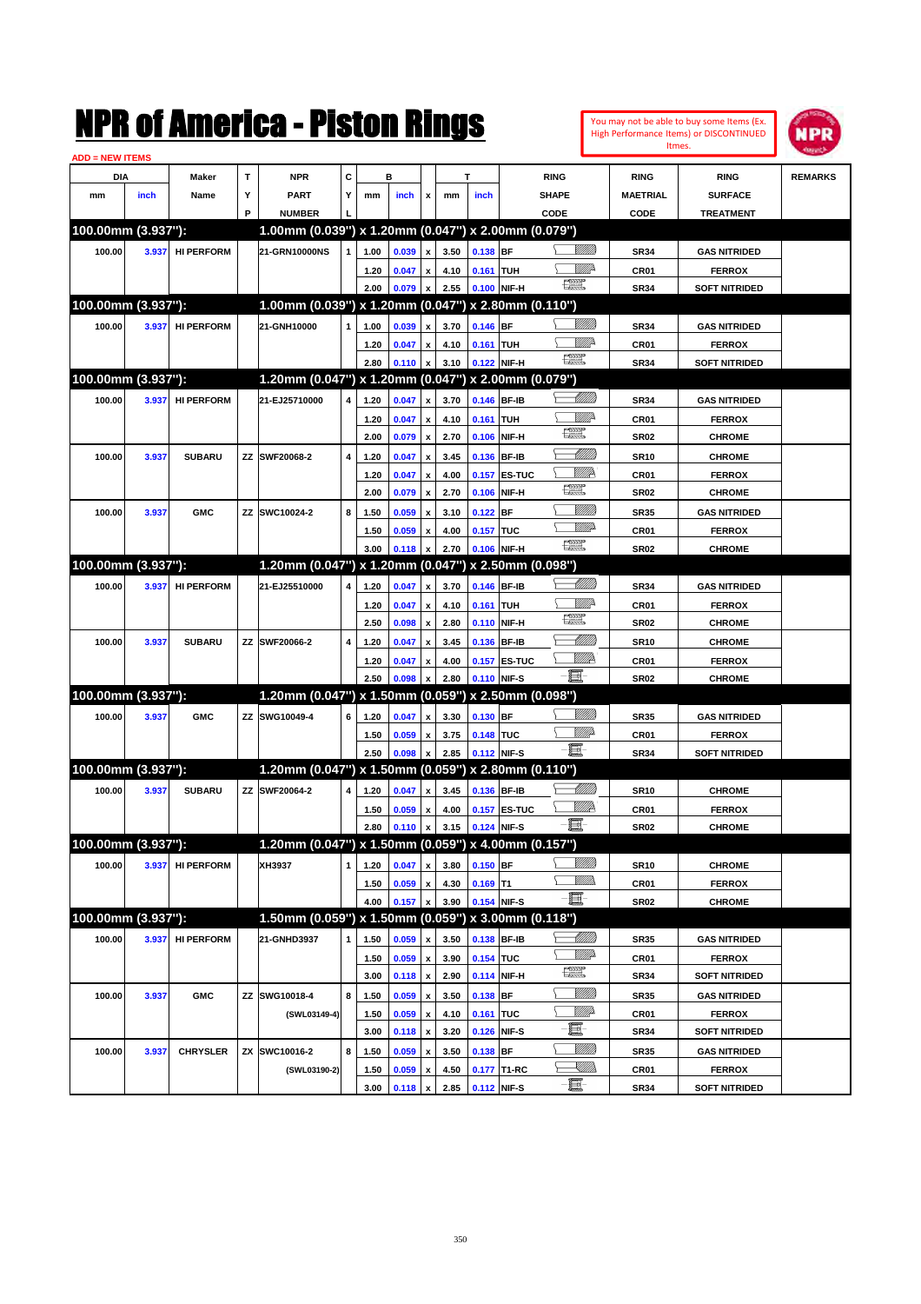|                        |       |                   |   | NMK OI AINCrica - Miston Kings                      |   |      |                |                           |      |                  |                     |                                                                                                                                                                                                                                                                                                                                                     |                            |                  | You may not be able to buy some Items (Ex.<br>High Performance Items) or DISCONTINUED<br>Itmes. | IPR            |
|------------------------|-------|-------------------|---|-----------------------------------------------------|---|------|----------------|---------------------------|------|------------------|---------------------|-----------------------------------------------------------------------------------------------------------------------------------------------------------------------------------------------------------------------------------------------------------------------------------------------------------------------------------------------------|----------------------------|------------------|-------------------------------------------------------------------------------------------------|----------------|
| <b>ADD = NEW ITEMS</b> |       |                   |   |                                                     |   |      |                |                           |      |                  |                     |                                                                                                                                                                                                                                                                                                                                                     |                            |                  |                                                                                                 |                |
| DIA                    |       | Maker             | T | <b>NPR</b>                                          | C |      | в              |                           |      | т                |                     | <b>RING</b>                                                                                                                                                                                                                                                                                                                                         |                            | <b>RING</b>      | <b>RING</b>                                                                                     | <b>REMARKS</b> |
| mm                     | inch  | Name              | Υ | <b>PART</b>                                         | Υ | mm   | inch           | x                         | mm   | inch             |                     | <b>SHAPE</b>                                                                                                                                                                                                                                                                                                                                        |                            | <b>MAETRIAL</b>  | <b>SURFACE</b>                                                                                  |                |
|                        |       |                   | P | <b>NUMBER</b>                                       |   |      |                |                           |      |                  |                     | CODE                                                                                                                                                                                                                                                                                                                                                |                            | CODE             | <b>TREATMENT</b>                                                                                |                |
| 100.00mm (3.937"):     |       |                   |   | 1.00mm (0.039") x 1.20mm (0.047") x 2.00mm (0.079") |   |      |                |                           |      |                  |                     |                                                                                                                                                                                                                                                                                                                                                     |                            |                  |                                                                                                 |                |
| 100.00                 | 3.937 | <b>HI PERFORM</b> |   | 21-GRN10000NS                                       |   | 1.00 | 0.039          | $\pmb{\mathsf{x}}$        | 3.50 | $0.138$ BF       |                     |                                                                                                                                                                                                                                                                                                                                                     |                            | <b>SR34</b>      | <b>GAS NITRIDED</b>                                                                             |                |
|                        |       |                   |   |                                                     |   | 1.20 | 0.047          | $\pmb{\mathsf{x}}$        | 4.10 | 0.161 TUH        |                     |                                                                                                                                                                                                                                                                                                                                                     | <u>Mille</u>               | CR <sub>01</sub> | <b>FERROX</b>                                                                                   |                |
|                        |       |                   |   |                                                     |   | 2.00 | 0.079          | $\pmb{\mathsf{x}}$        | 2.55 |                  | 0.100 NIF-H         | $\frac{1}{2}$                                                                                                                                                                                                                                                                                                                                       |                            | <b>SR34</b>      | <b>SOFT NITRIDED</b>                                                                            |                |
| 100.00mm (3.937"):     |       |                   |   | 1.00mm (0.039") x 1.20mm (0.047") x 2.80mm (0.110") |   |      |                |                           |      |                  |                     |                                                                                                                                                                                                                                                                                                                                                     |                            |                  |                                                                                                 |                |
| 100.00                 | 3.937 | <b>HI PERFORM</b> |   | 21-GNH10000                                         | 1 | 1.00 | 0.039          | $\pmb{\mathsf{x}}$        | 3.70 | $0.146$ BF       |                     |                                                                                                                                                                                                                                                                                                                                                     | <u>Millitt</u>             | <b>SR34</b>      | <b>GAS NITRIDED</b>                                                                             |                |
|                        |       |                   |   |                                                     |   | 1.20 | 0.047          | $\pmb{\mathsf{x}}$        | 4.10 | <b>0.161 TUH</b> |                     |                                                                                                                                                                                                                                                                                                                                                     | ₩₩                         | CR <sub>01</sub> | <b>FERROX</b>                                                                                   |                |
|                        |       |                   |   |                                                     |   | 2.80 | 0.110          | $\pmb{\mathsf{x}}$        | 3.10 |                  | 0.122 NIF-H         | $\begin{picture}(20,20) \put(0,0){\line(1,0){10}} \put(15,0){\line(1,0){10}} \put(15,0){\line(1,0){10}} \put(15,0){\line(1,0){10}} \put(15,0){\line(1,0){10}} \put(15,0){\line(1,0){10}} \put(15,0){\line(1,0){10}} \put(15,0){\line(1,0){10}} \put(15,0){\line(1,0){10}} \put(15,0){\line(1,0){10}} \put(15,0){\line(1,0){10}} \put(15,0){\line(1$ |                            | <b>SR34</b>      | <b>SOFT NITRIDED</b>                                                                            |                |
| 100.00mm (3.937"):     |       |                   |   | 1.20mm (0.047") x 1.20mm (0.047") x 2.00mm (0.079") |   |      |                |                           |      |                  |                     |                                                                                                                                                                                                                                                                                                                                                     |                            |                  |                                                                                                 |                |
| 100.00                 | 3.937 | <b>HI PERFORM</b> |   | 21-EJ25710000                                       | 4 | 1.20 | 0.047          | $\pmb{\mathsf{x}}$        | 3.70 |                  | 0.146 BF-IB         |                                                                                                                                                                                                                                                                                                                                                     | <u> UMM</u>                | <b>SR34</b>      | <b>GAS NITRIDED</b>                                                                             |                |
|                        |       |                   |   |                                                     |   | 1.20 | 0.047          | $\pmb{\mathsf{x}}$        | 4.10 | 0.161 TUH        |                     |                                                                                                                                                                                                                                                                                                                                                     | ₩₩                         | CR <sub>01</sub> | <b>FERROX</b>                                                                                   |                |
|                        |       |                   |   |                                                     |   | 2.00 | 0.079          | $\pmb{\mathsf{x}}$        | 2.70 |                  | 0.106 NIF-H         | <b>The Control</b>                                                                                                                                                                                                                                                                                                                                  |                            | <b>SR02</b>      | <b>CHROME</b>                                                                                   |                |
| 100.00                 | 3.937 | <b>SUBARU</b>     |   | ZZ SWF20068-2                                       | 4 | 1.20 | 0.047          | $\pmb{\mathsf{x}}$        | 3.45 |                  | 0.136 BF-IB         |                                                                                                                                                                                                                                                                                                                                                     | Millil                     | <b>SR10</b>      | <b>CHROME</b>                                                                                   |                |
|                        |       |                   |   |                                                     |   | 1.20 | 0.047          | $\pmb{\mathsf{x}}$        | 4.00 |                  | 0.157 ES-TUC        | <u>VIII P</u>                                                                                                                                                                                                                                                                                                                                       |                            | CR01             | <b>FERROX</b>                                                                                   |                |
|                        |       |                   |   |                                                     |   | 2.00 | 0.079          | $\boldsymbol{\mathsf{x}}$ | 2.70 |                  | 0.106 NIF-H         | $f_{\rm max}^{\rm exp}$                                                                                                                                                                                                                                                                                                                             |                            | <b>SR02</b>      | <b>CHROME</b>                                                                                   |                |
| 100.00                 | 3.937 | <b>GMC</b>        |   | ZZ SWC10024-2                                       | 8 | 1.50 | 0.059          | $\pmb{\mathsf{x}}$        | 3.10 | $0.122$ BF       |                     |                                                                                                                                                                                                                                                                                                                                                     | <u>MMM</u>                 | <b>SR35</b>      | <b>GAS NITRIDED</b>                                                                             |                |
|                        |       |                   |   |                                                     |   | 1.50 | 0.059          | $\pmb{\mathsf{x}}$        | 4.00 | 0.157 TUC        |                     |                                                                                                                                                                                                                                                                                                                                                     | <u>VMD</u>                 | CR01             | <b>FERROX</b>                                                                                   |                |
|                        |       |                   |   |                                                     |   | 3.00 | 0.118          | x                         | 2.70 | 0.106 NIF-H      |                     | $\begin{picture}(20,20) \put(0,0){\line(1,0){10}} \put(15,0){\line(1,0){10}} \put(15,0){\line(1,0){10}} \put(15,0){\line(1,0){10}} \put(15,0){\line(1,0){10}} \put(15,0){\line(1,0){10}} \put(15,0){\line(1,0){10}} \put(15,0){\line(1,0){10}} \put(15,0){\line(1,0){10}} \put(15,0){\line(1,0){10}} \put(15,0){\line(1,0){10}} \put(15,0){\line(1$ |                            | <b>SR02</b>      | <b>CHROME</b>                                                                                   |                |
| 100.00mm (3.937"):     |       |                   |   | 1.20mm (0.047") x 1.20mm (0.047")                   |   |      |                |                           |      |                  | x 2.50mm (0.098")   |                                                                                                                                                                                                                                                                                                                                                     |                            |                  |                                                                                                 |                |
| 100.00                 | 3.937 | <b>HI PERFORM</b> |   | 21-EJ25510000                                       | 4 | 1.20 | 0.047          | $\pmb{\mathsf{x}}$        | 3.70 |                  | 0.146 BF-IB         |                                                                                                                                                                                                                                                                                                                                                     | <u> UMM</u>                | <b>SR34</b>      | <b>GAS NITRIDED</b>                                                                             |                |
|                        |       |                   |   |                                                     |   | 1.20 | 0.047          | $\pmb{\mathsf{x}}$        | 4.10 | 0.161 TUH        |                     |                                                                                                                                                                                                                                                                                                                                                     | <u>Mille</u>               | CR <sub>01</sub> | <b>FERROX</b>                                                                                   |                |
|                        |       |                   |   |                                                     |   | 2.50 | 0.098          | $\boldsymbol{\mathsf{x}}$ | 2.80 |                  | 0.110 NIF-H         | <b>The Control</b>                                                                                                                                                                                                                                                                                                                                  |                            | <b>SR02</b>      | <b>CHROME</b>                                                                                   |                |
| 100.00                 | 3.937 | <b>SUBARU</b>     |   | ZZ SWF20066-2                                       | 4 | 1.20 | 0.047          | $\pmb{\mathsf{x}}$        | 3.45 |                  | 0.136 BF-IB         |                                                                                                                                                                                                                                                                                                                                                     | <u> UMM</u>                | <b>SR10</b>      | <b>CHROME</b>                                                                                   |                |
|                        |       |                   |   |                                                     |   | 1.20 | 0.047          | $\pmb{\mathsf{x}}$        | 4.00 |                  | <b>0.157 ES-TUC</b> | <u>VIII P</u>                                                                                                                                                                                                                                                                                                                                       |                            | CR01             | <b>FERROX</b>                                                                                   |                |
|                        |       |                   |   |                                                     |   | 2.50 | 0.098          | $\boldsymbol{\mathsf{x}}$ | 2.80 | 0.110 NIF-S      |                     | -EI                                                                                                                                                                                                                                                                                                                                                 |                            | <b>SR02</b>      | <b>CHROME</b>                                                                                   |                |
| 100.00mm (3.937"):     |       |                   |   | 1.20mm (0.047") x 1.50mm (0.059")                   |   |      |                |                           |      |                  | x 2.50mm (0.098")   |                                                                                                                                                                                                                                                                                                                                                     |                            |                  |                                                                                                 |                |
| 100.00                 | 3.937 | <b>GMC</b>        |   | ZZ SWG10049-4                                       | 6 | 1.20 | 0.047          | $\pmb{\mathsf{x}}$        | 3.30 | $0.130$ BF       |                     |                                                                                                                                                                                                                                                                                                                                                     | <u>VIIII</u> )             | <b>SR35</b>      | <b>GAS NITRIDED</b>                                                                             |                |
|                        |       |                   |   |                                                     |   | 1.50 | 0.059          | $\pmb{\mathsf{x}}$        | 3.75 | 0.148 TUC        |                     | <u>Willia</u>                                                                                                                                                                                                                                                                                                                                       |                            | CR <sub>01</sub> | <b>FERROX</b>                                                                                   |                |
|                        |       |                   |   |                                                     |   | 2.50 | 0.098          | $\boldsymbol{\mathsf{x}}$ | 2.85 | 0.112 NIF-S      |                     | e.                                                                                                                                                                                                                                                                                                                                                  |                            | <b>SR34</b>      | <b>SOFT NITRIDED</b>                                                                            |                |
| 100.00mm (3.937"):     |       |                   |   | 1.20mm (0.047") x 1.50mm (0.059") x 2.80mm (0.110") |   |      |                |                           |      |                  |                     |                                                                                                                                                                                                                                                                                                                                                     |                            |                  |                                                                                                 |                |
| 100.00                 | 3.937 | <b>SUBARU</b>     |   | ZZ SWF20064-2                                       | 4 | 1.20 | 0.047          | x                         | 3.45 | 0.136 BF-IB      |                     |                                                                                                                                                                                                                                                                                                                                                     | <u> UMM</u>                | <b>SR10</b>      | <b>CHROME</b>                                                                                   |                |
|                        |       |                   |   |                                                     |   | 1.50 | 0.059 x        |                           | 4.00 |                  | 0.157 ES-TUC        | ₩₩                                                                                                                                                                                                                                                                                                                                                  |                            | CR01             | <b>FERROX</b>                                                                                   |                |
|                        |       |                   |   |                                                     |   | 2.80 | $0.110 \times$ |                           | 3.15 | 0.124 NIF-S      |                     | $-\blacksquare$                                                                                                                                                                                                                                                                                                                                     |                            | <b>SR02</b>      | <b>CHROME</b>                                                                                   |                |
| 100.00mm (3.937"):     |       |                   |   | 1.20mm (0.047") x 1.50mm (0.059") x 4.00mm (0.157") |   |      |                |                           |      |                  |                     |                                                                                                                                                                                                                                                                                                                                                     |                            |                  |                                                                                                 |                |
| 100.00                 | 3.937 | <b>HI PERFORM</b> |   | XH3937                                              | 1 | 1.20 | 0.047          | $\pmb{\mathsf{x}}$        | 3.80 | $0.150$ BF       |                     |                                                                                                                                                                                                                                                                                                                                                     | <u>Milli</u> b             | <b>SR10</b>      | <b>CHROME</b>                                                                                   |                |
|                        |       |                   |   |                                                     |   |      |                |                           | 4.30 | $0.169$ T1       |                     | <u>Willib</u>                                                                                                                                                                                                                                                                                                                                       |                            | CR01             | <b>FERROX</b>                                                                                   |                |
|                        |       |                   |   |                                                     |   | 1.50 | 0.059          | $\pmb{\mathsf{x}}$        |      |                  |                     | -8                                                                                                                                                                                                                                                                                                                                                  |                            |                  |                                                                                                 |                |
| 100.00mm (3.937"):     |       |                   |   | 1.50mm (0.059") x 1.50mm (0.059") x 3.00mm (0.118") |   | 4.00 | 0.157          | $\pmb{\mathsf{x}}$        | 3.90 | 0.154 NIF-S      |                     |                                                                                                                                                                                                                                                                                                                                                     |                            | <b>SR02</b>      | <b>CHROME</b>                                                                                   |                |
|                        |       |                   |   |                                                     |   |      |                |                           |      |                  |                     |                                                                                                                                                                                                                                                                                                                                                     |                            |                  |                                                                                                 |                |
| 100.00                 | 3.937 | <b>HI PERFORM</b> |   | 21-GNHD3937                                         | 1 | 1.50 | 0.059          | $\pmb{\mathsf{x}}$        | 3.50 |                  | 0.138 BF-IB         |                                                                                                                                                                                                                                                                                                                                                     | <u> MM)</u><br><u>MM</u> A | <b>SR35</b>      | <b>GAS NITRIDED</b>                                                                             |                |
|                        |       |                   |   |                                                     |   | 1.50 | 0.059          | $\pmb{\mathsf{x}}$        | 3.90 | 0.154 TUC        |                     | H                                                                                                                                                                                                                                                                                                                                                   |                            | CR01             | <b>FERROX</b>                                                                                   |                |
|                        |       |                   |   |                                                     |   | 3.00 | 0.118          | $\,$ x                    | 2.90 |                  | 0.114 NIF-H         |                                                                                                                                                                                                                                                                                                                                                     |                            | SR34             | <b>SOFT NITRIDED</b>                                                                            |                |
| 100.00                 | 3.937 | <b>GMC</b>        |   | ZZ SWG10018-4                                       | 8 | 1.50 | 0.059          | $\pmb{\mathsf{x}}$        | 3.50 | 0.138 BF         |                     |                                                                                                                                                                                                                                                                                                                                                     | <u>VIIII</u> )             | <b>SR35</b>      | <b>GAS NITRIDED</b>                                                                             |                |
|                        |       |                   |   | (SWL03149-4)                                        |   | 1.50 | 0.059          | $\pmb{\mathsf{x}}$        | 4.10 | 0.161 TUC        |                     | <u>WW</u> D                                                                                                                                                                                                                                                                                                                                         |                            | CR01             | <b>FERROX</b>                                                                                   |                |
|                        |       |                   |   |                                                     |   | 3.00 | 0.118          | $\pmb{\mathsf{x}}$        | 3.20 | 0.126 NIF-S      |                     | E                                                                                                                                                                                                                                                                                                                                                   |                            | <b>SR34</b>      | <b>SOFT NITRIDED</b>                                                                            |                |
| 100.00                 | 3.937 | <b>CHRYSLER</b>   |   | ZX SWC10016-2                                       | 8 | 1.50 | 0.059          | $\pmb{\mathsf{x}}$        | 3.50 | 0.138 BF         |                     |                                                                                                                                                                                                                                                                                                                                                     | <u>VIIII)</u>              | <b>SR35</b>      | <b>GAS NITRIDED</b>                                                                             |                |
|                        |       |                   |   | (SWL03190-2)                                        |   | 1.50 | 0.059          | $\pmb{\mathsf{x}}$        | 4.50 |                  | 0.177 T1-RC         |                                                                                                                                                                                                                                                                                                                                                     | <u>UMB</u>                 | CR01             | <b>FERROX</b>                                                                                   |                |
|                        |       |                   |   |                                                     |   | 3.00 | $0.118$   x    |                           | 2.85 | 0.112 NIF-S      |                     | $-\blacksquare$                                                                                                                                                                                                                                                                                                                                     |                            | <b>SR34</b>      | <b>SOFT NITRIDED</b>                                                                            |                |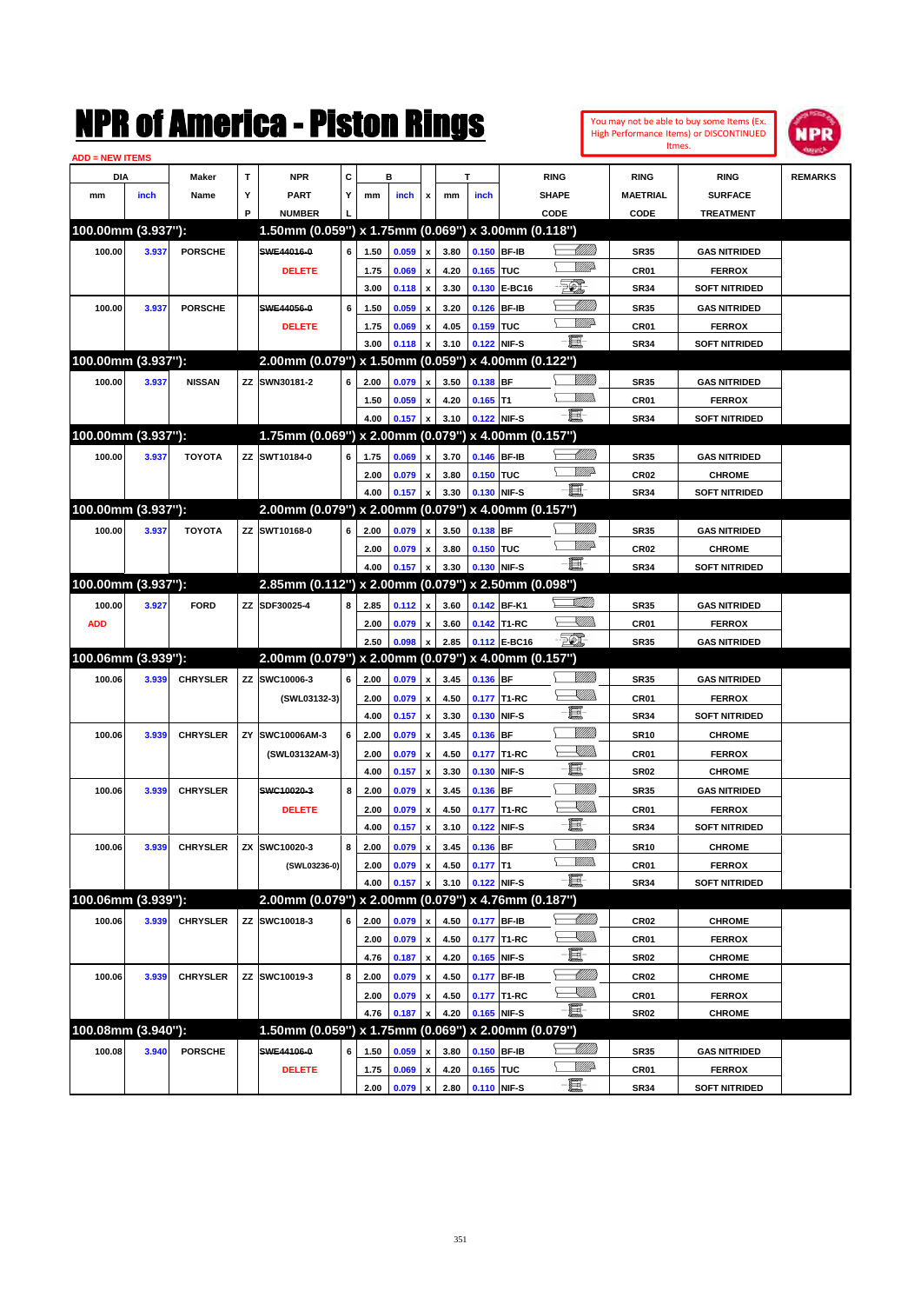You may not be able to buy some Items (Ex. High Performance Items) or DISCONTINUED Itmes.



| <b>ADD = NEW ITEMS</b> |       |                 |    |                                                     |   |              |                |                    |              |                |               |                  |                  |                                       |                |
|------------------------|-------|-----------------|----|-----------------------------------------------------|---|--------------|----------------|--------------------|--------------|----------------|---------------|------------------|------------------|---------------------------------------|----------------|
| <b>DIA</b>             |       | Maker           | T  | <b>NPR</b>                                          | c |              | в              |                    |              | т              |               | <b>RING</b>      | <b>RING</b>      | <b>RING</b>                           | <b>REMARKS</b> |
| mm                     | inch  | Name            | Υ  | <b>PART</b>                                         | Y | mm           | inch           | x                  | mm           | inch           |               | <b>SHAPE</b>     | <b>MAETRIAL</b>  | <b>SURFACE</b>                        |                |
|                        |       |                 | P  | <b>NUMBER</b>                                       |   |              |                |                    |              |                |               | CODE             | CODE             | <b>TREATMENT</b>                      |                |
| 100.00mm (3.937"):     |       |                 |    | 1.50mm (0.059") x 1.75mm (0.069") x 3.00mm (0.118") |   |              |                |                    |              |                |               |                  |                  |                                       |                |
| 100.00                 | 3.937 | <b>PORSCHE</b>  |    | SWE44016-0                                          | 6 | 1.50         | 0.059          | $\pmb{\mathsf{x}}$ | 3.80         | 0.150 BF-IB    |               | <u> UMB</u>      | <b>SR35</b>      | <b>GAS NITRIDED</b>                   |                |
|                        |       |                 |    | <b>DELETE</b>                                       |   | 1.75         | 0.069          | x                  | 4.20         | 0.165 TUC      |               | <u>MM</u> P      | <b>CR01</b>      | <b>FERROX</b>                         |                |
|                        |       |                 |    |                                                     |   | 3.00         | 0.118          | $\pmb{\mathsf{x}}$ | 3.30         | 0.130          | <b>E-BC16</b> | to).             | <b>SR34</b>      | <b>SOFT NITRIDED</b>                  |                |
| 100.00                 | 3.937 | <b>PORSCHE</b>  |    | SWE44056-0                                          | 6 | 1.50         | 0.059          |                    | 3.20         | 0.126          | <b>BF-IB</b>  | <u>UMB</u>       | <b>SR35</b>      | <b>GAS NITRIDED</b>                   |                |
|                        |       |                 |    |                                                     |   |              |                | x                  |              |                | <b>TUC</b>    | <u>MMP</u>       |                  |                                       |                |
|                        |       |                 |    | <b>DELETE</b>                                       |   | 1.75<br>3.00 | 0.069<br>0.118 | x                  | 4.05<br>3.10 | 0.159<br>0.122 | NIF-S         | -8               | <b>CR01</b>      | <b>FERROX</b><br><b>SOFT NITRIDED</b> |                |
| 100.00mm (3.937"):     |       |                 |    | 2.00mm (0.079") x 1.50mm (0.059") x 4.00mm (0.122") |   |              |                |                    |              |                |               |                  | <b>SR34</b>      |                                       |                |
|                        |       |                 |    |                                                     |   |              |                |                    |              |                |               |                  |                  |                                       |                |
| 100.00                 | 3.937 | <b>NISSAN</b>   |    | ZZ SWN30181-2                                       | 6 | 2.00         | 0.079          | x                  | 3.50         | 0.138 BF       |               | .<br>MM          | <b>SR35</b>      | <b>GAS NITRIDED</b>                   |                |
|                        |       |                 |    |                                                     |   | 1.50         | 0.059          | x                  | 4.20         | $0.165$ T1     |               |                  | <b>CR01</b>      | <b>FERROX</b>                         |                |
|                        |       |                 |    |                                                     |   | 4.00         | 0.157          | $\pmb{\mathsf{x}}$ | 3.10         | 0.122          | NIF-S         | -8               | <b>SR34</b>      | <b>SOFT NITRIDED</b>                  |                |
| 100.00mm (3.937"):     |       |                 |    | 1.75mm (0.069") x 2.00mm (0.079") x 4.00mm (0.157") |   |              |                |                    |              |                |               |                  |                  |                                       |                |
| 100.00                 | 3.937 | <b>TOYOTA</b>   |    | ZZ SWT10184-0                                       | 6 | 1.75         | 0.069          | x                  | 3.70         | 0.146 BF-IB    |               | <u>UMB</u>       | <b>SR35</b>      | <b>GAS NITRIDED</b>                   |                |
|                        |       |                 |    |                                                     |   | 2.00         | 0.079          | x                  | 3.80         | 0.150 TUC      |               | <u>VM</u> D      | <b>CR02</b>      | <b>CHROME</b>                         |                |
|                        |       |                 |    |                                                     |   | 4.00         | 0.157          | $\pmb{\mathsf{x}}$ | 3.30         | 0.130          | NIF-S         | -EI              | <b>SR34</b>      | <b>SOFT NITRIDED</b>                  |                |
| 100.00mm (3.937"):     |       |                 |    | 2.00mm (0.079") x 2.00mm (0.079") x 4.00mm (0.157") |   |              |                |                    |              |                |               |                  |                  |                                       |                |
| 100.00                 | 3.937 | <b>TOYOTA</b>   |    | ZZ SWT10168-0                                       | 6 | 2.00         | 0.079          | $\pmb{\mathsf{x}}$ | 3.50         | 0.138 BF       |               |                  | <b>SR35</b>      | <b>GAS NITRIDED</b>                   |                |
|                        |       |                 |    |                                                     |   | 2.00         | 0.079          | x                  | 3.80         | 0.150 TUC      |               | <u>VM</u> D      | <b>CR02</b>      | <b>CHROME</b>                         |                |
|                        |       |                 |    |                                                     |   | 4.00         | 0.157          | $\pmb{\mathsf{x}}$ | 3.30         | 0.130          | NIF-S         | -EI              | <b>SR34</b>      | <b>SOFT NITRIDED</b>                  |                |
| 100.00mm (3.937"):     |       |                 |    | 2.85mm (0.112") x 2.00mm (0.079") x 2.50mm (0.098") |   |              |                |                    |              |                |               |                  |                  |                                       |                |
| 100.00                 | 3.927 | <b>FORD</b>     |    | ZZ SDF30025-4                                       | 8 | 2.85         | 0.112          | $\pmb{\mathsf{x}}$ | 3.60         |                | 0.142 BF-K1   | <u>stillin</u>   | <b>SR35</b>      | <b>GAS NITRIDED</b>                   |                |
| <b>ADD</b>             |       |                 |    |                                                     |   | 2.00         | 0.079          | x                  | 3.60         |                | 0.142 T1-RC   | <u>Sillin</u>    | <b>CR01</b>      | <b>FERROX</b>                         |                |
|                        |       |                 |    |                                                     |   | 2.50         | 0.098          | $\pmb{\mathsf{x}}$ | 2.85         |                | 0.112 E-BC16  | <u>FO), </u>     | <b>SR35</b>      | <b>GAS NITRIDED</b>                   |                |
| 100.06mm (3.939"):     |       |                 |    | 2.00mm (0.079") x 2.00mm (0.079") x 4.00mm (0.157") |   |              |                |                    |              |                |               |                  |                  |                                       |                |
| 100.06                 | 3.939 | <b>CHRYSLER</b> |    | ZZ SWC10006-3                                       | 6 | 2.00         | 0.079          | $\pmb{\mathsf{x}}$ | 3.45         | 0.136 BF       |               | VIII))           | <b>SR35</b>      | <b>GAS NITRIDED</b>                   |                |
|                        |       |                 |    | (SWL03132-3)                                        |   | 2.00         | 0.079          | x                  | 4.50         | 0.177          | T1-RC         | <u>Sillin</u>    | <b>CR01</b>      | <b>FERROX</b>                         |                |
|                        |       |                 |    |                                                     |   | 4.00         | 0.157          | $\pmb{\mathsf{x}}$ | 3.30         | 0.130          | NIF-S         | e                | <b>SR34</b>      | <b>SOFT NITRIDED</b>                  |                |
| 100.06                 | 3.939 | <b>CHRYSLER</b> | ZY | SWC10006AM-3                                        | 6 | 2.00         | 0.079          | x                  | 3.45         | 0.136          | <b>BF</b>     | VIII))           | <b>SR10</b>      | <b>CHROME</b>                         |                |
|                        |       |                 |    | (SWL03132AM-3)                                      |   | 2.00         | 0.079          | x                  | 4.50         | 0.177          | T1-RC         | <u>IMM</u>       | <b>CR01</b>      | <b>FERROX</b>                         |                |
|                        |       |                 |    |                                                     |   | 4.00         | 0.157          | $\pmb{\mathsf{x}}$ | 3.30         | 0.130          | NIF-S         | e.               | <b>SR02</b>      | <b>CHROME</b>                         |                |
| 100.06                 | 3.939 | <b>CHRYSLER</b> |    | SWC10020-3                                          | 8 | 2.00         | 0.079          |                    | 3.45         | 0.136          | <b>BF</b>     | VIII))           | <b>SR35</b>      | <b>GAS NITRIDED</b>                   |                |
|                        |       |                 |    |                                                     |   |              |                | x                  |              |                |               | <u>XIII)</u>     |                  |                                       |                |
|                        |       |                 |    | <b>DELETE</b>                                       |   | 2.00         | 0.079          | x                  | 4.50         | 0.177          | T1-RC         | E                | <b>CR01</b>      | <b>FERROX</b>                         |                |
|                        |       |                 |    |                                                     |   | 4.00         | 0.157          | $\pmb{\mathsf{x}}$ | 3.10         | 0.122          | NIF-S         | <u>MMW</u>       | <b>SR34</b>      | <b>SOFT NITRIDED</b>                  |                |
| 100.06                 | 3.939 | <b>CHRYSLER</b> |    | ZX SWC10020-3                                       | 8 | 2.00         | 0.079          | $\pmb{\mathsf{x}}$ | 3.45         | 0.136          | BF            | <u>Willida</u>   | <b>SR10</b>      | <b>CHROME</b>                         |                |
|                        |       |                 |    | (SWL03236-0)                                        |   | 2.00         | 0.079          | $\pmb{\mathsf{x}}$ | 4.50         | $0.177$ T1     |               |                  | CR01             | <b>FERROX</b>                         |                |
|                        |       |                 |    |                                                     |   | 4.00         | 0.157          | $\pmb{\mathsf{x}}$ | 3.10         | 0.122 NIF-S    |               | -日               | <b>SR34</b>      | <b>SOFT NITRIDED</b>                  |                |
| 100.06mm (3.939"):     |       |                 |    | 2.00mm (0.079") x 2.00mm (0.079") x 4.76mm (0.187") |   |              |                |                    |              |                |               |                  |                  |                                       |                |
| 100.06                 | 3.939 | <b>CHRYSLER</b> |    | ZZ SWC10018-3                                       | 6 | 2.00         | 0.079          | $\pmb{\mathsf{x}}$ | 4.50         | 0.177 BF-IB    |               | <u> Millitti</u> | CR <sub>02</sub> | <b>CHROME</b>                         |                |
|                        |       |                 |    |                                                     |   | 2.00         | 0.079          | $\pmb{\mathsf{x}}$ | 4.50         |                | 0.177 T1-RC   | <u>X</u> MM)     | CR01             | <b>FERROX</b>                         |                |
|                        |       |                 |    |                                                     |   | 4.76         | 0.187          | $\pmb{\mathsf{x}}$ | 4.20         | 0.165          | NIF-S         | E                | SR <sub>02</sub> | <b>CHROME</b>                         |                |
| 100.06                 | 3.939 | <b>CHRYSLER</b> |    | ZZ SWC10019-3                                       | 8 | 2.00         | 0.079          | $\pmb{\mathsf{x}}$ | 4.50         | 0.177          | <b>BF-IB</b>  | <u> UMM</u>      | CR <sub>02</sub> | <b>CHROME</b>                         |                |
|                        |       |                 |    |                                                     |   | 2.00         | 0.079          | x                  | 4.50         |                | 0.177 T1-RC   | <u>XIII)</u>     | CR01             | <b>FERROX</b>                         |                |
|                        |       |                 |    |                                                     |   | 4.76         | 0.187          | $\pmb{\mathsf{x}}$ | 4.20         | 0.165 NIF-S    |               | -ii-             | SR <sub>02</sub> | <b>CHROME</b>                         |                |
| 100.08mm (3.940"):     |       |                 |    | 1.50mm (0.059") x 1.75mm (0.069") x 2.00mm (0.079") |   |              |                |                    |              |                |               |                  |                  |                                       |                |
| 100.08                 | 3.940 | <b>PORSCHE</b>  |    | SWE44106-0                                          | 6 | 1.50         | 0.059          | x                  | 3.80         | 0.150          | <b>BF-IB</b>  | <u>IMM</u> )     | <b>SR35</b>      | <b>GAS NITRIDED</b>                   |                |
|                        |       |                 |    | <b>DELETE</b>                                       |   | 1.75         | 0.069          | x                  | 4.20         | 0.165 TUC      |               | <u>WW</u> D      | CR01             | <b>FERROX</b>                         |                |
|                        |       |                 |    |                                                     |   | 2.00         | 0.079          | <b>x</b>           | 2.80         | 0.110 NIF-S    |               | -8               | <b>SR34</b>      | <b>SOFT NITRIDED</b>                  |                |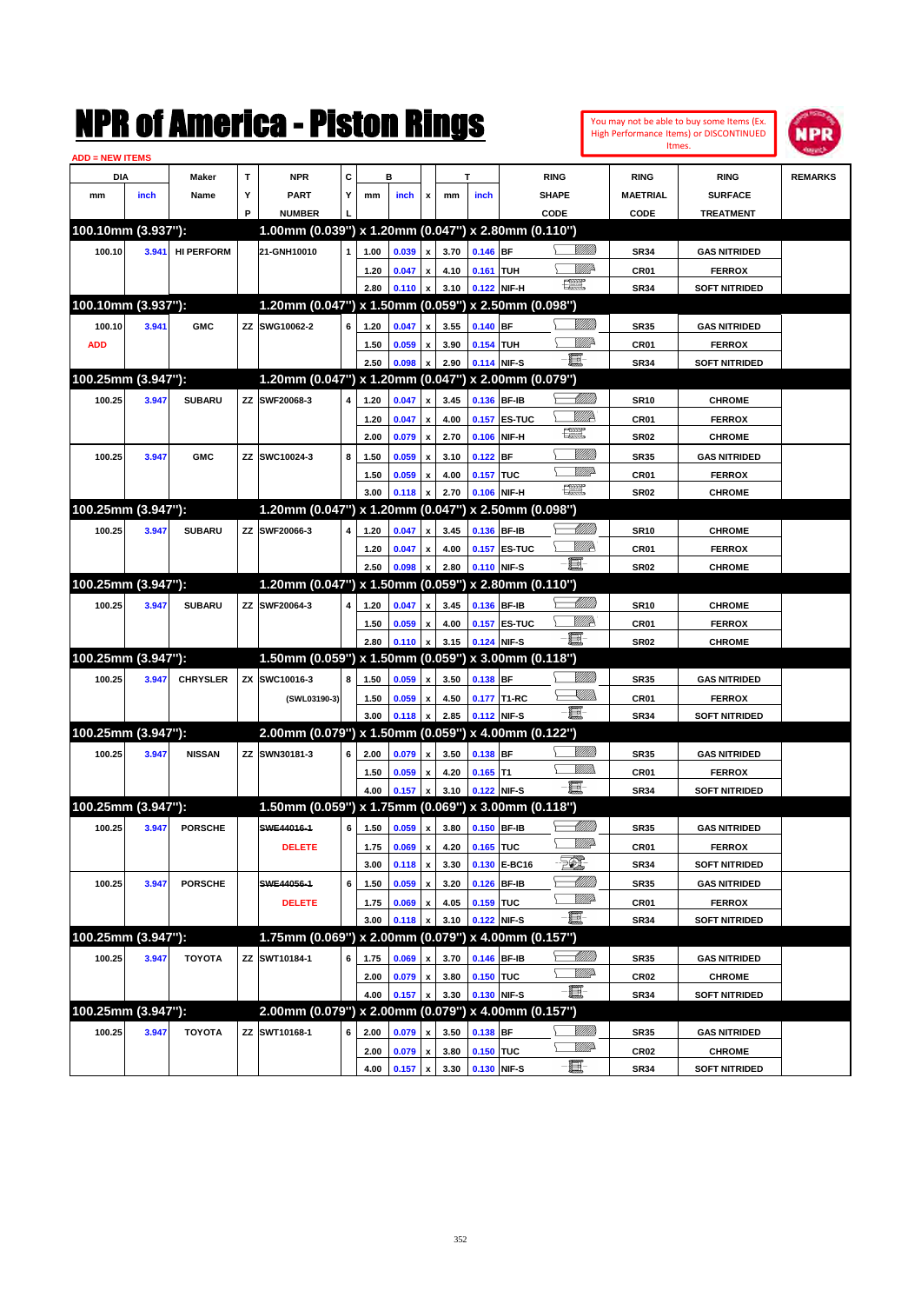|                    |       |                   |   | NMK OI AINCrica - Miston Kings                      |   |      |       |                           |      |                  |                   |                                                                                                                                                                                                                                                                                                                                                     |                         |                  | You may not be able to buy some Items (Ex.<br>High Performance Items) or DISCONTINUED | NPR            |
|--------------------|-------|-------------------|---|-----------------------------------------------------|---|------|-------|---------------------------|------|------------------|-------------------|-----------------------------------------------------------------------------------------------------------------------------------------------------------------------------------------------------------------------------------------------------------------------------------------------------------------------------------------------------|-------------------------|------------------|---------------------------------------------------------------------------------------|----------------|
| ADD = NEW ITEMS    |       |                   |   |                                                     |   |      |       |                           |      |                  |                   |                                                                                                                                                                                                                                                                                                                                                     |                         |                  | Itmes.                                                                                |                |
| DIA                |       | Maker             | T | <b>NPR</b>                                          | C |      | в     |                           |      | T                |                   | <b>RING</b>                                                                                                                                                                                                                                                                                                                                         |                         | <b>RING</b>      | <b>RING</b>                                                                           | <b>REMARKS</b> |
| mm                 | inch  | Name              | Υ | <b>PART</b>                                         | Y | mm   | inch  | x                         | mm   | inch             |                   | <b>SHAPE</b>                                                                                                                                                                                                                                                                                                                                        |                         | <b>MAETRIAL</b>  | <b>SURFACE</b>                                                                        |                |
|                    |       |                   | P | <b>NUMBER</b>                                       |   |      |       |                           |      |                  |                   | CODE                                                                                                                                                                                                                                                                                                                                                |                         | CODE             | <b>TREATMENT</b>                                                                      |                |
| 100.10mm (3.937"): |       |                   |   | 1.00mm (0.039") x 1.20mm (0.047") x 2.80mm (0.110") |   |      |       |                           |      |                  |                   |                                                                                                                                                                                                                                                                                                                                                     |                         |                  |                                                                                       |                |
| 100.10             | 3.941 | <b>HI PERFORM</b> |   | 21-GNH10010                                         | 1 | 1.00 | 0.039 | x                         | 3.70 | $0.146$ BF       |                   |                                                                                                                                                                                                                                                                                                                                                     | <u>Millitt</u>          | <b>SR34</b>      | <b>GAS NITRIDED</b>                                                                   |                |
|                    |       |                   |   |                                                     |   | 1.20 | 0.047 | x                         | 4.10 | 0.161 TUH        |                   |                                                                                                                                                                                                                                                                                                                                                     | <u>Mille</u>            | CR01             | <b>FERROX</b>                                                                         |                |
|                    |       |                   |   |                                                     |   | 2.80 | 0.110 | x                         | 3.10 |                  | 0.122 NIF-H       | $\frac{1}{2}$                                                                                                                                                                                                                                                                                                                                       |                         | <b>SR34</b>      | <b>SOFT NITRIDED</b>                                                                  |                |
| 100.10mm (3.937"): |       |                   |   | 1.20mm (0.047") x 1.50mm (0.059") x 2.50mm (0.098") |   |      |       |                           |      |                  |                   |                                                                                                                                                                                                                                                                                                                                                     |                         |                  |                                                                                       |                |
| 100.10             | 3.941 | <b>GMC</b>        |   | ZZ SWG10062-2                                       | 6 | 1.20 | 0.047 | x                         | 3.55 | $0.140$ BF       |                   |                                                                                                                                                                                                                                                                                                                                                     | VIII))                  | <b>SR35</b>      | <b>GAS NITRIDED</b>                                                                   |                |
| <b>ADD</b>         |       |                   |   |                                                     |   | 1.50 | 0.059 | x                         | 3.90 | 0.154 TUH        |                   |                                                                                                                                                                                                                                                                                                                                                     | ₩₩                      | CR01             | <b>FERROX</b>                                                                         |                |
|                    |       |                   |   |                                                     |   | 2.50 | 0.098 | $\boldsymbol{\mathsf{x}}$ | 2.90 | 0.114 NIF-S      |                   | e.                                                                                                                                                                                                                                                                                                                                                  |                         | <b>SR34</b>      | <b>SOFT NITRIDED</b>                                                                  |                |
| 100.25mm (3.947"): |       |                   |   | 1.20mm (0.047") x 1.20mm (0.047") x 2.00mm (0.079") |   |      |       |                           |      |                  |                   |                                                                                                                                                                                                                                                                                                                                                     |                         |                  |                                                                                       |                |
| 100.25             | 3.947 | <b>SUBARU</b>     |   | ZZ SWF20068-3                                       | 4 | 1.20 | 0.047 | x                         | 3.45 |                  | 0.136 BF-IB       |                                                                                                                                                                                                                                                                                                                                                     | <u> UMM</u>             | <b>SR10</b>      | <b>CHROME</b>                                                                         |                |
|                    |       |                   |   |                                                     |   | 1.20 | 0.047 | x                         | 4.00 |                  | 0.157 ES-TUC      |                                                                                                                                                                                                                                                                                                                                                     | <u>VMP</u>              | CR <sub>01</sub> | <b>FERROX</b>                                                                         |                |
|                    |       |                   |   |                                                     |   | 2.00 | 0.079 | $\boldsymbol{\mathsf{x}}$ | 2.70 |                  | 0.106 NIF-H       | œ                                                                                                                                                                                                                                                                                                                                                   |                         | <b>SR02</b>      | <b>CHROME</b>                                                                         |                |
| 100.25             | 3.947 | <b>GMC</b>        |   | ZZ SWC10024-3                                       | 8 | 1.50 | 0.059 | x                         | 3.10 | $0.122$ BF       |                   |                                                                                                                                                                                                                                                                                                                                                     | <u>MMM</u>              | <b>SR35</b>      | <b>GAS NITRIDED</b>                                                                   |                |
|                    |       |                   |   |                                                     |   | 1.50 | 0.059 | x                         | 4.00 | <b>0.157 TUC</b> |                   |                                                                                                                                                                                                                                                                                                                                                     | <u>VMD</u>              | CR01             | <b>FERROX</b>                                                                         |                |
|                    |       |                   |   |                                                     |   | 3.00 | 0.118 | $\boldsymbol{\mathsf{x}}$ | 2.70 |                  | 0.106 NIF-H       | $\begin{picture}(20,20) \put(0,0){\line(1,0){10}} \put(15,0){\line(1,0){10}} \put(15,0){\line(1,0){10}} \put(15,0){\line(1,0){10}} \put(15,0){\line(1,0){10}} \put(15,0){\line(1,0){10}} \put(15,0){\line(1,0){10}} \put(15,0){\line(1,0){10}} \put(15,0){\line(1,0){10}} \put(15,0){\line(1,0){10}} \put(15,0){\line(1,0){10}} \put(15,0){\line(1$ |                         | <b>SR02</b>      | <b>CHROME</b>                                                                         |                |
| 100.25mm (3.947"): |       |                   |   | 1.20mm (0.047") x 1.20mm (0.047")                   |   |      |       |                           |      |                  | x 2.50mm (0.098") |                                                                                                                                                                                                                                                                                                                                                     |                         |                  |                                                                                       |                |
| 100.25             | 3.947 | <b>SUBARU</b>     |   | ZZ SWF20066-3                                       | 4 | 1.20 | 0.047 | x                         | 3.45 |                  | 0.136 BF-IB       |                                                                                                                                                                                                                                                                                                                                                     | <u> UMM</u>             | <b>SR10</b>      | <b>CHROME</b>                                                                         |                |
|                    |       |                   |   |                                                     |   | 1.20 | 0.047 | X                         | 4.00 |                  | 0.157 ES-TUC      |                                                                                                                                                                                                                                                                                                                                                     | ₩₩                      | CR01             | <b>FERROX</b>                                                                         |                |
|                    |       |                   |   |                                                     |   | 2.50 | 0.098 | X                         | 2.80 |                  | 0.110 NIF-S       | -ii-                                                                                                                                                                                                                                                                                                                                                |                         | <b>SR02</b>      | <b>CHROME</b>                                                                         |                |
| 100.25mm (3.947"): |       |                   |   | 1.20mm (0.047") x 1.50mm (0.059") x 2.80mm (0.110") |   |      |       |                           |      |                  |                   |                                                                                                                                                                                                                                                                                                                                                     |                         |                  |                                                                                       |                |
| 100.25             | 3.947 | <b>SUBARU</b>     |   | ZZ SWF20064-3                                       | 4 | 1.20 | 0.047 | x                         | 3.45 |                  | 0.136 BF-IB       |                                                                                                                                                                                                                                                                                                                                                     | Millitt                 | <b>SR10</b>      | <b>CHROME</b>                                                                         |                |
|                    |       |                   |   |                                                     |   | 1.50 | 0.059 | x                         | 4.00 |                  | 0.157 ES-TUC      |                                                                                                                                                                                                                                                                                                                                                     | <u>VMP</u>              | CR01             | <b>FERROX</b>                                                                         |                |
|                    |       |                   |   |                                                     |   | 2.80 | 0.110 | X                         | 3.15 |                  | 0.124 NIF-S       | e et                                                                                                                                                                                                                                                                                                                                                |                         | <b>SR02</b>      | <b>CHROME</b>                                                                         |                |
| 100.25mm (3.947"): |       |                   |   | 1.50mm (0.059") x 1.50mm (0.059") x 3.00mm (0.118") |   |      |       |                           |      |                  |                   |                                                                                                                                                                                                                                                                                                                                                     |                         |                  |                                                                                       |                |
| 100.25             | 3.947 | <b>CHRYSLER</b>   |   | ZX SWC10016-3                                       | 8 | 1.50 | 0.059 | $\boldsymbol{x}$          | 3.50 | 0.138 BF         |                   |                                                                                                                                                                                                                                                                                                                                                     |                         | <b>SR35</b>      | <b>GAS NITRIDED</b>                                                                   |                |
|                    |       |                   |   | (SWL03190-3)                                        |   | 1.50 | 0.059 | x                         | 4.50 |                  | 0.177 T1-RC       |                                                                                                                                                                                                                                                                                                                                                     | <u>Sillin</u>           | CR01             | <b>FERROX</b>                                                                         |                |
|                    |       |                   |   |                                                     |   | 3.00 | 0.118 | X                         | 2.85 |                  | 0.112 NIF-S       | $-\mathbf{H}$                                                                                                                                                                                                                                                                                                                                       |                         | <b>SR34</b>      | <b>SOFT NITRIDED</b>                                                                  |                |
| 100.25mm (3.947"): |       |                   |   | 2.00mm (0.079") x 1.50mm (0.059") x 4.00mm (0.122") |   |      |       |                           |      |                  |                   |                                                                                                                                                                                                                                                                                                                                                     |                         |                  |                                                                                       |                |
| 100.25             | 3.947 | <b>NISSAN</b>     |   | ZZ SWN30181-3                                       | 6 | 2.00 | 0.079 | $\boldsymbol{x}$          | 3.50 | 0.138 BF         |                   |                                                                                                                                                                                                                                                                                                                                                     | VIII))                  | <b>SR35</b>      | <b>GAS NITRIDED</b>                                                                   |                |
|                    |       |                   |   |                                                     |   | 1.50 | 0.059 | x                         | 4.20 | $0.165$ T1       |                   |                                                                                                                                                                                                                                                                                                                                                     | <br>Mar                 | CR01             | <b>FERROX</b>                                                                         |                |
|                    |       |                   |   |                                                     |   | 4.00 | 0.157 | x                         | 3.10 | 0.122 NIF-S      |                   | 頁                                                                                                                                                                                                                                                                                                                                                   |                         | <b>SR34</b>      | <b>SOFT NITRIDED</b>                                                                  |                |
| 100.25mm (3.947"): |       |                   |   | 1.50mm (0.059") x 1.75mm (0.069") x 3.00mm (0.118") |   |      |       |                           |      |                  |                   |                                                                                                                                                                                                                                                                                                                                                     |                         |                  |                                                                                       |                |
| 100.25             | 3.947 | <b>PORSCHE</b>    |   | SWE44016-1                                          | 6 | 1.50 | 0.059 | $\pmb{\mathsf{x}}$        | 3.80 |                  | 0.150 BF-IB       |                                                                                                                                                                                                                                                                                                                                                     | <u> UMM</u>             | <b>SR35</b>      | <b>GAS NITRIDED</b>                                                                   |                |
|                    |       |                   |   | <b>DELETE</b>                                       |   | 1.75 | 0.069 | $\pmb{\mathsf{x}}$        | 4.20 | 0.165 TUC        |                   |                                                                                                                                                                                                                                                                                                                                                     | <u>MMP</u>              | CR01             | <b>FERROX</b>                                                                         |                |
|                    |       |                   |   |                                                     |   | 3.00 | 0.118 | $\boldsymbol{\mathsf{x}}$ | 3.30 |                  | 0.130 E-BC16      | E.                                                                                                                                                                                                                                                                                                                                                  |                         | <b>SR34</b>      | <b>SOFT NITRIDED</b>                                                                  |                |
| 100.25             | 3.947 | <b>PORSCHE</b>    |   | SWE44056-1                                          | 6 | 1.50 | 0.059 | $\pmb{\mathsf{x}}$        | 3.20 |                  | 0.126 BF-IB       |                                                                                                                                                                                                                                                                                                                                                     | <u> UMM</u>             | <b>SR35</b>      | <b>GAS NITRIDED</b>                                                                   |                |
|                    |       |                   |   | <b>DELETE</b>                                       |   | 1.75 | 0.069 | $\pmb{\mathsf{x}}$        | 4.05 | 0.159 TUC        |                   |                                                                                                                                                                                                                                                                                                                                                     | <u>Willi</u> p          | CR01             | <b>FERROX</b>                                                                         |                |
|                    |       |                   |   |                                                     |   | 3.00 | 0.118 | x                         | 3.10 | 0.122 NIF-S      |                   | <b>- 夏</b> -                                                                                                                                                                                                                                                                                                                                        |                         | <b>SR34</b>      | <b>SOFT NITRIDED</b>                                                                  |                |
| 100.25mm (3.947"): |       |                   |   | 1.75mm (0.069") x 2.00mm (0.079") x 4.00mm (0.157") |   |      |       |                           |      |                  |                   |                                                                                                                                                                                                                                                                                                                                                     |                         |                  |                                                                                       |                |
| 100.25             | 3.947 | <b>TOYOTA</b>     |   | ZZ SWT10184-1                                       | 6 | 1.75 | 0.069 | X                         | 3.70 |                  | 0.146 BF-IB       |                                                                                                                                                                                                                                                                                                                                                     |                         | <b>SR35</b>      | <b>GAS NITRIDED</b>                                                                   |                |
|                    |       |                   |   |                                                     |   | 2.00 | 0.079 | $\pmb{\mathsf{x}}$        | 3.80 | 0.150 TUC        |                   |                                                                                                                                                                                                                                                                                                                                                     | <u>WW</u>               | <b>CR02</b>      | <b>CHROME</b>                                                                         |                |
|                    |       |                   |   |                                                     |   | 4.00 | 0.157 | $\boldsymbol{\mathsf{x}}$ | 3.30 | 0.130 NIF-S      |                   | $-\blacksquare$                                                                                                                                                                                                                                                                                                                                     |                         | <b>SR34</b>      | <b>SOFT NITRIDED</b>                                                                  |                |
| 100.25mm (3.947"): |       |                   |   | 2.00mm (0.079") x 2.00mm (0.079") x 4.00mm (0.157") |   |      |       |                           |      |                  |                   |                                                                                                                                                                                                                                                                                                                                                     |                         |                  |                                                                                       |                |
| 100.25             | 3.947 | <b>TOYOTA</b>     |   | ZZ SWT10168-1                                       | 6 | 2.00 | 0.079 | X                         | 3.50 | $0.138$ BF       |                   |                                                                                                                                                                                                                                                                                                                                                     | <u>MMS</u><br><u>WW</u> | <b>SR35</b>      | <b>GAS NITRIDED</b>                                                                   |                |
|                    |       |                   |   |                                                     |   | 2.00 | 0.079 | $\pmb{\mathsf{x}}$        | 3.80 | 0.150 TUC        |                   | $-\Xi$                                                                                                                                                                                                                                                                                                                                              |                         | CR <sub>02</sub> | <b>CHROME</b>                                                                         |                |
|                    |       |                   |   |                                                     |   | 4.00 | 0.157 | $\mathbf{x}$              | 3.30 | 0.130 NIF-S      |                   |                                                                                                                                                                                                                                                                                                                                                     |                         | <b>SR34</b>      | <b>SOFT NITRIDED</b>                                                                  |                |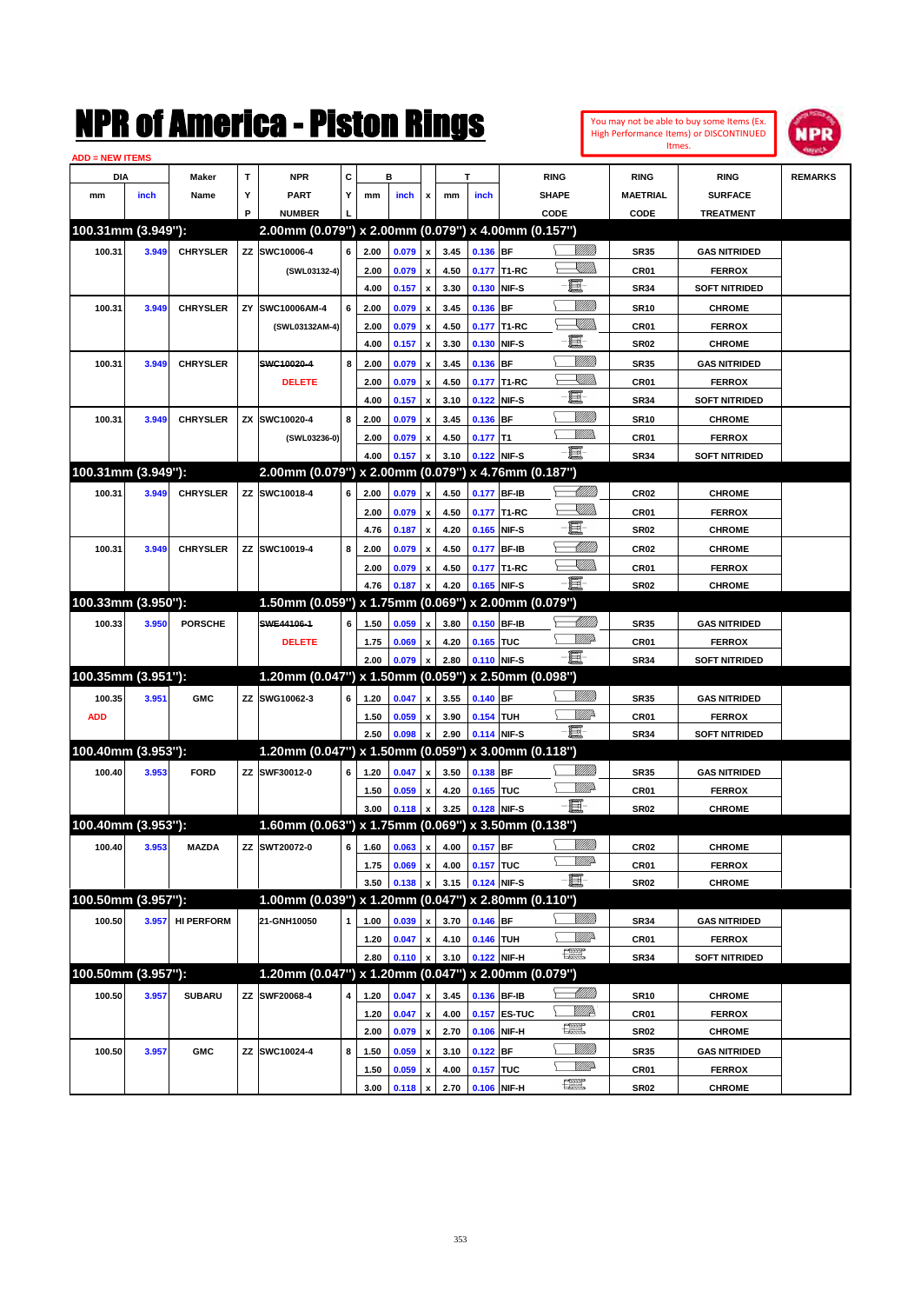| ADD = NEW ITEMS    |       |                  |    |                                                     |   |      |                                 |                    |      |                  |                   |                                                                                                                                                                                                                                                                                                                                                                                             |                  |                      |                |
|--------------------|-------|------------------|----|-----------------------------------------------------|---|------|---------------------------------|--------------------|------|------------------|-------------------|---------------------------------------------------------------------------------------------------------------------------------------------------------------------------------------------------------------------------------------------------------------------------------------------------------------------------------------------------------------------------------------------|------------------|----------------------|----------------|
| DIA                |       | Maker            | т  | <b>NPR</b>                                          | c | в    |                                 |                    | т    |                  |                   | <b>RING</b>                                                                                                                                                                                                                                                                                                                                                                                 | <b>RING</b>      | <b>RING</b>          | <b>REMARKS</b> |
| mm                 | inch  | Name             | Y  | <b>PART</b>                                         | Y | mm   | inch                            | x                  | mm   | inch             |                   | SHAPE                                                                                                                                                                                                                                                                                                                                                                                       | MAETRIAL         | <b>SURFACE</b>       |                |
|                    |       |                  | P  | <b>NUMBER</b>                                       |   |      |                                 |                    |      |                  |                   | CODE                                                                                                                                                                                                                                                                                                                                                                                        | CODE             | <b>TREATMENT</b>     |                |
| 100.31mm (3.949"): |       |                  |    | 2.00mm (0.079") x 2.00mm (0.079") x 4.00mm (0.157") |   |      |                                 |                    |      |                  |                   |                                                                                                                                                                                                                                                                                                                                                                                             |                  |                      |                |
| 100.31             | 3.949 | <b>CHRYSLER</b>  | ZZ | SWC10006-4                                          | 6 | 2.00 | 0.079                           | $\pmb{\mathsf{x}}$ | 3.45 | 0.136 BF         |                   | <u>Villilli</u>                                                                                                                                                                                                                                                                                                                                                                             | SR35             | <b>GAS NITRIDED</b>  |                |
|                    |       |                  |    | (SWL03132-4)                                        |   | 2.00 | 0.079                           | $\pmb{\mathsf{x}}$ | 4.50 |                  | 0.177 T1-RC       | <u>Sillin</u>                                                                                                                                                                                                                                                                                                                                                                               | CR01             | <b>FERROX</b>        |                |
|                    |       |                  |    |                                                     |   | 4.00 | 0.157                           | x                  | 3.30 | 0.130 NIF-S      |                   | e.                                                                                                                                                                                                                                                                                                                                                                                          | <b>SR34</b>      | <b>SOFT NITRIDED</b> |                |
| 100.31             | 3.949 | <b>CHRYSLER</b>  | ZY | SWC10006AM-4                                        | 6 | 2.00 | 0.079                           | $\pmb{\mathsf{x}}$ | 3.45 | 0.136            | <b>BF</b>         | VIIII                                                                                                                                                                                                                                                                                                                                                                                       | <b>SR10</b>      | <b>CHROME</b>        |                |
|                    |       |                  |    | (SWL03132AM-4)                                      |   | 2.00 | 0.079                           | x                  | 4.50 |                  | 0.177 T1-RC       | <u>Sillilli</u>                                                                                                                                                                                                                                                                                                                                                                             | CR01             | <b>FERROX</b>        |                |
|                    |       |                  |    |                                                     |   | 4.00 | 0.157                           | x                  | 3.30 | 0.130 NIF-S      |                   | e.                                                                                                                                                                                                                                                                                                                                                                                          | <b>SR02</b>      | <b>CHROME</b>        |                |
| 100.31             | 3.949 | <b>CHRYSLER</b>  |    | SWC10020-4                                          | 8 | 2.00 | 0.079                           | x                  | 3.45 | 0.136            | <b>BF</b>         | <u>Milli</u>                                                                                                                                                                                                                                                                                                                                                                                | SR35             | <b>GAS NITRIDED</b>  |                |
|                    |       |                  |    | <b>DELETE</b>                                       |   | 2.00 | 0.079                           | x                  | 4.50 |                  | 0.177 T1-RC       | <u>Sillill</u>                                                                                                                                                                                                                                                                                                                                                                              | CR01             | <b>FERROX</b>        |                |
|                    |       |                  |    |                                                     |   | 4.00 | 0.157                           | x                  | 3.10 | 0.122            | NIF-S             | e.                                                                                                                                                                                                                                                                                                                                                                                          | <b>SR34</b>      | <b>SOFT NITRIDED</b> |                |
| 100.31             | 3.949 | <b>CHRYSLER</b>  | ZΧ | SWC10020-4                                          | 8 | 2.00 | 0.079                           | x                  | 3.45 | 0.136            | BF                | <u>Milli</u>                                                                                                                                                                                                                                                                                                                                                                                | <b>SR10</b>      | <b>CHROME</b>        |                |
|                    |       |                  |    | (SWL03236-0)                                        |   | 2.00 | 0.079                           | x                  | 4.50 | $0.177$ T1       |                   | <u>MM</u>                                                                                                                                                                                                                                                                                                                                                                                   | CR01             | <b>FERROX</b>        |                |
|                    |       |                  |    |                                                     |   | 4.00 | 0.157                           |                    | 3.10 | 0.122 NIF-S      |                   | O.                                                                                                                                                                                                                                                                                                                                                                                          | <b>SR34</b>      | <b>SOFT NITRIDED</b> |                |
| 100.31mm (3.949"): |       |                  |    | 2.00mm (0.079") x 2.00mm (0.079") x 4.76mm (0.187") |   |      |                                 |                    |      |                  |                   |                                                                                                                                                                                                                                                                                                                                                                                             |                  |                      |                |
| 100.31             | 3.949 | <b>CHRYSLER</b>  | ZZ | SWC10018-4                                          | 6 | 2.00 | 0.079                           | $\pmb{\mathsf{x}}$ | 4.50 | 0.177 BF-IB      |                   | <u> UMM</u>                                                                                                                                                                                                                                                                                                                                                                                 | CR <sub>02</sub> | <b>CHROME</b>        |                |
|                    |       |                  |    |                                                     |   | 2.00 | 0.079                           | $\pmb{\mathsf{x}}$ | 4.50 |                  | 0.177 T1-RC       | <u>Sillill</u>                                                                                                                                                                                                                                                                                                                                                                              | CR01             | <b>FERROX</b>        |                |
|                    |       |                  |    |                                                     |   | 4.76 | 0.187                           | x                  | 4.20 | 0.165 NIF-S      |                   | e                                                                                                                                                                                                                                                                                                                                                                                           | <b>SR02</b>      | <b>CHROME</b>        |                |
| 100.31             | 3.949 | <b>CHRYSLER</b>  | ZZ | SWC10019-4                                          | 8 | 2.00 | 0.079                           | x                  | 4.50 | 0.177            | <b>BF-IB</b>      | <u> UMM</u>                                                                                                                                                                                                                                                                                                                                                                                 | CR <sub>02</sub> | <b>CHROME</b>        |                |
|                    |       |                  |    |                                                     |   | 2.00 | 0.079                           | x                  | 4.50 |                  | 0.177 T1-RC       | <u>Sillill</u>                                                                                                                                                                                                                                                                                                                                                                              | CR01             | <b>FERROX</b>        |                |
|                    |       |                  |    |                                                     |   | 4.76 | 0.187                           |                    | 4.20 | 0.165 NIF-S      |                   | E.                                                                                                                                                                                                                                                                                                                                                                                          | <b>SR02</b>      | <b>CHROME</b>        |                |
| 100.33mm (3.950"): |       |                  |    | 1.50mm (0.059") x 1.75mm (0.069")                   |   |      |                                 |                    |      |                  | x 2.00mm (0.079") |                                                                                                                                                                                                                                                                                                                                                                                             |                  |                      |                |
| 100.33             | 3.950 | <b>PORSCHE</b>   |    | SWE44106-1                                          | 6 | 1.50 | 0.059                           | $\pmb{\mathsf{x}}$ | 3.80 | 0.150 BF-IB      |                   | <u> UMM</u>                                                                                                                                                                                                                                                                                                                                                                                 | SR35             | <b>GAS NITRIDED</b>  |                |
|                    |       |                  |    | <b>DELETE</b>                                       |   | 1.75 | 0.069                           | x                  | 4.20 | 0.165 TUC        |                   | <u>MM</u>                                                                                                                                                                                                                                                                                                                                                                                   | CR01             | <b>FERROX</b>        |                |
|                    |       |                  |    |                                                     |   | 2.00 | 0.079                           |                    | 2.80 | 0.110 NIF-S      |                   | 貫−                                                                                                                                                                                                                                                                                                                                                                                          | <b>SR34</b>      | <b>SOFT NITRIDED</b> |                |
| 100.35mm (3.951"): |       |                  |    | 1.20mm (0.047") x 1.50mm (0.059") x 2.50mm (0.098") |   |      |                                 |                    |      |                  |                   |                                                                                                                                                                                                                                                                                                                                                                                             |                  |                      |                |
| 100.35             | 3.951 | <b>GMC</b>       |    | ZZ SWG10062-3                                       | 6 | 1.20 | 0.047                           | x                  | 3.55 | 0.140            | BF                | <u>VIIII</u>                                                                                                                                                                                                                                                                                                                                                                                | SR35             | <b>GAS NITRIDED</b>  |                |
| <b>ADD</b>         |       |                  |    |                                                     |   | 1.50 | 0.059                           | x                  | 3.90 | 0.154 TUH        |                   | <u>Mille</u>                                                                                                                                                                                                                                                                                                                                                                                | CR01             | <b>FERROX</b>        |                |
|                    |       |                  |    |                                                     |   | 2.50 | 0.098                           |                    | 2.90 | 0.114 NIF-S      |                   | e.                                                                                                                                                                                                                                                                                                                                                                                          | <b>SR34</b>      | <b>SOFT NITRIDED</b> |                |
| 100.40mm (3.953"): |       |                  |    | 1.20mm (0.047") x 1.50mm (0.059") x 3.00mm (0.118") |   |      |                                 |                    |      |                  |                   |                                                                                                                                                                                                                                                                                                                                                                                             |                  |                      |                |
| 100.40             | 3.953 | <b>FORD</b>      | ZZ | SWF30012-0                                          | 6 | 1.20 | 0.047                           | $\pmb{\mathsf{x}}$ | 3.50 | 0.138            | BF                | <u>Millil</u>                                                                                                                                                                                                                                                                                                                                                                               | SR35             | <b>GAS NITRIDED</b>  |                |
|                    |       |                  |    |                                                     |   | 1.50 | 0.059                           | x                  | 4.20 | 0.165 TUC        |                   | <u>MWA</u>                                                                                                                                                                                                                                                                                                                                                                                  | CR01             | <b>FERROX</b>        |                |
|                    |       |                  |    |                                                     |   | 3.00 | 0.118                           |                    | 3.25 | 0.128 NIF-S      |                   | 匱                                                                                                                                                                                                                                                                                                                                                                                           | <b>SR02</b>      | <b>CHROME</b>        |                |
| 100.40mm (3.953"): |       |                  |    | 1.60mm (0.063") x 1.75mm (0.069") x 3.50mm (0.138") |   |      |                                 |                    |      |                  |                   |                                                                                                                                                                                                                                                                                                                                                                                             |                  |                      |                |
| 100.40             | 3.953 | <b>MAZDA</b>     |    | ZZ SWT20072-0                                       |   |      | 6 1.60 0.063 x 4.00 0.157 BF    |                    |      |                  |                   |                                                                                                                                                                                                                                                                                                                                                                                             | <b>CR02</b>      | <b>CHROME</b>        |                |
|                    |       |                  |    |                                                     |   | 1.75 | 0.069 x                         |                    | 4.00 | 0.157 TUC        |                   | <u>WW</u>                                                                                                                                                                                                                                                                                                                                                                                   | CR01             | <b>FERROX</b>        |                |
|                    |       |                  |    |                                                     |   | 3.50 | $0.138 \times$                  |                    | 3.15 | 0.124 NIF-S      |                   | $-\Xi$                                                                                                                                                                                                                                                                                                                                                                                      | <b>SR02</b>      | <b>CHROME</b>        |                |
| 100.50mm (3.957"): |       |                  |    | 1.00mm (0.039") x 1.20mm (0.047") x 2.80mm (0.110") |   |      |                                 |                    |      |                  |                   |                                                                                                                                                                                                                                                                                                                                                                                             |                  |                      |                |
| 100.50             |       | 3.957 HI PERFORM |    | 21-GNH10050                                         | 1 | 1.00 | 0.039 x                         |                    | 3.70 | $0.146$ BF       |                   | <u>Milli</u> b                                                                                                                                                                                                                                                                                                                                                                              | SR34             | <b>GAS NITRIDED</b>  |                |
|                    |       |                  |    |                                                     |   | 1.20 | $0.047 \times$                  |                    | 4.10 | 0.146 TUH        |                   | ⊆<br><u>Willi</u>                                                                                                                                                                                                                                                                                                                                                                           | CR01             | <b>FERROX</b>        |                |
|                    |       |                  |    |                                                     |   | 2.80 | $0.110 \mid x \mid$             |                    | 3.10 | 0.122 NIF-H      |                   | $\begin{picture}(20,20) \put(0,0){\dashbox{0.5}(20,0){ }} \put(15,0){\circle{10}} \put(25,0){\circle{10}} \put(25,0){\circle{10}} \put(25,0){\circle{10}} \put(25,0){\circle{10}} \put(25,0){\circle{10}} \put(25,0){\circle{10}} \put(25,0){\circle{10}} \put(25,0){\circle{10}} \put(25,0){\circle{10}} \put(25,0){\circle{10}} \put(25,0){\circle{10}} \put(25,0){\circle{10}} \put(25,$ | <b>SR34</b>      | <b>SOFT NITRIDED</b> |                |
| 100.50mm (3.957"): |       |                  |    | 1.20mm (0.047") x 1.20mm (0.047") x 2.00mm (0.079") |   |      |                                 |                    |      |                  |                   |                                                                                                                                                                                                                                                                                                                                                                                             |                  |                      |                |
| 100.50             | 3.957 | <b>SUBARU</b>    |    | <b>ZZ SWF20068-4</b>                                | 4 | 1.20 | $0.047 \times$                  |                    |      | 3.45 0.136 BF-IB |                   | <u>-MMM</u>                                                                                                                                                                                                                                                                                                                                                                                 | <b>SR10</b>      | <b>CHROME</b>        |                |
|                    |       |                  |    |                                                     |   | 1.20 | $0.047 \times$                  |                    |      |                  | 4.00 0.157 ES-TUC | <u>Willia</u>                                                                                                                                                                                                                                                                                                                                                                               | CR01             | <b>FERROX</b>        |                |
|                    |       |                  |    |                                                     |   | 2.00 | $0.079 \times 2.70$ 0.106 NIF-H |                    |      |                  |                   | $\begin{picture}(20,20) \put(0,0){\line(1,0){10}} \put(15,0){\line(1,0){10}} \put(15,0){\line(1,0){10}} \put(15,0){\line(1,0){10}} \put(15,0){\line(1,0){10}} \put(15,0){\line(1,0){10}} \put(15,0){\line(1,0){10}} \put(15,0){\line(1,0){10}} \put(15,0){\line(1,0){10}} \put(15,0){\line(1,0){10}} \put(15,0){\line(1,0){10}} \put(15,0){\line(1$                                         | <b>SR02</b>      | <b>CHROME</b>        |                |

**NPR** 

**100.50 3.957 GMC ZZ SWC10024-4 8 1.50 0.059 x 3.10 0.122 BF SR35 GAS NITRIDED**

**2.00 0.079 x 2.70 0.106 NIF-H SR02 CHROME**

**1.50 0.059 x 4.00 0.157 TUC CR01 CR01 FERROX**<br>**2.00 0.118 x 2.70 0.106 NIF-H CRU CRO2 CHROME 3.00 0.118 x 2.70 0.106 NIF-H SR02 CHROME**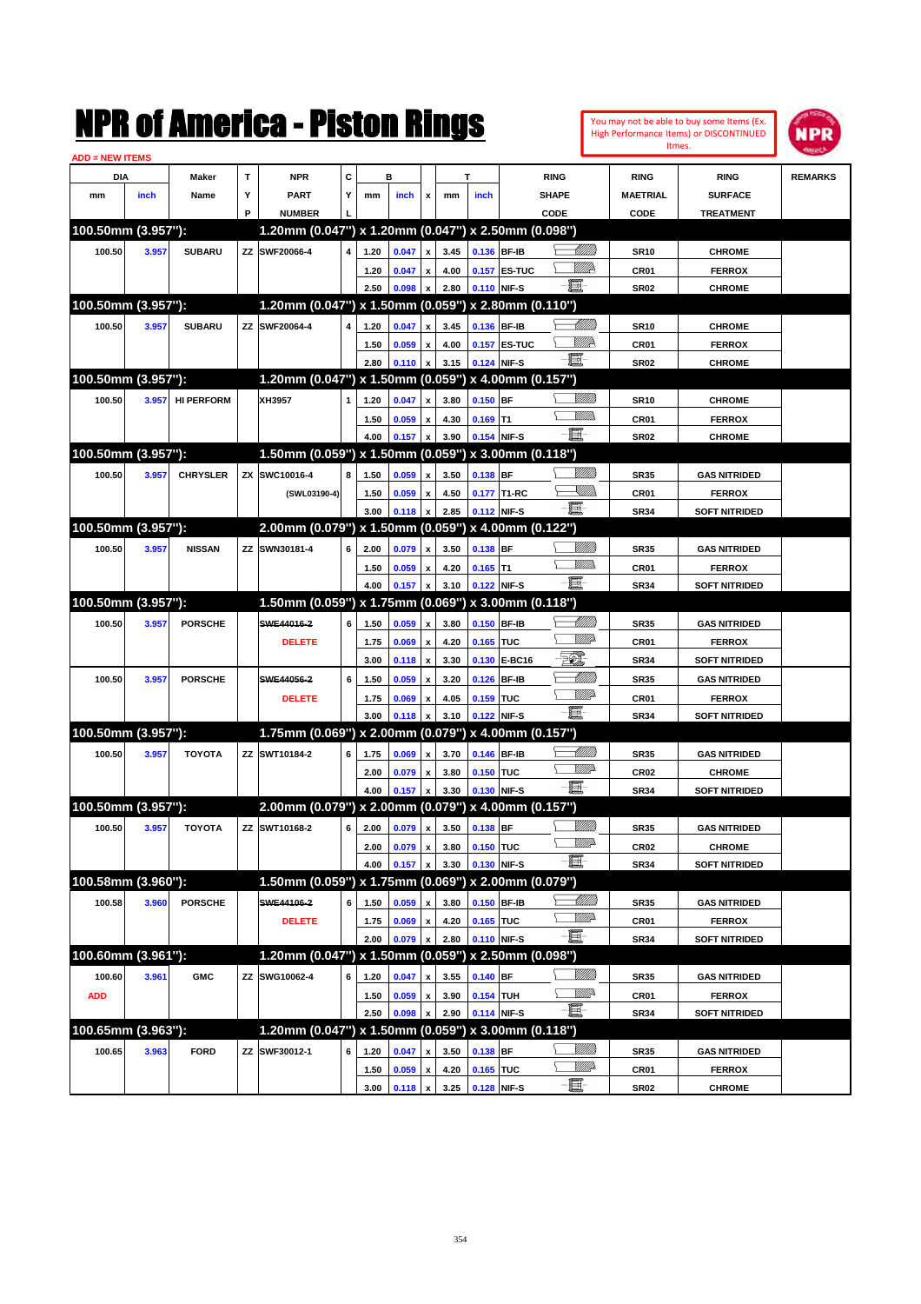|                               |       |                   |           | NMK OI AINCrica - Miston Kings                      |   |              |                |                           |              |             |              |                 |                  |                  | You may not be able to buy some Items (Ex.<br>High Performance Items) or DISCONTINUED<br>Itmes. | IPR            |
|-------------------------------|-------|-------------------|-----------|-----------------------------------------------------|---|--------------|----------------|---------------------------|--------------|-------------|--------------|-----------------|------------------|------------------|-------------------------------------------------------------------------------------------------|----------------|
| <b>ADD = NEW ITEMS</b><br>DIA |       | Maker             | T         | <b>NPR</b>                                          | C |              | в              |                           |              | T           |              | <b>RING</b>     |                  | <b>RING</b>      | <b>RING</b>                                                                                     | <b>REMARKS</b> |
| mm                            | inch  | Name              | Υ         | PART                                                | Y | mm           | inch           | x                         | mm           | inch        |              | <b>SHAPE</b>    |                  | <b>MAETRIAL</b>  | <b>SURFACE</b>                                                                                  |                |
|                               |       |                   | P         | <b>NUMBER</b>                                       |   |              |                |                           |              |             |              | CODE            |                  | <b>CODE</b>      | <b>TREATMENT</b>                                                                                |                |
| 100.50mm (3.957"):            |       |                   |           | 1.20mm (0.047") x 1.20mm (0.047") x 2.50mm (0.098") |   |              |                |                           |              |             |              |                 |                  |                  |                                                                                                 |                |
| 100.50                        | 3.957 | <b>SUBARU</b>     | ZZ        | SWF20066-4                                          | 4 | 1.20         | 0.047          | x                         | 3.45         |             | 0.136 BF-IB  |                 | <u>UMM</u>       | <b>SR10</b>      | <b>CHROME</b>                                                                                   |                |
|                               |       |                   |           |                                                     |   | 1.20         | 0.047          | X                         | 4.00         |             | 0.157 ES-TUC |                 | ₩₩               | CR <sub>01</sub> | <b>FERROX</b>                                                                                   |                |
|                               |       |                   |           |                                                     |   | 2.50         | 0.098          | X                         | 2.80         |             | 0.110 NIF-S  | E.              |                  | <b>SR02</b>      | <b>CHROME</b>                                                                                   |                |
| 100.50mm (3.957"):            |       |                   |           | 1.20mm (0.047") x 1.50mm (0.059") x 2.80mm (0.110") |   |              |                |                           |              |             |              |                 |                  |                  |                                                                                                 |                |
| 100.50                        | 3.957 | <b>SUBARU</b>     | ZZ        | SWF20064-4                                          | 4 | 1.20         | 0.047          | x                         | 3.45         |             | 0.136 BF-IB  |                 | <u> UMM</u>      | <b>SR10</b>      | <b>CHROME</b>                                                                                   |                |
|                               |       |                   |           |                                                     |   | 1.50         | 0.059          | X                         | 4.00         |             | 0.157 ES-TUC |                 | <u>VMP</u>       | CR <sub>01</sub> | <b>FERROX</b>                                                                                   |                |
|                               |       |                   |           |                                                     |   | 2.80         | 0.110          | X                         | 3.15         |             | 0.124 NIF-S  | E.              |                  | <b>SR02</b>      | <b>CHROME</b>                                                                                   |                |
| 100.50mm (3.957"):            |       |                   |           | 1.20mm (0.047") x 1.50mm (0.059") x 4.00mm (0.157") |   |              |                |                           |              |             |              |                 |                  |                  |                                                                                                 |                |
| 100.50                        | 3.957 | <b>HI PERFORM</b> |           | XH3957                                              | 1 | 1.20         | 0.047          | x                         | 3.80         | $0.150$ BF  |              |                 | <u>Millill</u>   | <b>SR10</b>      | <b>CHROME</b>                                                                                   |                |
|                               |       |                   |           |                                                     |   | 1.50         | 0.059          | X                         | 4.30         | $0.169$ T1  |              |                 | <br>Mar          | CR <sub>01</sub> | <b>FERROX</b>                                                                                   |                |
|                               |       |                   |           |                                                     |   | 4.00         | 0.157          | X                         | 3.90         |             | 0.154 NIF-S  | E.              |                  | <b>SR02</b>      | <b>CHROME</b>                                                                                   |                |
| 100.50mm (3.957"):            |       |                   |           | 1.50mm (0.059") x 1.50mm (0.059") x 3.00mm (0.118") |   |              |                |                           |              |             |              |                 |                  |                  |                                                                                                 |                |
| 100.50                        | 3.957 | <b>CHRYSLER</b>   | <b>ZX</b> | SWC10016-4                                          | 8 | 1.50         | 0.059          | x                         | 3.50         | 0.138 BF    |              |                 | <u>Milli</u>     | <b>SR35</b>      | <b>GAS NITRIDED</b>                                                                             |                |
|                               |       |                   |           | (SWL03190-4)                                        |   | 1.50         | 0.059          | x                         | 4.50         |             | 0.177 T1-RC  |                 | <u>SUM</u>       | CR01             | <b>FERROX</b>                                                                                   |                |
|                               |       |                   |           |                                                     |   | 3.00         | 0.118          | X                         | 2.85         |             | 0.112 NIF-S  | E               |                  | <b>SR34</b>      | <b>SOFT NITRIDED</b>                                                                            |                |
| 100.50mm (3.957"):            |       |                   |           | 2.00mm (0.079") x 1.50mm (0.059") x 4.00mm (0.122") |   |              |                |                           |              |             |              |                 |                  |                  |                                                                                                 |                |
| 100.50                        | 3.957 | <b>NISSAN</b>     | ZZ        | SWN30181-4                                          | 6 | 2.00         | 0.079          | x                         | 3.50         | 0.138 BF    |              |                 | <u>Milli</u> k   | <b>SR35</b>      | <b>GAS NITRIDED</b>                                                                             |                |
|                               |       |                   |           |                                                     |   | 1.50         | 0.059          | X                         | 4.20         | $0.165$ T1  |              |                 | .<br>WWW         | CR01             | <b>FERROX</b>                                                                                   |                |
|                               |       |                   |           |                                                     |   | 4.00         | 0.157          | X                         | 3.10         |             | 0.122 NIF-S  | -8              |                  | <b>SR34</b>      | <b>SOFT NITRIDED</b>                                                                            |                |
| 100.50mm (3.957"):            |       |                   |           | 1.50mm (0.059") x 1.75mm (0.069") x 3.00mm (0.118") |   |              |                |                           |              |             |              |                 |                  |                  |                                                                                                 |                |
| 100.50                        | 3.957 | <b>PORSCHE</b>    |           | SWE44016-2                                          | 6 | 1.50         | 0.059          | x                         | 3.80         |             | 0.150 BF-IB  |                 | <u> UMM</u>      | <b>SR35</b>      | <b>GAS NITRIDED</b>                                                                             |                |
|                               |       |                   |           | <b>DELETE</b>                                       |   | 1.75         | 0.069          | x                         | 4.20         | 0.165 TUC   |              |                 | 7777).           | CR <sub>01</sub> | <b>FERROX</b>                                                                                   |                |
|                               |       |                   |           |                                                     |   | 3.00         | 0.118          | X                         | 3.30         |             | 0.130 E-BC16 | EC)             |                  | <b>SR34</b>      | <b>SOFT NITRIDED</b>                                                                            |                |
| 100.50                        | 3.957 | <b>PORSCHE</b>    |           | SWE44056-2                                          | 6 | 1.50         | 0.059          | X                         | 3.20         | 0.126       | <b>BF-IB</b> |                 | <u> UMM</u>      | <b>SR35</b>      | <b>GAS NITRIDED</b>                                                                             |                |
|                               |       |                   |           | <b>DELETE</b>                                       |   | 1.75         | 0.069          | X                         | 4.05         | 0.159 TUC   |              |                 | <u>MMP</u>       | CR <sub>01</sub> | <b>FERROX</b>                                                                                   |                |
|                               |       |                   |           |                                                     |   | 3.00         | 0.118          | X                         | 3.10         |             | 0.122 NIF-S  | -8              |                  | <b>SR34</b>      | <b>SOFT NITRIDED</b>                                                                            |                |
| 100.50mm (3.957"):            |       |                   |           | 1.75mm (0.069") x 2.00mm (0.079") x 4.00mm (0.157") |   |              |                |                           |              |             |              |                 |                  |                  |                                                                                                 |                |
| 100.50                        | 3.957 | <b>TOYOTA</b>     | ΖZ        | SWT10184-2                                          | 6 | 1.75         | 0.069          | X                         | 3.70         |             | 0.146 BF-IB  |                 | <u> UMM</u>      | <b>SR35</b>      | <b>GAS NITRIDED</b>                                                                             |                |
|                               |       |                   |           |                                                     |   | 2.00         | 0.079          | x                         | 3.80         | 0.150 TUC   |              |                 | <u>VMD</u>       | <b>CR02</b>      | <b>CHROME</b>                                                                                   |                |
|                               |       |                   |           |                                                     |   | 4.00         | 0.157          | x                         | 3.30         | 0.130 NIF-S |              | e.              |                  | <b>SR34</b>      | <b>SOFT NITRIDED</b>                                                                            |                |
| 100.50mm (3.957"):            |       |                   |           | 2.00mm (0.079") x 2.00mm (0.079") x 4.00mm (0.157") |   |              |                |                           |              |             |              |                 |                  |                  |                                                                                                 |                |
| 100.50                        | 3.957 | <b>TOYOTA</b>     | ΖZ        | SWT10168-2                                          | 6 | 2.00         | 0.079          | $\pmb{\mathsf{x}}$        | 3.50         | 0.138 BF    |              |                 | <u>VMM</u>       | <b>SR35</b>      | <b>GAS NITRIDED</b>                                                                             |                |
|                               |       |                   |           |                                                     |   | 2.00         | 0.079          | $\pmb{\mathsf{x}}$        | 3.80         | 0.150 TUC   |              |                 | <u>WWP</u>       | CR02             | <b>CHROME</b>                                                                                   |                |
|                               |       |                   |           |                                                     |   | 4.00         | 0.157          | $\boldsymbol{\mathsf{x}}$ | 3.30         | 0.130 NIF-S |              | $-\blacksquare$ |                  | <b>SR34</b>      | <b>SOFT NITRIDED</b>                                                                            |                |
| 100.58mm (3.960"):            |       |                   |           | 1.50mm (0.059") x 1.75mm (0.069") x 2.00mm (0.079") |   |              |                |                           |              |             |              |                 |                  |                  |                                                                                                 |                |
| 100.58                        | 3.960 | <b>PORSCHE</b>    |           | SWE44106-2                                          | 6 | 1.50         | 0.059          | X                         | 3.80         |             | 0.150 BF-IB  |                 | <u> Millitti</u> | <b>SR35</b>      | <b>GAS NITRIDED</b>                                                                             |                |
|                               |       |                   |           | <b>DELETE</b>                                       |   | 1.75         | 0.069          | $\pmb{\mathsf{x}}$        | 4.20         | 0.165 TUC   |              |                 | ₩₩               | CR01             | <b>FERROX</b>                                                                                   |                |
|                               |       |                   |           |                                                     |   | 2.00         | 0.079          | x                         | 2.80         | 0.110 NIF-S |              | -fi-            |                  | <b>SR34</b>      | <b>SOFT NITRIDED</b>                                                                            |                |
| 100.60mm (3.961"):            |       |                   |           | 1.20mm (0.047") x 1.50mm (0.059") x 2.50mm (0.098") |   |              |                |                           |              |             |              |                 |                  |                  |                                                                                                 |                |
|                               |       |                   | ZZ        | SWG10062-4                                          |   |              |                |                           |              | $0.140$ BF  |              |                 | <u>VIIII)</u>    |                  |                                                                                                 |                |
| 100.60                        | 3.961 | <b>GMC</b>        |           |                                                     | 6 | 1.20         | 0.047          | X                         | 3.55         |             |              |                 | WWP-             | <b>SR35</b>      | <b>GAS NITRIDED</b>                                                                             |                |
| <b>ADD</b>                    |       |                   |           |                                                     |   | 1.50<br>2.50 | 0.059<br>0.098 | $\pmb{\mathsf{x}}$        | 3.90<br>2.90 | 0.154 TUH   | 0.114 NIF-S  | $-\Xi$          |                  | CR01             | <b>FERROX</b><br><b>SOFT NITRIDED</b>                                                           |                |
| 100.65mm (3.963"):            |       |                   |           | 1.20mm (0.047") x 1.50mm (0.059") x 3.00mm (0.118") |   |              |                | x                         |              |             |              |                 |                  | <b>SR34</b>      |                                                                                                 |                |
|                               |       |                   |           |                                                     |   |              |                |                           |              |             |              |                 | <u>Millit</u>    |                  |                                                                                                 |                |
| 100.65                        | 3.963 | <b>FORD</b>       | ZZ        | SWF30012-1                                          | 6 | 1.20         | 0.047          | X                         | 3.50         | 0.138 BF    |              |                 | ₩₩               | <b>SR35</b>      | <b>GAS NITRIDED</b>                                                                             |                |
|                               |       |                   |           |                                                     |   | 1.50         | 0.059          | $\pmb{\mathsf{x}}$        | 4.20         | 0.165 TUC   |              | e               |                  | CR01             | <b>FERROX</b>                                                                                   |                |
|                               |       |                   |           |                                                     |   | 3.00         | 0.118          | $\mathbf{x}$              | 3.25         | 0.128 NIF-S |              |                 |                  | <b>SR02</b>      | <b>CHROME</b>                                                                                   |                |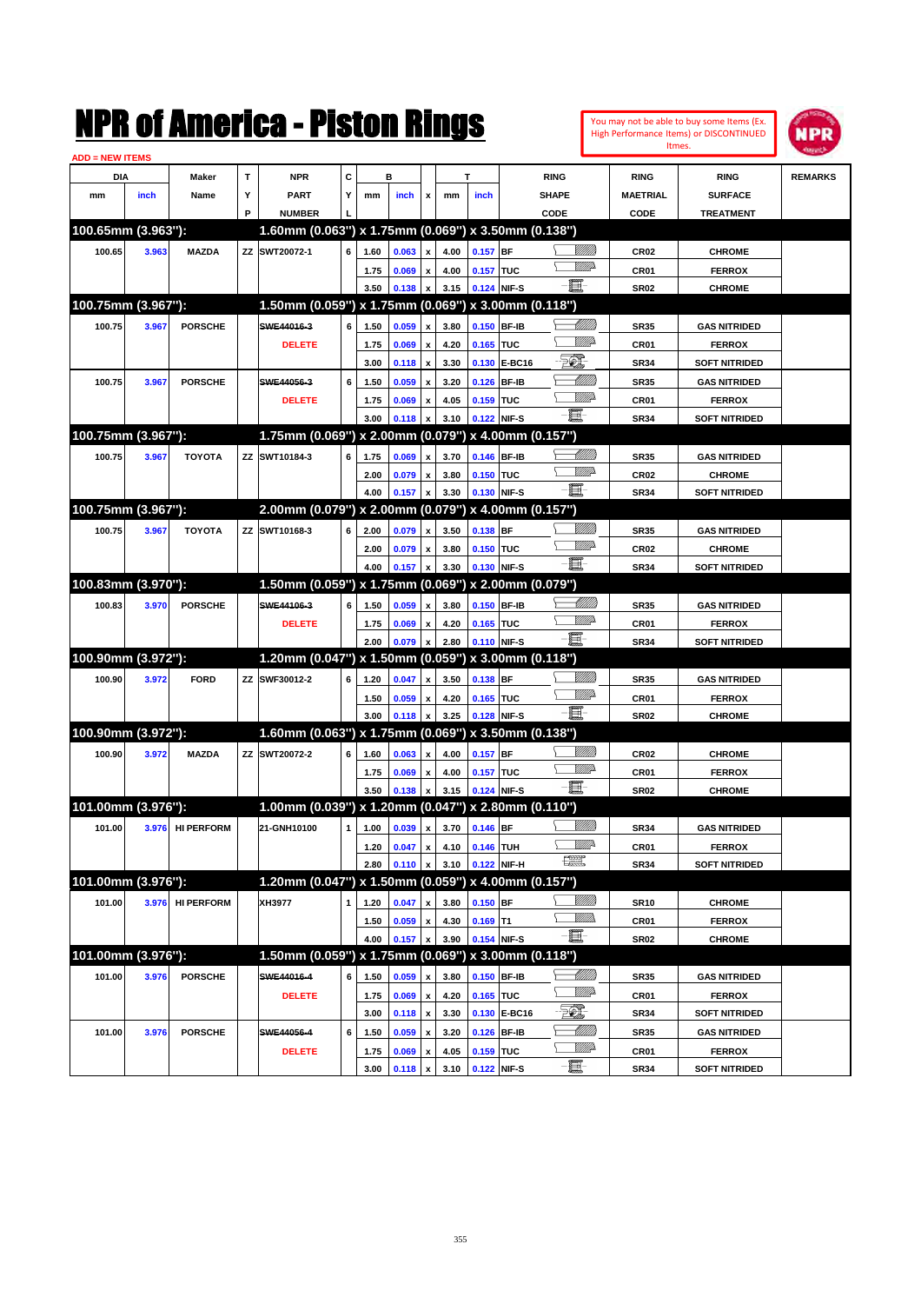|                        |       |                   |   | NMK OI AINCrica - Miston Kings                      |              |      |       |                           |      |            |               |                               |                 |                  | You may not be able to buy some Items (Ex.<br>High Performance Items) or DISCONTINUED<br>Itmes. | IPR            |
|------------------------|-------|-------------------|---|-----------------------------------------------------|--------------|------|-------|---------------------------|------|------------|---------------|-------------------------------|-----------------|------------------|-------------------------------------------------------------------------------------------------|----------------|
| <b>ADD = NEW ITEMS</b> |       |                   |   |                                                     |              |      |       |                           |      |            |               |                               |                 |                  |                                                                                                 |                |
| DIA                    |       | Maker             | T | <b>NPR</b>                                          | c            |      | в     |                           |      | т          |               | <b>RING</b>                   |                 | <b>RING</b>      | <b>RING</b>                                                                                     | <b>REMARKS</b> |
| mm                     | inch  | Name              | Υ | <b>PART</b>                                         | Y            | mm   | inch  | x                         | mm   | inch       |               | <b>SHAPE</b>                  |                 | <b>MAETRIAL</b>  | <b>SURFACE</b>                                                                                  |                |
|                        |       |                   | P | <b>NUMBER</b>                                       |              |      |       |                           |      |            |               | CODE                          |                 | CODE             | <b>TREATMENT</b>                                                                                |                |
| 100.65mm (3.963"):     |       |                   |   | 1.60mm (0.063") x 1.75mm (0.069") x 3.50mm (0.138") |              |      |       |                           |      |            |               |                               |                 |                  |                                                                                                 |                |
| 100.65                 | 3.963 | <b>MAZDA</b>      |   | ZZ SWT20072-1                                       | 6            | 1.60 | 0.063 | x                         | 4.00 | $0.157$ BF |               |                               | <u>Millil</u>   | CR <sub>02</sub> | <b>CHROME</b>                                                                                   |                |
|                        |       |                   |   |                                                     |              | 1.75 | 0.069 | x                         | 4.00 | 0.157 TUC  |               |                               | <u>VMD</u>      | CR01             | <b>FERROX</b>                                                                                   |                |
|                        |       |                   |   |                                                     |              | 3.50 | 0.138 | x                         | 3.15 | 0.124      | NIF-S         | E.                            |                 | <b>SR02</b>      | <b>CHROME</b>                                                                                   |                |
| 100.75mm (3.967"):     |       |                   |   | 1.50mm (0.059") x 1.75mm (0.069")                   |              |      |       |                           |      |            |               | x 3.00mm (0.118")             |                 |                  |                                                                                                 |                |
| 100.75                 | 3.967 | <b>PORSCHE</b>    |   | SWE44016-3                                          | 6            | 1.50 | 0.059 | x                         | 3.80 | 0.150      | <b>BF-IB</b>  |                               |                 | <b>SR35</b>      | <b>GAS NITRIDED</b>                                                                             |                |
|                        |       |                   |   | <b>DELETE</b>                                       |              | 1.75 | 0.069 | x                         | 4.20 | 0.165      | <b>TUC</b>    |                               | <u>MM</u>       | CR01             | <b>FERROX</b>                                                                                   |                |
|                        |       |                   |   |                                                     |              | 3.00 | 0.118 | $\boldsymbol{\mathsf{x}}$ | 3.30 | 0.130      | <b>E-BC16</b> | EC),                          |                 | <b>SR34</b>      | <b>SOFT NITRIDED</b>                                                                            |                |
| 100.75                 | 3.967 | <b>PORSCHE</b>    |   | SWE44056-3                                          | 6            | 1.50 | 0.059 | x                         | 3.20 | 0.126      | <b>BF-IB</b>  |                               | <u> UMM</u>     | <b>SR35</b>      | <b>GAS NITRIDED</b>                                                                             |                |
|                        |       |                   |   | <b>DELETE</b>                                       |              | 1.75 | 0.069 | x                         | 4.05 | 0.159      | <b>TUC</b>    |                               | <u>MM</u>       | CR01             | <b>FERROX</b>                                                                                   |                |
|                        |       |                   |   |                                                     |              | 3.00 | 0.118 | x                         | 3.10 |            | 0.122 NIF-S   | E.                            |                 | <b>SR34</b>      | <b>SOFT NITRIDED</b>                                                                            |                |
| 100.75mm (3.967"):     |       |                   |   | 1.75mm (0.069") x 2.00mm (0.079")                   |              |      |       |                           |      |            |               | x 4.00mm (0.157")             |                 |                  |                                                                                                 |                |
| 100.75                 | 3.967 | <b>TOYOTA</b>     |   | ZZ SWT10184-3                                       | 6            | 1.75 | 0.069 | x                         | 3.70 | 0.146      | <b>BF-IB</b>  |                               | <u> Milli</u>   | <b>SR35</b>      | <b>GAS NITRIDED</b>                                                                             |                |
|                        |       |                   |   |                                                     |              | 2.00 | 0.079 | x                         | 3.80 | 0.150 TUC  |               |                               | <u>VMD</u>      | CR <sub>02</sub> | <b>CHROME</b>                                                                                   |                |
|                        |       |                   |   |                                                     |              | 4.00 | 0.157 | X                         | 3.30 | 0.130      | NIF-S         | E.                            |                 | <b>SR34</b>      | <b>SOFT NITRIDED</b>                                                                            |                |
| 100.75mm (3.967"):     |       |                   |   | 2.00mm (0.079") x 2.00mm (0.079")                   |              |      |       |                           |      |            |               | x 4.00mm (0.157")             |                 |                  |                                                                                                 |                |
| 100.75                 | 3.967 | <b>TOYOTA</b>     |   | ZZ SWT10168-3                                       | 6            | 2.00 | 0.079 | x                         | 3.50 | 0.138 BF   |               |                               | <u>VIIII)</u>   | <b>SR35</b>      | <b>GAS NITRIDED</b>                                                                             |                |
|                        |       |                   |   |                                                     |              | 2.00 | 0.079 | x                         | 3.80 | 0.150 TUC  |               |                               | <u>VMD</u>      | CR <sub>02</sub> | <b>CHROME</b>                                                                                   |                |
|                        |       |                   |   |                                                     |              | 4.00 | 0.157 | X                         | 3.30 | 0.130      | NIF-S         | E.                            |                 | <b>SR34</b>      | <b>SOFT NITRIDED</b>                                                                            |                |
| 100.83mm (3.970"):     |       |                   |   | 1.50mm (0.059") x 1.75mm (0.069")                   |              |      |       |                           |      |            |               | x 2.00mm (0.079")             |                 |                  |                                                                                                 |                |
| 100.83                 |       | <b>PORSCHE</b>    |   | SWE44106-3                                          | 6            |      |       |                           |      |            | 0.150 BF-IB   |                               | <u> Millito</u> |                  |                                                                                                 |                |
|                        | 3.970 |                   |   |                                                     |              | 1.50 | 0.059 | x                         | 3.80 |            |               |                               | <br>Willia      | <b>SR35</b>      | <b>GAS NITRIDED</b>                                                                             |                |
|                        |       |                   |   | <b>DELETE</b>                                       |              | 1.75 | 0.069 | x                         | 4.20 | 0.165      | <b>TUC</b>    | 匱                             |                 | CR01             | <b>FERROX</b>                                                                                   |                |
| 100.90mm (3.972"):     |       |                   |   | 1.20mm (0.047") x 1.50mm (0.059")                   |              | 2.00 | 0.079 | x                         | 2.80 |            | 0.110 NIF-S   | x 3.00mm (0.118")             |                 | <b>SR34</b>      | <b>SOFT NITRIDED</b>                                                                            |                |
|                        |       |                   |   |                                                     |              |      |       |                           |      |            |               |                               | <u>VIIII)</u>   |                  |                                                                                                 |                |
| 100.90                 | 3.972 | <b>FORD</b>       |   | ZZ SWF30012-2                                       | 6            | 1.20 | 0.047 | x                         | 3.50 | 0.138 BF   |               |                               | <br>William     | <b>SR35</b>      | <b>GAS NITRIDED</b>                                                                             |                |
|                        |       |                   |   |                                                     |              | 1.50 | 0.059 | x                         | 4.20 | 0.165 TUC  |               | E-                            |                 | CR01             | <b>FERROX</b>                                                                                   |                |
|                        |       |                   |   |                                                     |              | 3.00 | 0.118 | x                         | 3.25 | 0.128      | NIF-S         |                               |                 | <b>SR02</b>      | <b>CHROME</b>                                                                                   |                |
| 100.90mm (3.972"):     |       |                   |   | 1.60mm (0.063") x 1.75mm (0.069")                   |              |      |       |                           |      |            |               | x 3.50mm (0.138")             |                 |                  |                                                                                                 |                |
| 100.90                 | 3.972 | <b>MAZDA</b>      |   | ZZ SWT20072-2                                       | 6            | 1.60 | 0.063 | X                         | 4.00 | $0.157$ BF |               |                               | <u>VIIII)</u>   | CR <sub>02</sub> | <b>CHROME</b>                                                                                   |                |
|                        |       |                   |   |                                                     |              | 1.75 | 0.069 | x                         | 4.00 | 0.157 TUC  |               |                               | <u>UMB</u>      | CR01             | <b>FERROX</b>                                                                                   |                |
|                        |       |                   |   |                                                     |              | 3.50 | 0.138 | x                         | 3.15 |            | 0.124 NIF-S   | E.                            |                 | <b>SR02</b>      | <b>CHROME</b>                                                                                   |                |
| 101.00mm (3.976"):     |       |                   |   | 1.00mm (0.039") x 1.20mm (0.047") x 2.80mm (0.110") |              |      |       |                           |      |            |               |                               |                 |                  |                                                                                                 |                |
| 101.00                 | 3.976 | <b>HI PERFORM</b> |   | 21-GNH10100                                         | $\mathbf{1}$ | 1.00 | 0.039 | $\pmb{\mathsf{x}}$        | 3.70 | $0.146$ BF |               |                               | <u>Sillilli</u> | <b>SR34</b>      | <b>GAS NITRIDED</b>                                                                             |                |
|                        |       |                   |   |                                                     |              | 1.20 | 0.047 | $\pmb{\mathsf{x}}$        | 4.10 | 0.146 TUH  |               |                               | <u>Willi</u> r  | CR01             | <b>FERROX</b>                                                                                   |                |
|                        |       |                   |   |                                                     |              | 2.80 | 0.110 | $\pmb{\mathsf{x}}$        | 3.10 |            | 0.122 NIF-H   | $f_{\text{max}}^{\text{max}}$ |                 | <b>SR34</b>      | <b>SOFT NITRIDED</b>                                                                            |                |
| 101.00mm (3.976"):     |       |                   |   | 1.20mm (0.047") x 1.50mm (0.059") x 4.00mm (0.157") |              |      |       |                           |      |            |               |                               |                 |                  |                                                                                                 |                |
| 101.00                 | 3.976 | <b>HI PERFORM</b> |   | XH3977                                              | 1            | 1.20 | 0.047 | $\pmb{\mathsf{x}}$        | 3.80 | $0.150$ BF |               |                               | <u>UMB</u>      | <b>SR10</b>      | <b>CHROME</b>                                                                                   |                |
|                        |       |                   |   |                                                     |              | 1.50 | 0.059 | $\pmb{\mathsf{x}}$        | 4.30 | $0.169$ T1 |               |                               | <u>Willib</u>   | CR01             | <b>FERROX</b>                                                                                   |                |
|                        |       |                   |   |                                                     |              | 4.00 | 0.157 | $\pmb{\mathsf{x}}$        | 3.90 |            | 0.154 NIF-S   | E                             |                 | <b>SR02</b>      | <b>CHROME</b>                                                                                   |                |
| 101.00mm (3.976"):     |       |                   |   | 1.50mm (0.059") x 1.75mm (0.069") x 3.00mm (0.118") |              |      |       |                           |      |            |               |                               |                 |                  |                                                                                                 |                |
| 101.00                 | 3.976 | <b>PORSCHE</b>    |   | SWE44016-4                                          | 6            | 1.50 | 0.059 | X                         | 3.80 |            | 0.150 BF-IB   |                               |                 | <b>SR35</b>      | <b>GAS NITRIDED</b>                                                                             |                |
|                        |       |                   |   | <b>DELETE</b>                                       |              | 1.75 | 0.069 | $\pmb{\mathsf{x}}$        | 4.20 | 0.165 TUC  |               |                               | <u>Willi</u> p  | CR01             | <b>FERROX</b>                                                                                   |                |
|                        |       |                   |   |                                                     |              | 3.00 | 0.118 | $\boldsymbol{\mathsf{x}}$ | 3.30 |            | 0.130 E-BC16  | EQ,                           |                 | <b>SR34</b>      | <b>SOFT NITRIDED</b>                                                                            |                |
| 101.00                 | 3.976 | <b>PORSCHE</b>    |   | SWE44056-4                                          | 6            | 1.50 | 0.059 | $\pmb{\mathsf{x}}$        | 3.20 |            | 0.126 BF-IB   |                               | <u> Millil</u>  | <b>SR35</b>      | <b>GAS NITRIDED</b>                                                                             |                |
|                        |       |                   |   | <b>DELETE</b>                                       |              | 1.75 | 0.069 | $\pmb{\mathsf{x}}$        | 4.05 | 0.159 TUC  |               |                               | ₩₩              | CR01             | <b>FERROX</b>                                                                                   |                |
|                        |       |                   |   |                                                     |              | 3.00 | 0.118 | $\pmb{\mathsf{x}}$        | 3.10 |            | 0.122 NIF-S   | -ei                           |                 | <b>SR34</b>      | <b>SOFT NITRIDED</b>                                                                            |                |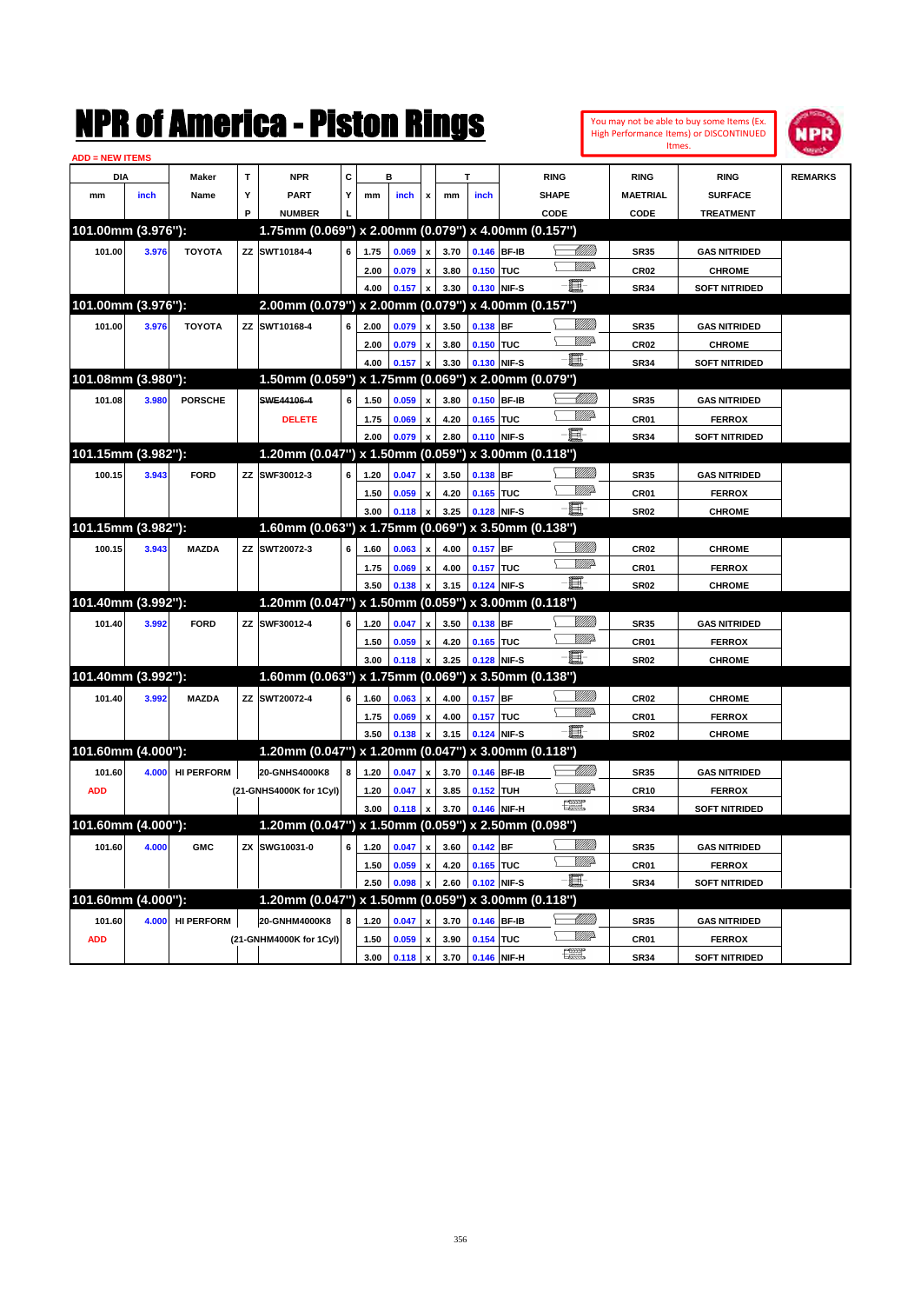|                        |       |                   |           | NMK OI AINCrica - Miston Kings                      |   |      |                |                    |      |                  |             |              |                            |                  | You may not be able to buy some Items (Ex.<br>High Performance Items) or DISCONTINUED<br>Itmes. | IPR            |
|------------------------|-------|-------------------|-----------|-----------------------------------------------------|---|------|----------------|--------------------|------|------------------|-------------|--------------|----------------------------|------------------|-------------------------------------------------------------------------------------------------|----------------|
| <b>ADD = NEW ITEMS</b> |       |                   |           |                                                     |   |      |                |                    |      |                  |             |              |                            |                  |                                                                                                 |                |
| DIA                    |       | Maker             | T         | <b>NPR</b>                                          | C |      | в              |                    |      | T                |             | <b>RING</b>  |                            | <b>RING</b>      | <b>RING</b>                                                                                     | <b>REMARKS</b> |
| mm                     | inch  | Name              | Υ         | PART                                                | Y | mm   | inch           | x                  | mm   | inch             |             | <b>SHAPE</b> |                            | <b>MAETRIAL</b>  | <b>SURFACE</b>                                                                                  |                |
|                        |       |                   | P         | <b>NUMBER</b>                                       |   |      |                |                    |      |                  |             | CODE         |                            | <b>CODE</b>      | <b>TREATMENT</b>                                                                                |                |
| 101.00mm (3.976"):     |       |                   |           | 1.75mm (0.069") x 2.00mm (0.079") x 4.00mm (0.157") |   |      |                |                    |      |                  |             |              |                            |                  |                                                                                                 |                |
| 101.00                 | 3.976 | <b>TOYOTA</b>     |           | ZZ SWT10184-4                                       | 6 | 1.75 | 0.069          | x                  | 3.70 |                  | 0.146 BF-IB |              |                            | <b>SR35</b>      | <b>GAS NITRIDED</b>                                                                             |                |
|                        |       |                   |           |                                                     |   | 2.00 | 0.079          | $\mathbf{x}$       | 3.80 | 0.150 TUC        |             |              | <u>MWA</u>                 | CR <sub>02</sub> | <b>CHROME</b>                                                                                   |                |
|                        |       |                   |           |                                                     |   | 4.00 | 0.157          | X                  | 3.30 |                  | 0.130 NIF-S | Ë            |                            | <b>SR34</b>      | <b>SOFT NITRIDED</b>                                                                            |                |
| 101.00mm (3.976"):     |       |                   |           | 2.00mm (0.079") x 2.00mm (0.079") x 4.00mm (0.157") |   |      |                |                    |      |                  |             |              |                            |                  |                                                                                                 |                |
| 101.00                 | 3.976 | <b>TOYOTA</b>     |           | ZZ SWT10168-4                                       | 6 | 2.00 | 0.079          | x                  | 3.50 | 0.138 BF         |             |              | <u>Milli</u>               | <b>SR35</b>      | <b>GAS NITRIDED</b>                                                                             |                |
|                        |       |                   |           |                                                     |   | 2.00 | 0.079          | x                  | 3.80 | 0.150 TUC        |             |              | <u>VMD</u>                 | CR <sub>02</sub> | <b>CHROME</b>                                                                                   |                |
|                        |       |                   |           |                                                     |   | 4.00 | 0.157          | X                  | 3.30 |                  | 0.130 NIF-S | e.           |                            | <b>SR34</b>      | <b>SOFT NITRIDED</b>                                                                            |                |
| 101.08mm (3.980"):     |       |                   |           | 1.50mm (0.059") x 1.75mm (0.069") x 2.00mm (0.079") |   |      |                |                    |      |                  |             |              |                            |                  |                                                                                                 |                |
| 101.08                 | 3.980 | <b>PORSCHE</b>    |           | SWE44106-4                                          | 6 | 1.50 | 0.059          | x                  | 3.80 |                  | 0.150 BF-IB |              | <u>UMM</u>                 | <b>SR35</b>      | <b>GAS NITRIDED</b>                                                                             |                |
|                        |       |                   |           | <b>DELETE</b>                                       |   | 1.75 | 0.069          | X                  | 4.20 | 0.165 TUC        |             |              | <br>Willia                 | CR01             | <b>FERROX</b>                                                                                   |                |
|                        |       |                   |           |                                                     |   | 2.00 | 0.079          | X                  | 2.80 |                  | 0.110 NIF-S | E            |                            | <b>SR34</b>      | <b>SOFT NITRIDED</b>                                                                            |                |
| 101.15mm (3.982"):     |       |                   |           | 1.20mm (0.047") x 1.50mm (0.059") x 3.00mm (0.118") |   |      |                |                    |      |                  |             |              |                            |                  |                                                                                                 |                |
| 100.15                 | 3.943 | <b>FORD</b>       | ZZ        | SWF30012-3                                          | 6 | 1.20 | 0.047          | x                  | 3.50 | 0.138 BF         |             |              | <u>Milli</u>               | <b>SR35</b>      | <b>GAS NITRIDED</b>                                                                             |                |
|                        |       |                   |           |                                                     |   | 1.50 | 0.059          | X                  | 4.20 | 0.165 TUC        |             |              | <br>Willia                 | CR01             | <b>FERROX</b>                                                                                   |                |
|                        |       |                   |           |                                                     |   | 3.00 | 0.118          | X                  | 3.25 |                  | 0.128 NIF-S | 匱            |                            | <b>SR02</b>      | <b>CHROME</b>                                                                                   |                |
| 101.15mm (3.982"):     |       |                   |           | 1.60mm (0.063") x 1.75mm (0.069") x 3.50mm (0.138") |   |      |                |                    |      |                  |             |              |                            |                  |                                                                                                 |                |
| 100.15                 | 3.943 | <b>MAZDA</b>      | ZZ        | SWT20072-3                                          | 6 | 1.60 | 0.063          | $\mathbf{x}$       | 4.00 | $0.157$ BF       |             |              | <u>Milli</u>               | <b>CR02</b>      | <b>CHROME</b>                                                                                   |                |
|                        |       |                   |           |                                                     |   | 1.75 | 0.069          | X                  | 4.00 | <b>0.157 TUC</b> |             |              | <u>VMD</u>                 | CR01             | <b>FERROX</b>                                                                                   |                |
|                        |       |                   |           |                                                     |   | 3.50 | 0.138          | X                  | 3.15 |                  | 0.124 NIF-S | e.           |                            | <b>SR02</b>      | <b>CHROME</b>                                                                                   |                |
| 101.40mm (3.992"):     |       |                   |           | 1.20mm (0.047") x 1.50mm (0.059") x 3.00mm (0.118") |   |      |                |                    |      |                  |             |              |                            |                  |                                                                                                 |                |
|                        |       | <b>FORD</b>       | ZZ        | SWF30012-4                                          | 6 |      |                |                    |      |                  |             |              | <u>Milli</u>               |                  |                                                                                                 |                |
| 101.40                 | 3.992 |                   |           |                                                     |   | 1.20 | 0.047          | x                  | 3.50 | 0.138 BF         |             |              | <br>Willia                 | <b>SR35</b>      | <b>GAS NITRIDED</b>                                                                             |                |
|                        |       |                   |           |                                                     |   | 1.50 | 0.059          | x                  | 4.20 | 0.165 TUC        |             | ff-          |                            | CR01             | <b>FERROX</b>                                                                                   |                |
| 101.40mm (3.992"):     |       |                   |           | 1.60mm (0.063") x 1.75mm (0.069") x 3.50mm (0.138") |   | 3.00 | 0.118          | X                  | 3.25 |                  | 0.128 NIF-S |              |                            | <b>SR02</b>      | <b>CHROME</b>                                                                                   |                |
|                        |       |                   |           |                                                     |   |      |                |                    |      |                  |             |              |                            |                  |                                                                                                 |                |
| 101.40                 | 3.992 | <b>MAZDA</b>      | ZZ        | SWT20072-4                                          | 6 | 1.60 | 0.063          | $\mathbf{x}$       | 4.00 | $0.157$ BF       |             |              | <u>Milli</u><br><u>VMD</u> | <b>CR02</b>      | <b>CHROME</b>                                                                                   |                |
|                        |       |                   |           |                                                     |   | 1.75 | 0.069          | X                  | 4.00 | 0.157 TUC        |             | e.           |                            | CR01             | <b>FERROX</b>                                                                                   |                |
|                        |       |                   |           |                                                     |   | 3.50 | 0.138          | X                  | 3.15 |                  | 0.124 NIF-S |              |                            | <b>SR02</b>      | <b>CHROME</b>                                                                                   |                |
| 101.60mm (4.000"):     |       |                   |           | 1.20mm (0.047") x 1.20mm (0.047") x 3.00mm (0.118") |   |      |                |                    |      |                  |             |              |                            |                  |                                                                                                 |                |
| 101.60                 | 4.000 | <b>HI PERFORM</b> |           | 20-GNHS4000K8                                       | 8 | 1.20 | 0.047          | x                  | 3.70 |                  | 0.146 BF-IB |              | <u> UMM</u>                | <b>SR35</b>      | <b>GAS NITRIDED</b>                                                                             |                |
| <b>ADD</b>             |       |                   |           | (21-GNHS4000K for 1Cyl)                             |   | 1.20 | 0.047          | x                  | 3.85 | 0.152 TUH        |             |              | <u>Mille</u>               | <b>CR10</b>      | <b>FERROX</b>                                                                                   |                |
|                        |       |                   |           |                                                     |   | 3.00 | 0.118          | $\mathbf{x}$       | 3.70 |                  | 0.146 NIF-H | € €          |                            | <b>SR34</b>      | <b>SOFT NITRIDED</b>                                                                            |                |
| 101.60mm (4.000"):     |       |                   |           | 1.20mm (0.047") x 1.50mm (0.059") x 2.50mm (0.098") |   |      |                |                    |      |                  |             |              |                            |                  |                                                                                                 |                |
| 101.60                 | 4.000 | <b>GMC</b>        | <b>ZX</b> | SWG10031-0                                          | 6 | 1.20 | 0.047          | $\pmb{\mathsf{x}}$ | 3.60 | 0.142 BF         |             |              | <u>Milli</u> h             | <b>SR35</b>      | <b>GAS NITRIDED</b>                                                                             |                |
|                        |       |                   |           |                                                     |   | 1.50 | 0.059          | $\pmb{\mathsf{x}}$ | 4.20 | 0.165 TUC        |             |              | <u>VIIItt</u> ä            | CR01             | <b>FERROX</b>                                                                                   |                |
|                        |       |                   |           |                                                     |   | 2.50 | 0.098          | X                  | 2.60 | 0.102 NIF-S      |             | 耳            |                            | <b>SR34</b>      | <b>SOFT NITRIDED</b>                                                                            |                |
| 101.60mm (4.000"):     |       |                   |           | 1.20mm (0.047") x 1.50mm (0.059") x 3.00mm (0.118") |   |      |                |                    |      |                  |             |              |                            |                  |                                                                                                 |                |
| 101.60                 | 4.000 | <b>HI PERFORM</b> |           | 20-GNHM4000K8                                       | 8 | 1.20 | 0.047          | $\pmb{\mathsf{x}}$ | 3.70 | 0.146 BF-IB      |             |              | <u> Millitti</u>           | <b>SR35</b>      | <b>GAS NITRIDED</b>                                                                             |                |
| <b>ADD</b>             |       |                   |           | (21-GNHM4000K for 1Cyl)                             |   | 1.50 | 0.059          | $\pmb{\mathsf{x}}$ | 3.90 | 0.154 TUC        |             |              | <u>VMP</u>                 | CR01             | <b>FERROX</b>                                                                                   |                |
|                        |       |                   |           |                                                     |   | 3.00 | $0.118 \times$ |                    | 3.70 | 0.146 NIF-H      |             | æ            |                            | <b>SR34</b>      | <b>SOFT NITRIDED</b>                                                                            |                |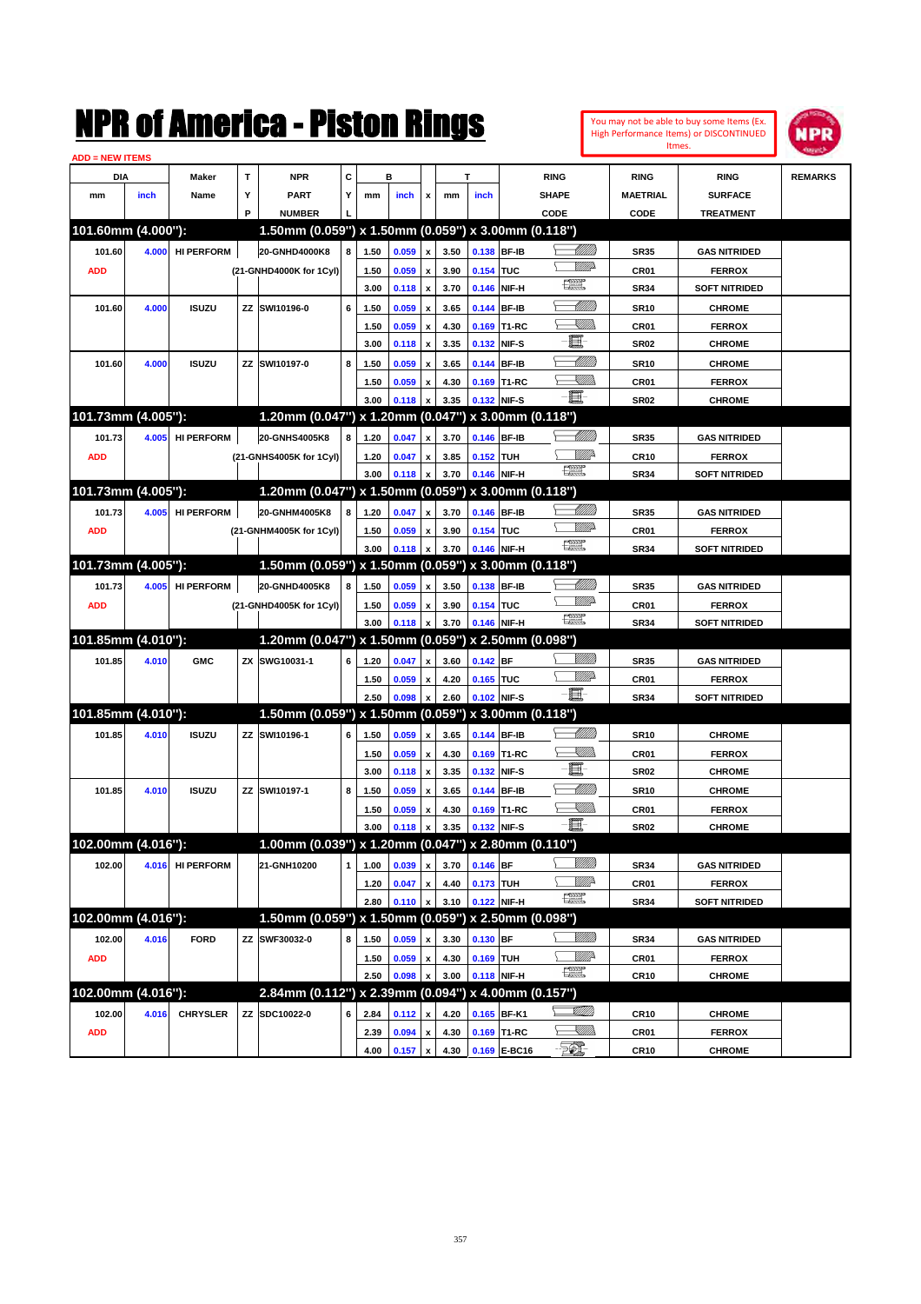| <b>ADD = NEW ITEMS</b> |       |                   |   |                                                     |              |      |       |                           |      |             |                                     |                                                                      |                  |                      |                |
|------------------------|-------|-------------------|---|-----------------------------------------------------|--------------|------|-------|---------------------------|------|-------------|-------------------------------------|----------------------------------------------------------------------|------------------|----------------------|----------------|
| <b>DIA</b>             |       | <b>Maker</b>      | T | <b>NPR</b>                                          | c            |      | в     |                           |      | т           |                                     | <b>RING</b>                                                          | <b>RING</b>      | <b>RING</b>          | <b>REMARKS</b> |
| mm                     | inch  | Name              | Υ | <b>PART</b>                                         | Y            | mm   | inch  | x                         | mm   | inch        |                                     | <b>SHAPE</b>                                                         | <b>MAETRIAL</b>  | <b>SURFACE</b>       |                |
|                        |       |                   | P | <b>NUMBER</b>                                       |              |      |       |                           |      |             |                                     | CODE                                                                 | CODE             | <b>TREATMENT</b>     |                |
| 101.60mm (4.000"):     |       |                   |   | 1.50mm (0.059") x 1.50mm (0.059") x 3.00mm (0.118") |              |      |       |                           |      |             |                                     |                                                                      |                  |                      |                |
| 101.60                 | 4.000 | <b>HI PERFORM</b> |   | 20-GNHD4000K8                                       | 8            | 1.50 | 0.059 | $\boldsymbol{\mathsf{x}}$ | 3.50 | 0.138 BF-IB |                                     | <u> UMB</u>                                                          | <b>SR35</b>      | <b>GAS NITRIDED</b>  |                |
| <b>ADD</b>             |       |                   |   | (21-GNHD4000K for 1Cyl)                             |              | 1.50 | 0.059 | $\pmb{\mathsf{x}}$        | 3.90 | 0.154 TUC   |                                     |                                                                      | CR <sub>01</sub> | <b>FERROX</b>        |                |
|                        |       |                   |   |                                                     |              | 3.00 | 0.118 | $\pmb{\mathsf{x}}$        | 3.70 | 0.146       | NIF-H                               | R                                                                    | <b>SR34</b>      | <b>SOFT NITRIDED</b> |                |
| 101.60                 | 4.000 | <b>ISUZU</b>      |   | ZZ SWI10196-0                                       | 6            | 1.50 | 0.059 | x                         | 3.65 | 0.144 BF-IB |                                     | <u>UMB</u>                                                           | <b>SR10</b>      | <b>CHROME</b>        |                |
|                        |       |                   |   |                                                     |              | 1.50 | 0.059 | $\pmb{\mathsf{x}}$        | 4.30 | 0.169       | T1-RC                               | <u>Sillin</u>                                                        | CR01             | <b>FERROX</b>        |                |
|                        |       |                   |   |                                                     |              | 3.00 | 0.118 | x                         | 3.35 | 0.132       | NIF-S                               | E                                                                    | <b>SR02</b>      | <b>CHROME</b>        |                |
| 101.60                 | 4.000 | <b>ISUZU</b>      |   | ZZ SWI10197-0                                       | 8            | 1.50 | 0.059 | x                         | 3.65 | 0.144 BF-IB |                                     | <u>UMB</u>                                                           | <b>SR10</b>      | <b>CHROME</b>        |                |
|                        |       |                   |   |                                                     |              | 1.50 | 0.059 | x                         | 4.30 |             | 0.169 T1-RC                         | <u>Sillin</u>                                                        | CR <sub>01</sub> | <b>FERROX</b>        |                |
|                        |       |                   |   |                                                     |              | 3.00 | 0.118 | x                         | 3.35 | 0.132 NIF-S |                                     | e                                                                    | <b>SR02</b>      | <b>CHROME</b>        |                |
| 101.73mm (4.005"):     |       |                   |   | 1.20mm (0.047") x 1.20mm (0.047") x 3.00mm (0.118") |              |      |       |                           |      |             |                                     |                                                                      |                  |                      |                |
|                        |       |                   |   |                                                     |              |      |       |                           |      |             |                                     | <u>UMB</u>                                                           |                  |                      |                |
| 101.73                 | 4.005 | <b>HI PERFORM</b> |   | 20-GNHS4005K8                                       | 8            | 1.20 | 0.047 | $\boldsymbol{\mathsf{x}}$ | 3.70 | 0.146       | <b>BF-IB</b>                        | WW.                                                                  | <b>SR35</b>      | <b>GAS NITRIDED</b>  |                |
| <b>ADD</b>             |       |                   |   | (21-GNHS4005K for 1Cyl)                             |              | 1.20 | 0.047 | x                         | 3.85 | 0.152 TUH   |                                     | 鱱                                                                    | <b>CR10</b>      | <b>FERROX</b>        |                |
| 101.73mm (4.005"):     |       |                   |   | $1.20$ mm $(0.047")$                                |              | 3.00 | 0.118 | $\pmb{\mathsf{x}}$        | 3.70 | 0.146 NIF-H | x 1.50mm (0.059") x 3.00mm (0.118") |                                                                      | <b>SR34</b>      | <b>SOFT NITRIDED</b> |                |
|                        |       |                   |   |                                                     |              |      |       |                           |      |             |                                     |                                                                      |                  |                      |                |
| 101.73                 | 4.005 | <b>HI PERFORM</b> |   | 20-GNHM4005K8                                       | 8            | 1.20 | 0.047 | x                         | 3.70 | 0.146       | <b>BF-IB</b>                        | <u> UMB</u><br><u>MMP</u>                                            | <b>SR35</b>      | <b>GAS NITRIDED</b>  |                |
| <b>ADD</b>             |       |                   |   | (21-GNHM4005K for 1Cyl)                             |              | 1.50 | 0.059 | $\pmb{\mathsf{x}}$        | 3.90 | 0.154 TUC   |                                     | 鱱                                                                    | CR01             | <b>FERROX</b>        |                |
|                        |       |                   |   |                                                     |              | 3.00 | 0.118 | $\pmb{\mathsf{x}}$        | 3.70 | 0.146 NIF-H |                                     |                                                                      | <b>SR34</b>      | <b>SOFT NITRIDED</b> |                |
| 101.73mm (4.005"):     |       |                   |   | 1.50mm (0.059") x 1.50mm (0.059") x 3.00mm (0.118") |              |      |       |                           |      |             |                                     |                                                                      |                  |                      |                |
| 101.73                 | 4.005 | <b>HI PERFORM</b> |   | 20-GNHD4005K8                                       | 8            | 1.50 | 0.059 | $\boldsymbol{\mathsf{x}}$ | 3.50 | 0.138       | <b>BF-IB</b>                        | <u>UMB</u>                                                           | <b>SR35</b>      | <b>GAS NITRIDED</b>  |                |
| <b>ADD</b>             |       |                   |   | (21-GNHD4005K for 1Cyl)                             |              | 1.50 | 0.059 | $\pmb{\mathsf{x}}$        | 3.90 | 0.154 TUC   |                                     | <u>MMP</u><br>鱱                                                      | CR <sub>01</sub> | <b>FERROX</b>        |                |
|                        |       |                   |   |                                                     |              | 3.00 | 0.118 | $\pmb{\mathsf{x}}$        | 3.70 | 0.146 NIF-H |                                     |                                                                      | <b>SR34</b>      | <b>SOFT NITRIDED</b> |                |
| 101.85mm (4.010"):     |       |                   |   | 1.20mm (0.047") x 1.50mm (0.059") x 2.50mm (0.098") |              |      |       |                           |      |             |                                     |                                                                      |                  |                      |                |
| 101.85                 | 4.010 | <b>GMC</b>        |   | ZX SWG10031-1                                       | 6            | 1.20 | 0.047 | x                         | 3.60 | $0.142$ BF  |                                     |                                                                      | <b>SR35</b>      | <b>GAS NITRIDED</b>  |                |
|                        |       |                   |   |                                                     |              | 1.50 | 0.059 | $\pmb{\mathsf{x}}$        | 4.20 | 0.165 TUC   |                                     | ₩₩                                                                   | CR01             | <b>FERROX</b>        |                |
|                        |       |                   |   |                                                     |              | 2.50 | 0.098 | $\pmb{\mathsf{x}}$        | 2.60 | 0.102 NIF-S |                                     | $-\blacksquare$                                                      | <b>SR34</b>      | <b>SOFT NITRIDED</b> |                |
| 101.85mm (4.010"):     |       |                   |   | 1.50mm (0.059") x 1.50mm (0.059") x 3.00mm (0.118") |              |      |       |                           |      |             |                                     |                                                                      |                  |                      |                |
| 101.85                 | 4.010 | <b>ISUZU</b>      |   | ZZ SWI10196-1                                       | 6            | 1.50 | 0.059 | $\boldsymbol{\mathsf{x}}$ | 3.65 | 0.144 BF-IB |                                     | <u> MM)</u>                                                          | <b>SR10</b>      | <b>CHROME</b>        |                |
|                        |       |                   |   |                                                     |              | 1.50 | 0.059 | $\pmb{\mathsf{x}}$        | 4.30 |             | 0.169 T1-RC                         | <u>Sillin</u>                                                        | CR <sub>01</sub> | <b>FERROX</b>        |                |
|                        |       |                   |   |                                                     |              | 3.00 | 0.118 | $\pmb{\mathsf{x}}$        | 3.35 | 0.132       | NIF-S                               | E                                                                    | <b>SR02</b>      | <b>CHROME</b>        |                |
| 101.85                 | 4.010 | <b>ISUZU</b>      |   | ZZ SWI10197-1                                       | 8            | 1.50 | 0.059 | x                         | 3.65 | 0.144 BF-IB |                                     | <u> Millitt</u>                                                      | <b>SR10</b>      | <b>CHROME</b>        |                |
|                        |       |                   |   |                                                     |              | 1.50 | 0.059 | x                         | 4.30 |             | 0.169 T1-RC                         | <u>XMM</u>                                                           | CR01             | <b>FERROX</b>        |                |
|                        |       |                   |   |                                                     |              | 3.00 | 0.118 | $\pmb{\mathsf{x}}$        | 3.35 | 0.132 NIF-S |                                     | E                                                                    | <b>SR02</b>      | <b>CHROME</b>        |                |
| 102.00mm (4.016"):     |       |                   |   | 1.00mm (0.039") x 1.20mm (0.047") x 2.80mm (0.110") |              |      |       |                           |      |             |                                     |                                                                      |                  |                      |                |
| 102.00                 |       | 4.016 HI PERFORM  |   | 21-GNH10200                                         | $\mathbf{1}$ | 1.00 | 0.039 | $\pmb{\mathsf{x}}$        | 3.70 | $0.146$ BF  |                                     | <u>Villida</u>                                                       | <b>SR34</b>      | <b>GAS NITRIDED</b>  |                |
|                        |       |                   |   |                                                     |              | 1.20 | 0.047 | x                         | 4.40 | 0.173 TUH   |                                     | <u>Willi</u> r                                                       | CR01             | <b>FERROX</b>        |                |
|                        |       |                   |   |                                                     |              | 2.80 | 0.110 | x                         | 3.10 | 0.122 NIF-H |                                     | $f_{\rm max}^{\rm exp}$                                              | <b>SR34</b>      | <b>SOFT NITRIDED</b> |                |
| 102.00mm (4.016"):     |       |                   |   | 1.50mm (0.059") x 1.50mm (0.059") x 2.50mm (0.098") |              |      |       |                           |      |             |                                     |                                                                      |                  |                      |                |
| 102.00                 | 4.016 | <b>FORD</b>       |   | ZZ SWF30032-0                                       | 8            | 1.50 | 0.059 | $\pmb{\mathsf{x}}$        | 3.30 | $0.130$ BF  |                                     | <u>Sillilli</u>                                                      | <b>SR34</b>      | <b>GAS NITRIDED</b>  |                |
| <b>ADD</b>             |       |                   |   |                                                     |              | 1.50 | 0.059 | $\pmb{\mathsf{x}}$        | 4.30 | 0.169 TUH   |                                     | <u>Willi</u> r                                                       | CR01             | <b>FERROX</b>        |                |
|                        |       |                   |   |                                                     |              | 2.50 | 0.098 | x                         | 3.00 | 0.118 NIF-H |                                     | 鱸                                                                    | <b>CR10</b>      | <b>CHROME</b>        |                |
| 102.00mm (4.016"):     |       |                   |   | 2.84mm (0.112") x 2.39mm (0.094") x 4.00mm (0.157") |              |      |       |                           |      |             |                                     |                                                                      |                  |                      |                |
| 102.00                 | 4.016 | <b>CHRYSLER</b>   |   | ZZ SDC10022-0                                       | 6            | 2.84 | 0.112 | x                         | 4.20 |             | 0.165 BF-K1                         | r III                                                                | <b>CR10</b>      | <b>CHROME</b>        |                |
| <b>ADD</b>             |       |                   |   |                                                     |              | 2.39 | 0.094 | x                         | 4.30 |             | 0.169 T1-RC                         | $\begin{matrix} \begin{matrix} \mathbb{W} \end{matrix} \end{matrix}$ | CR01             | <b>FERROX</b>        |                |
|                        |       |                   |   |                                                     |              | 4.00 | 0.157 | $\pmb{\mathsf{x}}$        | 4.30 |             | 0.169 E-BC16                        | $-\frac{1}{2}\mathcal{O}_m$                                          | <b>CR10</b>      | <b>CHROME</b>        |                |
|                        |       |                   |   |                                                     |              |      |       |                           |      |             |                                     |                                                                      |                  |                      |                |

You may not be able to buy some Items (Ex. High Performance Items) or DISCONTINUED Itmes.

NPR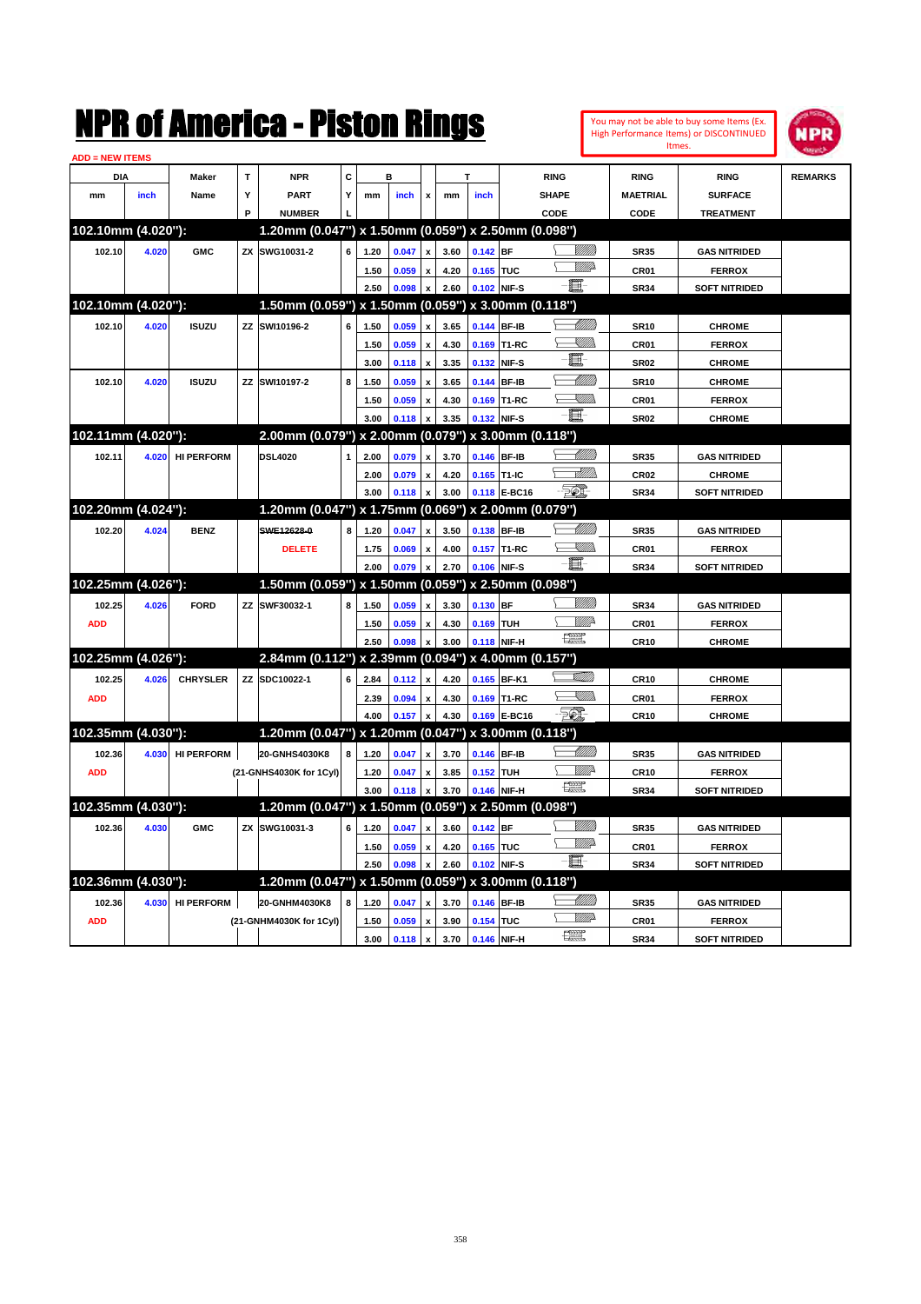|                        |       |                   |           | NMK OI AINCrica - Miston Kings                      |   |      |                |                           |      |            |                   |                   |                   |                  | You may not be able to buy some Items (Ex.<br>High Performance Items) or DISCONTINUED<br>Itmes. | IPR            |
|------------------------|-------|-------------------|-----------|-----------------------------------------------------|---|------|----------------|---------------------------|------|------------|-------------------|-------------------|-------------------|------------------|-------------------------------------------------------------------------------------------------|----------------|
| <b>ADD = NEW ITEMS</b> |       |                   |           |                                                     |   |      |                |                           |      |            |                   |                   |                   |                  |                                                                                                 |                |
| DIA                    |       | Maker             | T         | <b>NPR</b>                                          | C |      | в              |                           |      | T          |                   | <b>RING</b>       |                   | <b>RING</b>      | <b>RING</b>                                                                                     | <b>REMARKS</b> |
| mm                     | inch  | Name              | Υ         | PART                                                | Y | mm   | inch           | x                         | mm   | inch       |                   | <b>SHAPE</b>      |                   | <b>MAETRIAL</b>  | <b>SURFACE</b>                                                                                  |                |
|                        |       |                   | P         | <b>NUMBER</b>                                       |   |      |                |                           |      |            |                   | CODE              |                   | <b>CODE</b>      | <b>TREATMENT</b>                                                                                |                |
| 102.10mm (4.020"):     |       |                   |           | 1.20mm (0.047") x 1.50mm (0.059") x 2.50mm (0.098") |   |      |                |                           |      |            |                   |                   |                   |                  |                                                                                                 |                |
| 102.10                 | 4.020 | <b>GMC</b>        | <b>ZX</b> | SWG10031-2                                          | 6 | 1.20 | 0.047          | X                         | 3.60 | $0.142$ BF |                   |                   |                   | <b>SR35</b>      | <b>GAS NITRIDED</b>                                                                             |                |
|                        |       |                   |           |                                                     |   | 1.50 | 0.059          | X                         | 4.20 | 0.165 TUC  |                   |                   | 7777).            | CR01             | <b>FERROX</b>                                                                                   |                |
|                        |       |                   |           |                                                     |   | 2.50 | 0.098          | X                         | 2.60 |            | 0.102 NIF-S       | E.                |                   | <b>SR34</b>      | <b>SOFT NITRIDED</b>                                                                            |                |
| 102.10mm (4.020"):     |       |                   |           | 1.50mm (0.059") x 1.50mm (0.059") x 3.00mm (0.118") |   |      |                |                           |      |            |                   |                   |                   |                  |                                                                                                 |                |
| 102.10                 | 4.020 | <b>ISUZU</b>      | ZZ        | SWI10196-2                                          | 6 | 1.50 | 0.059          | X                         | 3.65 |            | 0.144 BF-IB       |                   | <u> MMW</u>       | <b>SR10</b>      | <b>CHROME</b>                                                                                   |                |
|                        |       |                   |           |                                                     |   | 1.50 | 0.059          | X                         | 4.30 | 0.169      | T1-RC             |                   | <u>Sillin</u>     | CR <sub>01</sub> | <b>FERROX</b>                                                                                   |                |
|                        |       |                   |           |                                                     |   | 3.00 | 0.118          | $\boldsymbol{\mathsf{x}}$ | 3.35 |            | 0.132 NIF-S       | E.                |                   | <b>SR02</b>      | <b>CHROME</b>                                                                                   |                |
| 102.10                 | 4.020 | <b>ISUZU</b>      | ΖZ        | SWI10197-2                                          | 8 | 1.50 | 0.059          | X                         | 3.65 |            | 0.144 BF-IB       |                   | <u> Millil</u>    | <b>SR10</b>      | <b>CHROME</b>                                                                                   |                |
|                        |       |                   |           |                                                     |   | 1.50 | 0.059          | x                         | 4.30 |            | 0.169 T1-RC       |                   | <u>VMM</u>        | CR <sub>01</sub> | <b>FERROX</b>                                                                                   |                |
|                        |       |                   |           |                                                     |   | 3.00 | 0.118          | X                         | 3.35 |            | 0.132 NIF-S       | e.                |                   | <b>SR02</b>      | <b>CHROME</b>                                                                                   |                |
| 102.11mm (4.020"):     |       |                   |           | 2.00mm (0.079") x 2.00mm (0.079") x 3.00mm (0.118") |   |      |                |                           |      |            |                   |                   |                   |                  |                                                                                                 |                |
| 102.11                 | 4.020 | <b>HI PERFORM</b> |           | <b>DSL4020</b>                                      | 1 | 2.00 | 0.079          | X                         | 3.70 |            | 0.146 BF-IB       |                   | <u> Milli</u> lli | <b>SR35</b>      | <b>GAS NITRIDED</b>                                                                             |                |
|                        |       |                   |           |                                                     |   | 2.00 | 0.079          | x                         | 4.20 |            | 0.165 T1-IC       |                   | <u> Millill</u>   | <b>CR02</b>      | <b>CHROME</b>                                                                                   |                |
|                        |       |                   |           |                                                     |   | 3.00 | 0.118          | X                         | 3.00 |            | 0.118 E-BC16      | FØ.               |                   | <b>SR34</b>      | <b>SOFT NITRIDED</b>                                                                            |                |
| 102.20mm (4.024"):     |       |                   |           | 1.20mm (0.047") x 1.75mm (0.069") x 2.00mm (0.079") |   |      |                |                           |      |            |                   |                   |                   |                  |                                                                                                 |                |
| 102.20                 | 4.024 | <b>BENZ</b>       |           | SWE12628-0                                          | 8 | 1.20 | 0.047          | X                         | 3.50 |            | 0.138 BF-IB       |                   | <u> Milli</u>     | <b>SR35</b>      | <b>GAS NITRIDED</b>                                                                             |                |
|                        |       |                   |           | <b>DELETE</b>                                       |   | 1.75 | 0.069          | X                         | 4.00 |            | 0.157 T1-RC       |                   | <u>Sillin</u>     | CR <sub>01</sub> | <b>FERROX</b>                                                                                   |                |
|                        |       |                   |           |                                                     |   | 2.00 | 0.079          | X                         | 2.70 |            | 0.106 NIF-S       | E                 |                   | <b>SR34</b>      | <b>SOFT NITRIDED</b>                                                                            |                |
| 102.25mm (4.026"):     |       |                   |           | 1.50mm (0.059") x 1.50mm (0.059") x 2.50mm (0.098") |   |      |                |                           |      |            |                   |                   |                   |                  |                                                                                                 |                |
| 102.25                 | 4.026 | <b>FORD</b>       | ZZ        | SWF30032-1                                          | 8 | 1.50 | 0.059          | X                         | 3.30 | 0.130 BF   |                   |                   | <u>Millil</u>     | <b>SR34</b>      | <b>GAS NITRIDED</b>                                                                             |                |
| <b>ADD</b>             |       |                   |           |                                                     |   | 1.50 | 0.059          | x                         | 4.30 | 0.169 TUH  |                   |                   | ₩₩                | CR <sub>01</sub> | <b>FERROX</b>                                                                                   |                |
|                        |       |                   |           |                                                     |   | 2.50 | 0.098          | X                         | 3.00 |            | 0.118 NIF-H       | $\frac{1}{2}$     |                   | <b>CR10</b>      | <b>CHROME</b>                                                                                   |                |
| 102.25mm (4.026"):     |       |                   |           | 2.84mm (0.112") x 2.39mm (0.094") x 4.00mm (0.157") |   |      |                |                           |      |            |                   |                   |                   |                  |                                                                                                 |                |
| 102.25                 | 4.026 | <b>CHRYSLER</b>   | ZZ        | SDC10022-1                                          | 6 | 2.84 | 0.112          | X                         | 4.20 |            | 0.165 BF-K1       |                   | <u>MM</u>         | <b>CR10</b>      | <b>CHROME</b>                                                                                   |                |
| <b>ADD</b>             |       |                   |           |                                                     |   | 2.39 | 0.094          | X                         | 4.30 |            | 0.169 T1-RC       |                   | <u>Sillin</u>     | CR01             | <b>FERROX</b>                                                                                   |                |
|                        |       |                   |           |                                                     |   | 4.00 | 0.157          | X                         | 4.30 |            | 0.169 E-BC16      | <b>FOX</b>        |                   | <b>CR10</b>      | <b>CHROME</b>                                                                                   |                |
| 102.35mm (4.030"):     |       |                   |           | 1.20mm (0.047") x 1.20mm (0.047")                   |   |      |                |                           |      |            | x 3.00mm (0.118") |                   |                   |                  |                                                                                                 |                |
| 102.36                 | 4.030 | <b>HI PERFORM</b> |           | 20-GNHS4030K8                                       | 8 | 1.20 | 0.047          | X                         | 3.70 |            | 0.146 BF-IB       |                   | <u> UMM</u>       | <b>SR35</b>      | <b>GAS NITRIDED</b>                                                                             |                |
| <b>ADD</b>             |       |                   |           | (21-GNHS4030K for 1Cyl)                             |   | 1.20 | 0.047          | x                         | 3.85 | 0.152 TUH  |                   |                   | <u>M</u>          | <b>CR10</b>      | <b>FERROX</b>                                                                                   |                |
|                        |       |                   |           |                                                     |   | 3.00 | 0.118          | x                         | 3.70 |            | 0.146 NIF-H       | $\frac{1}{2}$     |                   | <b>SR34</b>      | <b>SOFT NITRIDED</b>                                                                            |                |
| 102.35mm (4.030"):     |       |                   |           | 1.20mm (0.047") x 1.50mm (0.059") x 2.50mm (0.098") |   |      |                |                           |      |            |                   |                   |                   |                  |                                                                                                 |                |
|                        |       |                   |           | SWG10031-3                                          | 6 |      |                |                           |      |            |                   |                   | <u>VMM</u>        |                  |                                                                                                 |                |
| 102.36                 | 4.030 | <b>GMC</b>        | ZΧ        |                                                     |   | 1.20 | 0.047          | $\pmb{\mathsf{x}}$        | 3.60 | $0.142$ BF |                   |                   | ₩₩                | <b>SR35</b>      | <b>GAS NITRIDED</b>                                                                             |                |
|                        |       |                   |           |                                                     |   | 1.50 | 0.059          | $\pmb{\mathsf{x}}$        | 4.20 | 0.165 TUC  | 0.102 NIF-S       | E                 |                   | CR01             | <b>FERROX</b>                                                                                   |                |
| 102.36mm (4.030"):     |       |                   |           | 1.20mm (0.047") x 1.50mm (0.059") x 3.00mm (0.118") |   | 2.50 | 0.098          | $\boldsymbol{\mathsf{x}}$ | 2.60 |            |                   |                   |                   | <b>SR34</b>      | <b>SOFT NITRIDED</b>                                                                            |                |
|                        |       |                   |           |                                                     |   |      |                |                           |      |            |                   |                   | <u> Millitti</u>  |                  |                                                                                                 |                |
| 102.36                 | 4.030 | <b>HI PERFORM</b> |           | 20-GNHM4030K8                                       | 8 | 1.20 | 0.047          | $\pmb{\mathsf{x}}$        | 3.70 |            | 0.146 BF-IB       |                   | <u>WW</u> A       | SR35             | <b>GAS NITRIDED</b>                                                                             |                |
| <b>ADD</b>             |       |                   |           | (21-GNHM4030K for 1Cyl)                             |   | 1.50 | 0.059          | $\pmb{\mathsf{x}}$        | 3.90 | 0.154 TUC  |                   | <b>The Second</b> |                   | CR01             | <b>FERROX</b>                                                                                   |                |
|                        |       |                   |           |                                                     |   | 3.00 | $0.118 \times$ |                           | 3.70 |            | 0.146 NIF-H       |                   |                   | <b>SR34</b>      | <b>SOFT NITRIDED</b>                                                                            |                |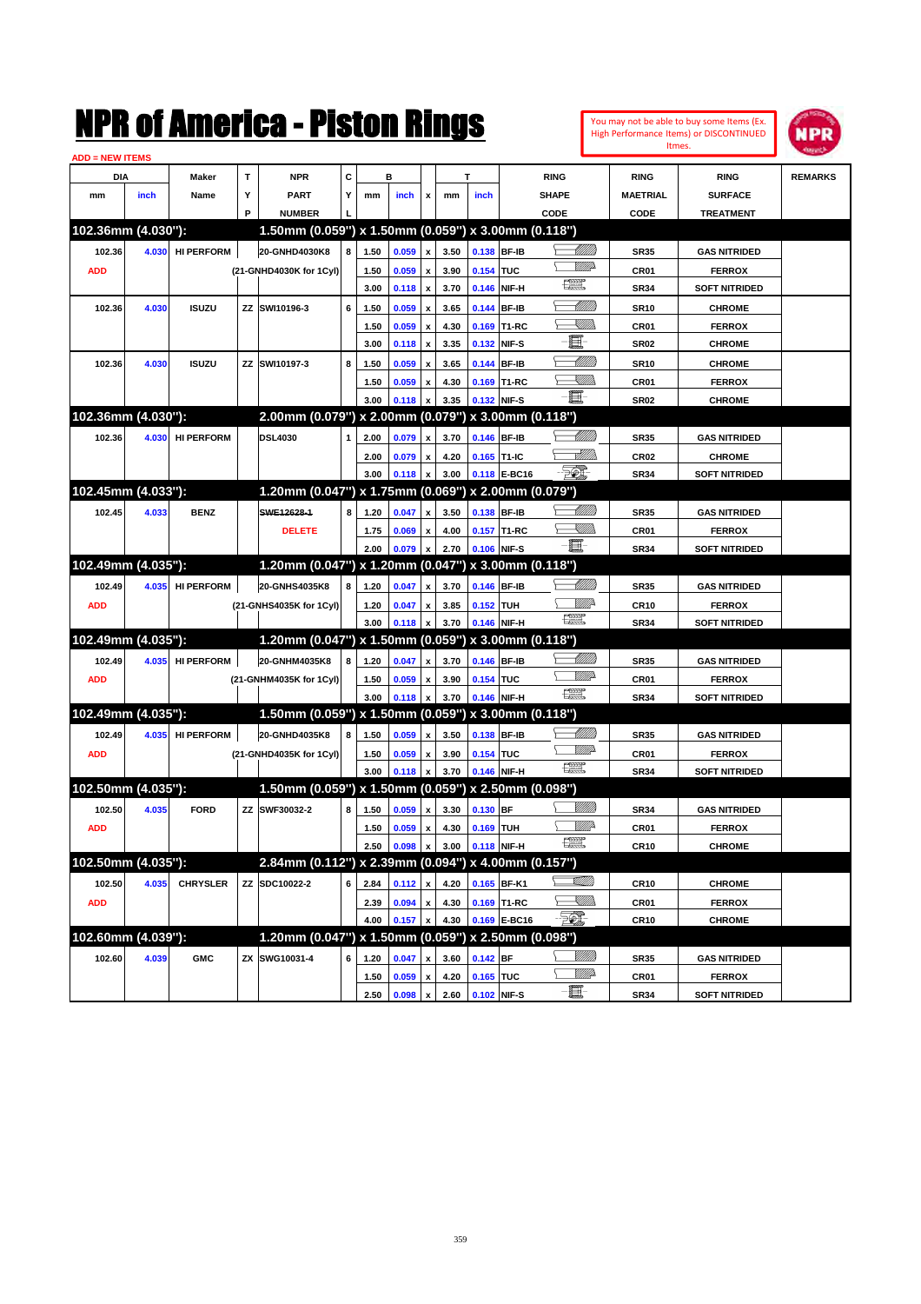| You may not be able to buy some Items (Ex. |
|--------------------------------------------|
| High Performance Items) or DISCONTINUED    |
| Itmes.                                     |



| C<br>DIA<br><b>Maker</b><br>т<br><b>NPR</b><br>в<br>т<br><b>RING</b><br><b>RING</b><br><b>RING</b><br><b>REMARKS</b><br>inch<br>Name<br>Y<br><b>PART</b><br>Y<br>inch<br><b>SHAPE</b><br><b>MAETRIAL</b><br><b>SURFACE</b><br>mm<br>mm<br>inch<br>mm<br>x<br>P<br><b>NUMBER</b><br>CODE<br>CODE<br><b>TREATMENT</b><br>102.36mm (4.030"):<br>1.50mm (0.059") x 1.50mm (0.059") x 3.00mm (0.118")<br><u> UMB</u><br>20-GNHD4030K8<br>0.138 BF-IB<br>102.36<br>4.030<br><b>HI PERFORM</b><br>8<br>1.50<br>0.059<br>3.50<br><b>SR35</b><br><b>GAS NITRIDED</b><br>x<br>(21-GNHD4030K for 1Cyl)<br>0.059<br>3.90<br>0.154 TUC<br><b>ADD</b><br>1.50<br>CR01<br><b>FERROX</b><br>鱱<br>3.00<br>3.70<br>0.146 NIF-H<br>0.118<br><b>SR34</b><br><b>SOFT NITRIDED</b><br>x<br>MMM<br><b>ISUZU</b><br>SWI10196-3<br>6<br>0.059<br>3.65<br>0.144<br><b>BF-IB</b><br><b>SR10</b><br><b>CHROME</b><br>102.36<br>4.030<br>ΖZ<br>1.50<br>x<br><u>Sillin</u><br>0.059<br>4.30<br>0.169 T1-RC<br>1.50<br>CR01<br><b>FERROX</b><br>x<br>E<br>3.35<br>0.132 NIF-S<br>3.00<br>0.118<br><b>SR02</b><br><b>CHROME</b><br>x<br>MMM)<br>102.36<br><b>ISUZU</b><br>SWI10197-3<br>8<br>0.059<br>0.144 BF-IB<br><b>SR10</b><br>4.030<br>ΖZ<br>1.50<br>3.65<br><b>CHROME</b><br><u>Sillin</u><br>0.059<br>4.30<br>0.169 T1-RC<br>CR01<br>1.50<br><b>FERROX</b><br>E<br>3.00<br>3.35<br>0.132 NIF-S<br>0.118<br><b>SR02</b><br><b>CHROME</b><br>102.36mm (4.030"):<br>2.00mm (0.079") x 2.00mm (0.079")<br>x 3.00mm (0.118")<br><u>UMB</u><br><b>DSL4030</b><br>102.36<br>4.030<br><b>HI PERFORM</b><br>0.079<br>3.70<br>0.146 BF-IB<br><b>GAS NITRIDED</b><br>2.00<br><b>SR35</b><br>1<br>x<br><u>eMMo</u><br>4.20<br>0.165 T1-IC<br>CR <sub>02</sub><br><b>CHROME</b><br>2.00<br>0.079<br>x<br>EQ)<br>3.00<br>3.00<br>0.118 E-BC16<br>0.118<br><b>SR34</b><br><b>SOFT NITRIDED</b><br>102.45mm (4.033"):<br>1.20mm (0.047") x 1.75mm (0.069")<br>x 2.00mm (0.079")<br>MMB<br>102.45<br>4.033<br><b>BENZ</b><br>SWE12628-1<br>8<br>1.20<br>0.047<br>3.50<br>0.138 BF-IB<br><b>GAS NITRIDED</b><br><b>SR35</b><br>x<br><u>Sillin</u><br>4.00<br>0.157 T1-RC<br><b>DELETE</b><br>1.75<br>0.069<br>CR <sub>01</sub><br><b>FERROX</b><br>E<br>2.00<br>2.70<br>0.106 NIF-S<br><b>SOFT NITRIDED</b><br>0.079<br><b>SR34</b><br>102.49mm (4.035"):<br>1.20mm (0.047") x 1.20mm (0.047")<br>x 3.00mm (0.118")<br><u>UMM</u><br>20-GNHS4035K8<br>102.49<br>4.035<br><b>HI PERFORM</b><br>8<br>1.20<br>0.047<br>3.70<br>0.146 BF-IB<br><b>GAS NITRIDED</b><br><b>SR35</b><br>x<br><u>Mille</u><br>3.85<br>0.152 TUH<br><b>CR10</b><br><b>FERROX</b><br><b>ADD</b><br>(21-GNHS4035K for 1Cyl)<br>1.20<br>0.047<br>x<br>鱱<br>3.00<br>3.70<br>0.146 NIF-H<br>0.118<br><b>SR34</b><br><b>SOFT NITRIDED</b><br>102.49mm (4.035"):<br>1.20mm (0.047") x 1.50mm (0.059") x 3.00mm (0.118")<br><u>UMB</u><br>20-GNHM4035K8<br>102.49<br>4.035<br><b>HI PERFORM</b><br>8<br>1.20<br>0.047<br>0.146 BF-IB<br><b>GAS NITRIDED</b><br>3.70<br><b>SR35</b><br>x<br><br>William<br>3.90<br>0.154 TUC<br><b>ADD</b><br>(21-GNHM4035K for 1Cyl)<br>1.50<br>0.059<br>CR <sub>01</sub><br><b>FERROX</b><br>鱱<br>3.00<br>3.70<br>0.146 NIF-H<br><b>SOFT NITRIDED</b><br>0.118<br><b>SR34</b><br>102.49mm (4.035"):<br>1.50mm (0.059") x 1.50mm (0.059") x 3.00mm (0.118")<br><u>UMB</u><br>20-GNHD4035K8<br>102.49<br>4.035<br><b>HI PERFORM</b><br>8<br>0.059<br>3.50<br>0.138 BF-IB<br><b>GAS NITRIDED</b><br>1.50<br><b>SR35</b><br>x<br><u>WW</u><br>0.059<br>3.90<br>0.154 TUC<br><b>CR01</b><br><b>FERROX</b><br><b>ADD</b><br>(21-GNHD4035K for 1Cyl)<br>1.50<br>x<br>鱱<br>3.70<br>0.146 NIF-H<br>3.00<br>0.118<br><b>SR34</b><br><b>SOFT NITRIDED</b><br>102.50mm (4.035"):<br>1.50mm (0.059") x 1.50mm (0.059") x 2.50mm (0.098")<br><u>VIIIIn</u><br>102.50<br>4.035<br><b>FORD</b><br>SWF30032-2<br>8<br>0.059<br>3.30<br>0.130 BF<br><b>SR34</b><br><b>GAS NITRIDED</b><br>ΖZ<br>1.50<br>x<br><u>Mille</u><br>0.059<br>4.30<br>0.169 TUH<br><b>ADD</b><br>1.50<br>CR01<br><b>FERROX</b><br>x<br>€ €<br>0.098<br>3.00<br>0.118 NIF-H<br>2.50<br>X<br><b>CR10</b><br><b>CHROME</b><br>102.50mm (4.035"):<br>2.84mm (0.112") x 2.39mm (0.094") x 4.00mm (0.157")<br><u>stillin</u><br><b>CHRYSLER</b><br>ZZ SDC10022-2<br>0.165 BF-K1<br>102.50<br>4.035<br>6<br>2.84<br>4.20<br>0.112<br><b>CR10</b><br><b>CHROME</b><br>$\pmb{\mathsf{x}}$<br>- <sup>W</sup> illida<br>4.30<br>0.169 T1-RC<br><b>ADD</b><br>0.094<br>CR01<br><b>FERROX</b><br>2.39<br>x<br>EI.<br>0.169 E-BC16<br>4.00<br>0.157<br>4.30<br><b>CR10</b><br><b>CHROME</b><br>102.60mm (4.039"):<br>1.20mm (0.047") x 1.50mm (0.059") x 2.50mm (0.098")<br><u>VIIII</u> )<br>ZX SWG10031-4<br>0.142 BF<br>102.60<br>4.039<br><b>GMC</b><br>0.047<br>6<br>1.20<br>3.60<br>SR35<br><b>GAS NITRIDED</b><br>X<br><u>WW</u> D<br>4.20<br>0.165 TUC<br>0.059<br>CR01<br><b>FERROX</b><br>1.50<br>X<br>0.102 NIF-S | <b>ADD = NEW ITEMS</b> |  |  |      |       |   |      |  |   |      |                      |  |
|----------------------------------------------------------------------------------------------------------------------------------------------------------------------------------------------------------------------------------------------------------------------------------------------------------------------------------------------------------------------------------------------------------------------------------------------------------------------------------------------------------------------------------------------------------------------------------------------------------------------------------------------------------------------------------------------------------------------------------------------------------------------------------------------------------------------------------------------------------------------------------------------------------------------------------------------------------------------------------------------------------------------------------------------------------------------------------------------------------------------------------------------------------------------------------------------------------------------------------------------------------------------------------------------------------------------------------------------------------------------------------------------------------------------------------------------------------------------------------------------------------------------------------------------------------------------------------------------------------------------------------------------------------------------------------------------------------------------------------------------------------------------------------------------------------------------------------------------------------------------------------------------------------------------------------------------------------------------------------------------------------------------------------------------------------------------------------------------------------------------------------------------------------------------------------------------------------------------------------------------------------------------------------------------------------------------------------------------------------------------------------------------------------------------------------------------------------------------------------------------------------------------------------------------------------------------------------------------------------------------------------------------------------------------------------------------------------------------------------------------------------------------------------------------------------------------------------------------------------------------------------------------------------------------------------------------------------------------------------------------------------------------------------------------------------------------------------------------------------------------------------------------------------------------------------------------------------------------------------------------------------------------------------------------------------------------------------------------------------------------------------------------------------------------------------------------------------------------------------------------------------------------------------------------------------------------------------------------------------------------------------------------------------------------------------------------------------------------------------------------------------------------------------------------------------------------------------------------------------------------------------------------------------------------------------------------------------------------------------------------------------------------------------------------------------------------------------------------------------------------------------------------------------------------------------------------------------------------------------------------------------------------------------------------------------------------------------------------------------------------------------------------------------------------------------------------------------------------------------------------------------------------------------------------------------------------------------------------------------------------------------------------------------------------------------------------------------------------------------------------------------------------------------------------------------------------------------------------------------------------------------------------------------------------------|------------------------|--|--|------|-------|---|------|--|---|------|----------------------|--|
|                                                                                                                                                                                                                                                                                                                                                                                                                                                                                                                                                                                                                                                                                                                                                                                                                                                                                                                                                                                                                                                                                                                                                                                                                                                                                                                                                                                                                                                                                                                                                                                                                                                                                                                                                                                                                                                                                                                                                                                                                                                                                                                                                                                                                                                                                                                                                                                                                                                                                                                                                                                                                                                                                                                                                                                                                                                                                                                                                                                                                                                                                                                                                                                                                                                                                                                                                                                                                                                                                                                                                                                                                                                                                                                                                                                                                                                                                                                                                                                                                                                                                                                                                                                                                                                                                                                                                                                                                                                                                                                                                                                                                                                                                                                                                                                                                                                                                                                            |                        |  |  |      |       |   |      |  |   |      |                      |  |
|                                                                                                                                                                                                                                                                                                                                                                                                                                                                                                                                                                                                                                                                                                                                                                                                                                                                                                                                                                                                                                                                                                                                                                                                                                                                                                                                                                                                                                                                                                                                                                                                                                                                                                                                                                                                                                                                                                                                                                                                                                                                                                                                                                                                                                                                                                                                                                                                                                                                                                                                                                                                                                                                                                                                                                                                                                                                                                                                                                                                                                                                                                                                                                                                                                                                                                                                                                                                                                                                                                                                                                                                                                                                                                                                                                                                                                                                                                                                                                                                                                                                                                                                                                                                                                                                                                                                                                                                                                                                                                                                                                                                                                                                                                                                                                                                                                                                                                                            |                        |  |  |      |       |   |      |  |   |      |                      |  |
|                                                                                                                                                                                                                                                                                                                                                                                                                                                                                                                                                                                                                                                                                                                                                                                                                                                                                                                                                                                                                                                                                                                                                                                                                                                                                                                                                                                                                                                                                                                                                                                                                                                                                                                                                                                                                                                                                                                                                                                                                                                                                                                                                                                                                                                                                                                                                                                                                                                                                                                                                                                                                                                                                                                                                                                                                                                                                                                                                                                                                                                                                                                                                                                                                                                                                                                                                                                                                                                                                                                                                                                                                                                                                                                                                                                                                                                                                                                                                                                                                                                                                                                                                                                                                                                                                                                                                                                                                                                                                                                                                                                                                                                                                                                                                                                                                                                                                                                            |                        |  |  |      |       |   |      |  |   |      |                      |  |
|                                                                                                                                                                                                                                                                                                                                                                                                                                                                                                                                                                                                                                                                                                                                                                                                                                                                                                                                                                                                                                                                                                                                                                                                                                                                                                                                                                                                                                                                                                                                                                                                                                                                                                                                                                                                                                                                                                                                                                                                                                                                                                                                                                                                                                                                                                                                                                                                                                                                                                                                                                                                                                                                                                                                                                                                                                                                                                                                                                                                                                                                                                                                                                                                                                                                                                                                                                                                                                                                                                                                                                                                                                                                                                                                                                                                                                                                                                                                                                                                                                                                                                                                                                                                                                                                                                                                                                                                                                                                                                                                                                                                                                                                                                                                                                                                                                                                                                                            |                        |  |  |      |       |   |      |  |   |      |                      |  |
|                                                                                                                                                                                                                                                                                                                                                                                                                                                                                                                                                                                                                                                                                                                                                                                                                                                                                                                                                                                                                                                                                                                                                                                                                                                                                                                                                                                                                                                                                                                                                                                                                                                                                                                                                                                                                                                                                                                                                                                                                                                                                                                                                                                                                                                                                                                                                                                                                                                                                                                                                                                                                                                                                                                                                                                                                                                                                                                                                                                                                                                                                                                                                                                                                                                                                                                                                                                                                                                                                                                                                                                                                                                                                                                                                                                                                                                                                                                                                                                                                                                                                                                                                                                                                                                                                                                                                                                                                                                                                                                                                                                                                                                                                                                                                                                                                                                                                                                            |                        |  |  |      |       |   |      |  |   |      |                      |  |
|                                                                                                                                                                                                                                                                                                                                                                                                                                                                                                                                                                                                                                                                                                                                                                                                                                                                                                                                                                                                                                                                                                                                                                                                                                                                                                                                                                                                                                                                                                                                                                                                                                                                                                                                                                                                                                                                                                                                                                                                                                                                                                                                                                                                                                                                                                                                                                                                                                                                                                                                                                                                                                                                                                                                                                                                                                                                                                                                                                                                                                                                                                                                                                                                                                                                                                                                                                                                                                                                                                                                                                                                                                                                                                                                                                                                                                                                                                                                                                                                                                                                                                                                                                                                                                                                                                                                                                                                                                                                                                                                                                                                                                                                                                                                                                                                                                                                                                                            |                        |  |  |      |       |   |      |  |   |      |                      |  |
|                                                                                                                                                                                                                                                                                                                                                                                                                                                                                                                                                                                                                                                                                                                                                                                                                                                                                                                                                                                                                                                                                                                                                                                                                                                                                                                                                                                                                                                                                                                                                                                                                                                                                                                                                                                                                                                                                                                                                                                                                                                                                                                                                                                                                                                                                                                                                                                                                                                                                                                                                                                                                                                                                                                                                                                                                                                                                                                                                                                                                                                                                                                                                                                                                                                                                                                                                                                                                                                                                                                                                                                                                                                                                                                                                                                                                                                                                                                                                                                                                                                                                                                                                                                                                                                                                                                                                                                                                                                                                                                                                                                                                                                                                                                                                                                                                                                                                                                            |                        |  |  |      |       |   |      |  |   |      |                      |  |
|                                                                                                                                                                                                                                                                                                                                                                                                                                                                                                                                                                                                                                                                                                                                                                                                                                                                                                                                                                                                                                                                                                                                                                                                                                                                                                                                                                                                                                                                                                                                                                                                                                                                                                                                                                                                                                                                                                                                                                                                                                                                                                                                                                                                                                                                                                                                                                                                                                                                                                                                                                                                                                                                                                                                                                                                                                                                                                                                                                                                                                                                                                                                                                                                                                                                                                                                                                                                                                                                                                                                                                                                                                                                                                                                                                                                                                                                                                                                                                                                                                                                                                                                                                                                                                                                                                                                                                                                                                                                                                                                                                                                                                                                                                                                                                                                                                                                                                                            |                        |  |  |      |       |   |      |  |   |      |                      |  |
|                                                                                                                                                                                                                                                                                                                                                                                                                                                                                                                                                                                                                                                                                                                                                                                                                                                                                                                                                                                                                                                                                                                                                                                                                                                                                                                                                                                                                                                                                                                                                                                                                                                                                                                                                                                                                                                                                                                                                                                                                                                                                                                                                                                                                                                                                                                                                                                                                                                                                                                                                                                                                                                                                                                                                                                                                                                                                                                                                                                                                                                                                                                                                                                                                                                                                                                                                                                                                                                                                                                                                                                                                                                                                                                                                                                                                                                                                                                                                                                                                                                                                                                                                                                                                                                                                                                                                                                                                                                                                                                                                                                                                                                                                                                                                                                                                                                                                                                            |                        |  |  |      |       |   |      |  |   |      |                      |  |
|                                                                                                                                                                                                                                                                                                                                                                                                                                                                                                                                                                                                                                                                                                                                                                                                                                                                                                                                                                                                                                                                                                                                                                                                                                                                                                                                                                                                                                                                                                                                                                                                                                                                                                                                                                                                                                                                                                                                                                                                                                                                                                                                                                                                                                                                                                                                                                                                                                                                                                                                                                                                                                                                                                                                                                                                                                                                                                                                                                                                                                                                                                                                                                                                                                                                                                                                                                                                                                                                                                                                                                                                                                                                                                                                                                                                                                                                                                                                                                                                                                                                                                                                                                                                                                                                                                                                                                                                                                                                                                                                                                                                                                                                                                                                                                                                                                                                                                                            |                        |  |  |      |       |   |      |  |   |      |                      |  |
|                                                                                                                                                                                                                                                                                                                                                                                                                                                                                                                                                                                                                                                                                                                                                                                                                                                                                                                                                                                                                                                                                                                                                                                                                                                                                                                                                                                                                                                                                                                                                                                                                                                                                                                                                                                                                                                                                                                                                                                                                                                                                                                                                                                                                                                                                                                                                                                                                                                                                                                                                                                                                                                                                                                                                                                                                                                                                                                                                                                                                                                                                                                                                                                                                                                                                                                                                                                                                                                                                                                                                                                                                                                                                                                                                                                                                                                                                                                                                                                                                                                                                                                                                                                                                                                                                                                                                                                                                                                                                                                                                                                                                                                                                                                                                                                                                                                                                                                            |                        |  |  |      |       |   |      |  |   |      |                      |  |
|                                                                                                                                                                                                                                                                                                                                                                                                                                                                                                                                                                                                                                                                                                                                                                                                                                                                                                                                                                                                                                                                                                                                                                                                                                                                                                                                                                                                                                                                                                                                                                                                                                                                                                                                                                                                                                                                                                                                                                                                                                                                                                                                                                                                                                                                                                                                                                                                                                                                                                                                                                                                                                                                                                                                                                                                                                                                                                                                                                                                                                                                                                                                                                                                                                                                                                                                                                                                                                                                                                                                                                                                                                                                                                                                                                                                                                                                                                                                                                                                                                                                                                                                                                                                                                                                                                                                                                                                                                                                                                                                                                                                                                                                                                                                                                                                                                                                                                                            |                        |  |  |      |       |   |      |  |   |      |                      |  |
|                                                                                                                                                                                                                                                                                                                                                                                                                                                                                                                                                                                                                                                                                                                                                                                                                                                                                                                                                                                                                                                                                                                                                                                                                                                                                                                                                                                                                                                                                                                                                                                                                                                                                                                                                                                                                                                                                                                                                                                                                                                                                                                                                                                                                                                                                                                                                                                                                                                                                                                                                                                                                                                                                                                                                                                                                                                                                                                                                                                                                                                                                                                                                                                                                                                                                                                                                                                                                                                                                                                                                                                                                                                                                                                                                                                                                                                                                                                                                                                                                                                                                                                                                                                                                                                                                                                                                                                                                                                                                                                                                                                                                                                                                                                                                                                                                                                                                                                            |                        |  |  |      |       |   |      |  |   |      |                      |  |
|                                                                                                                                                                                                                                                                                                                                                                                                                                                                                                                                                                                                                                                                                                                                                                                                                                                                                                                                                                                                                                                                                                                                                                                                                                                                                                                                                                                                                                                                                                                                                                                                                                                                                                                                                                                                                                                                                                                                                                                                                                                                                                                                                                                                                                                                                                                                                                                                                                                                                                                                                                                                                                                                                                                                                                                                                                                                                                                                                                                                                                                                                                                                                                                                                                                                                                                                                                                                                                                                                                                                                                                                                                                                                                                                                                                                                                                                                                                                                                                                                                                                                                                                                                                                                                                                                                                                                                                                                                                                                                                                                                                                                                                                                                                                                                                                                                                                                                                            |                        |  |  |      |       |   |      |  |   |      |                      |  |
|                                                                                                                                                                                                                                                                                                                                                                                                                                                                                                                                                                                                                                                                                                                                                                                                                                                                                                                                                                                                                                                                                                                                                                                                                                                                                                                                                                                                                                                                                                                                                                                                                                                                                                                                                                                                                                                                                                                                                                                                                                                                                                                                                                                                                                                                                                                                                                                                                                                                                                                                                                                                                                                                                                                                                                                                                                                                                                                                                                                                                                                                                                                                                                                                                                                                                                                                                                                                                                                                                                                                                                                                                                                                                                                                                                                                                                                                                                                                                                                                                                                                                                                                                                                                                                                                                                                                                                                                                                                                                                                                                                                                                                                                                                                                                                                                                                                                                                                            |                        |  |  |      |       |   |      |  |   |      |                      |  |
|                                                                                                                                                                                                                                                                                                                                                                                                                                                                                                                                                                                                                                                                                                                                                                                                                                                                                                                                                                                                                                                                                                                                                                                                                                                                                                                                                                                                                                                                                                                                                                                                                                                                                                                                                                                                                                                                                                                                                                                                                                                                                                                                                                                                                                                                                                                                                                                                                                                                                                                                                                                                                                                                                                                                                                                                                                                                                                                                                                                                                                                                                                                                                                                                                                                                                                                                                                                                                                                                                                                                                                                                                                                                                                                                                                                                                                                                                                                                                                                                                                                                                                                                                                                                                                                                                                                                                                                                                                                                                                                                                                                                                                                                                                                                                                                                                                                                                                                            |                        |  |  |      |       |   |      |  |   |      |                      |  |
|                                                                                                                                                                                                                                                                                                                                                                                                                                                                                                                                                                                                                                                                                                                                                                                                                                                                                                                                                                                                                                                                                                                                                                                                                                                                                                                                                                                                                                                                                                                                                                                                                                                                                                                                                                                                                                                                                                                                                                                                                                                                                                                                                                                                                                                                                                                                                                                                                                                                                                                                                                                                                                                                                                                                                                                                                                                                                                                                                                                                                                                                                                                                                                                                                                                                                                                                                                                                                                                                                                                                                                                                                                                                                                                                                                                                                                                                                                                                                                                                                                                                                                                                                                                                                                                                                                                                                                                                                                                                                                                                                                                                                                                                                                                                                                                                                                                                                                                            |                        |  |  |      |       |   |      |  |   |      |                      |  |
|                                                                                                                                                                                                                                                                                                                                                                                                                                                                                                                                                                                                                                                                                                                                                                                                                                                                                                                                                                                                                                                                                                                                                                                                                                                                                                                                                                                                                                                                                                                                                                                                                                                                                                                                                                                                                                                                                                                                                                                                                                                                                                                                                                                                                                                                                                                                                                                                                                                                                                                                                                                                                                                                                                                                                                                                                                                                                                                                                                                                                                                                                                                                                                                                                                                                                                                                                                                                                                                                                                                                                                                                                                                                                                                                                                                                                                                                                                                                                                                                                                                                                                                                                                                                                                                                                                                                                                                                                                                                                                                                                                                                                                                                                                                                                                                                                                                                                                                            |                        |  |  |      |       |   |      |  |   |      |                      |  |
|                                                                                                                                                                                                                                                                                                                                                                                                                                                                                                                                                                                                                                                                                                                                                                                                                                                                                                                                                                                                                                                                                                                                                                                                                                                                                                                                                                                                                                                                                                                                                                                                                                                                                                                                                                                                                                                                                                                                                                                                                                                                                                                                                                                                                                                                                                                                                                                                                                                                                                                                                                                                                                                                                                                                                                                                                                                                                                                                                                                                                                                                                                                                                                                                                                                                                                                                                                                                                                                                                                                                                                                                                                                                                                                                                                                                                                                                                                                                                                                                                                                                                                                                                                                                                                                                                                                                                                                                                                                                                                                                                                                                                                                                                                                                                                                                                                                                                                                            |                        |  |  |      |       |   |      |  |   |      |                      |  |
|                                                                                                                                                                                                                                                                                                                                                                                                                                                                                                                                                                                                                                                                                                                                                                                                                                                                                                                                                                                                                                                                                                                                                                                                                                                                                                                                                                                                                                                                                                                                                                                                                                                                                                                                                                                                                                                                                                                                                                                                                                                                                                                                                                                                                                                                                                                                                                                                                                                                                                                                                                                                                                                                                                                                                                                                                                                                                                                                                                                                                                                                                                                                                                                                                                                                                                                                                                                                                                                                                                                                                                                                                                                                                                                                                                                                                                                                                                                                                                                                                                                                                                                                                                                                                                                                                                                                                                                                                                                                                                                                                                                                                                                                                                                                                                                                                                                                                                                            |                        |  |  |      |       |   |      |  |   |      |                      |  |
|                                                                                                                                                                                                                                                                                                                                                                                                                                                                                                                                                                                                                                                                                                                                                                                                                                                                                                                                                                                                                                                                                                                                                                                                                                                                                                                                                                                                                                                                                                                                                                                                                                                                                                                                                                                                                                                                                                                                                                                                                                                                                                                                                                                                                                                                                                                                                                                                                                                                                                                                                                                                                                                                                                                                                                                                                                                                                                                                                                                                                                                                                                                                                                                                                                                                                                                                                                                                                                                                                                                                                                                                                                                                                                                                                                                                                                                                                                                                                                                                                                                                                                                                                                                                                                                                                                                                                                                                                                                                                                                                                                                                                                                                                                                                                                                                                                                                                                                            |                        |  |  |      |       |   |      |  |   |      |                      |  |
|                                                                                                                                                                                                                                                                                                                                                                                                                                                                                                                                                                                                                                                                                                                                                                                                                                                                                                                                                                                                                                                                                                                                                                                                                                                                                                                                                                                                                                                                                                                                                                                                                                                                                                                                                                                                                                                                                                                                                                                                                                                                                                                                                                                                                                                                                                                                                                                                                                                                                                                                                                                                                                                                                                                                                                                                                                                                                                                                                                                                                                                                                                                                                                                                                                                                                                                                                                                                                                                                                                                                                                                                                                                                                                                                                                                                                                                                                                                                                                                                                                                                                                                                                                                                                                                                                                                                                                                                                                                                                                                                                                                                                                                                                                                                                                                                                                                                                                                            |                        |  |  |      |       |   |      |  |   |      |                      |  |
|                                                                                                                                                                                                                                                                                                                                                                                                                                                                                                                                                                                                                                                                                                                                                                                                                                                                                                                                                                                                                                                                                                                                                                                                                                                                                                                                                                                                                                                                                                                                                                                                                                                                                                                                                                                                                                                                                                                                                                                                                                                                                                                                                                                                                                                                                                                                                                                                                                                                                                                                                                                                                                                                                                                                                                                                                                                                                                                                                                                                                                                                                                                                                                                                                                                                                                                                                                                                                                                                                                                                                                                                                                                                                                                                                                                                                                                                                                                                                                                                                                                                                                                                                                                                                                                                                                                                                                                                                                                                                                                                                                                                                                                                                                                                                                                                                                                                                                                            |                        |  |  |      |       |   |      |  |   |      |                      |  |
|                                                                                                                                                                                                                                                                                                                                                                                                                                                                                                                                                                                                                                                                                                                                                                                                                                                                                                                                                                                                                                                                                                                                                                                                                                                                                                                                                                                                                                                                                                                                                                                                                                                                                                                                                                                                                                                                                                                                                                                                                                                                                                                                                                                                                                                                                                                                                                                                                                                                                                                                                                                                                                                                                                                                                                                                                                                                                                                                                                                                                                                                                                                                                                                                                                                                                                                                                                                                                                                                                                                                                                                                                                                                                                                                                                                                                                                                                                                                                                                                                                                                                                                                                                                                                                                                                                                                                                                                                                                                                                                                                                                                                                                                                                                                                                                                                                                                                                                            |                        |  |  |      |       |   |      |  |   |      |                      |  |
|                                                                                                                                                                                                                                                                                                                                                                                                                                                                                                                                                                                                                                                                                                                                                                                                                                                                                                                                                                                                                                                                                                                                                                                                                                                                                                                                                                                                                                                                                                                                                                                                                                                                                                                                                                                                                                                                                                                                                                                                                                                                                                                                                                                                                                                                                                                                                                                                                                                                                                                                                                                                                                                                                                                                                                                                                                                                                                                                                                                                                                                                                                                                                                                                                                                                                                                                                                                                                                                                                                                                                                                                                                                                                                                                                                                                                                                                                                                                                                                                                                                                                                                                                                                                                                                                                                                                                                                                                                                                                                                                                                                                                                                                                                                                                                                                                                                                                                                            |                        |  |  |      |       |   |      |  |   |      |                      |  |
|                                                                                                                                                                                                                                                                                                                                                                                                                                                                                                                                                                                                                                                                                                                                                                                                                                                                                                                                                                                                                                                                                                                                                                                                                                                                                                                                                                                                                                                                                                                                                                                                                                                                                                                                                                                                                                                                                                                                                                                                                                                                                                                                                                                                                                                                                                                                                                                                                                                                                                                                                                                                                                                                                                                                                                                                                                                                                                                                                                                                                                                                                                                                                                                                                                                                                                                                                                                                                                                                                                                                                                                                                                                                                                                                                                                                                                                                                                                                                                                                                                                                                                                                                                                                                                                                                                                                                                                                                                                                                                                                                                                                                                                                                                                                                                                                                                                                                                                            |                        |  |  |      |       |   |      |  |   |      |                      |  |
|                                                                                                                                                                                                                                                                                                                                                                                                                                                                                                                                                                                                                                                                                                                                                                                                                                                                                                                                                                                                                                                                                                                                                                                                                                                                                                                                                                                                                                                                                                                                                                                                                                                                                                                                                                                                                                                                                                                                                                                                                                                                                                                                                                                                                                                                                                                                                                                                                                                                                                                                                                                                                                                                                                                                                                                                                                                                                                                                                                                                                                                                                                                                                                                                                                                                                                                                                                                                                                                                                                                                                                                                                                                                                                                                                                                                                                                                                                                                                                                                                                                                                                                                                                                                                                                                                                                                                                                                                                                                                                                                                                                                                                                                                                                                                                                                                                                                                                                            |                        |  |  |      |       |   |      |  |   |      |                      |  |
|                                                                                                                                                                                                                                                                                                                                                                                                                                                                                                                                                                                                                                                                                                                                                                                                                                                                                                                                                                                                                                                                                                                                                                                                                                                                                                                                                                                                                                                                                                                                                                                                                                                                                                                                                                                                                                                                                                                                                                                                                                                                                                                                                                                                                                                                                                                                                                                                                                                                                                                                                                                                                                                                                                                                                                                                                                                                                                                                                                                                                                                                                                                                                                                                                                                                                                                                                                                                                                                                                                                                                                                                                                                                                                                                                                                                                                                                                                                                                                                                                                                                                                                                                                                                                                                                                                                                                                                                                                                                                                                                                                                                                                                                                                                                                                                                                                                                                                                            |                        |  |  |      |       |   |      |  |   |      |                      |  |
|                                                                                                                                                                                                                                                                                                                                                                                                                                                                                                                                                                                                                                                                                                                                                                                                                                                                                                                                                                                                                                                                                                                                                                                                                                                                                                                                                                                                                                                                                                                                                                                                                                                                                                                                                                                                                                                                                                                                                                                                                                                                                                                                                                                                                                                                                                                                                                                                                                                                                                                                                                                                                                                                                                                                                                                                                                                                                                                                                                                                                                                                                                                                                                                                                                                                                                                                                                                                                                                                                                                                                                                                                                                                                                                                                                                                                                                                                                                                                                                                                                                                                                                                                                                                                                                                                                                                                                                                                                                                                                                                                                                                                                                                                                                                                                                                                                                                                                                            |                        |  |  |      |       |   |      |  |   |      |                      |  |
|                                                                                                                                                                                                                                                                                                                                                                                                                                                                                                                                                                                                                                                                                                                                                                                                                                                                                                                                                                                                                                                                                                                                                                                                                                                                                                                                                                                                                                                                                                                                                                                                                                                                                                                                                                                                                                                                                                                                                                                                                                                                                                                                                                                                                                                                                                                                                                                                                                                                                                                                                                                                                                                                                                                                                                                                                                                                                                                                                                                                                                                                                                                                                                                                                                                                                                                                                                                                                                                                                                                                                                                                                                                                                                                                                                                                                                                                                                                                                                                                                                                                                                                                                                                                                                                                                                                                                                                                                                                                                                                                                                                                                                                                                                                                                                                                                                                                                                                            |                        |  |  |      |       |   |      |  |   |      |                      |  |
|                                                                                                                                                                                                                                                                                                                                                                                                                                                                                                                                                                                                                                                                                                                                                                                                                                                                                                                                                                                                                                                                                                                                                                                                                                                                                                                                                                                                                                                                                                                                                                                                                                                                                                                                                                                                                                                                                                                                                                                                                                                                                                                                                                                                                                                                                                                                                                                                                                                                                                                                                                                                                                                                                                                                                                                                                                                                                                                                                                                                                                                                                                                                                                                                                                                                                                                                                                                                                                                                                                                                                                                                                                                                                                                                                                                                                                                                                                                                                                                                                                                                                                                                                                                                                                                                                                                                                                                                                                                                                                                                                                                                                                                                                                                                                                                                                                                                                                                            |                        |  |  |      |       |   |      |  |   |      |                      |  |
|                                                                                                                                                                                                                                                                                                                                                                                                                                                                                                                                                                                                                                                                                                                                                                                                                                                                                                                                                                                                                                                                                                                                                                                                                                                                                                                                                                                                                                                                                                                                                                                                                                                                                                                                                                                                                                                                                                                                                                                                                                                                                                                                                                                                                                                                                                                                                                                                                                                                                                                                                                                                                                                                                                                                                                                                                                                                                                                                                                                                                                                                                                                                                                                                                                                                                                                                                                                                                                                                                                                                                                                                                                                                                                                                                                                                                                                                                                                                                                                                                                                                                                                                                                                                                                                                                                                                                                                                                                                                                                                                                                                                                                                                                                                                                                                                                                                                                                                            |                        |  |  |      |       |   |      |  |   |      |                      |  |
|                                                                                                                                                                                                                                                                                                                                                                                                                                                                                                                                                                                                                                                                                                                                                                                                                                                                                                                                                                                                                                                                                                                                                                                                                                                                                                                                                                                                                                                                                                                                                                                                                                                                                                                                                                                                                                                                                                                                                                                                                                                                                                                                                                                                                                                                                                                                                                                                                                                                                                                                                                                                                                                                                                                                                                                                                                                                                                                                                                                                                                                                                                                                                                                                                                                                                                                                                                                                                                                                                                                                                                                                                                                                                                                                                                                                                                                                                                                                                                                                                                                                                                                                                                                                                                                                                                                                                                                                                                                                                                                                                                                                                                                                                                                                                                                                                                                                                                                            |                        |  |  |      |       |   |      |  |   |      |                      |  |
|                                                                                                                                                                                                                                                                                                                                                                                                                                                                                                                                                                                                                                                                                                                                                                                                                                                                                                                                                                                                                                                                                                                                                                                                                                                                                                                                                                                                                                                                                                                                                                                                                                                                                                                                                                                                                                                                                                                                                                                                                                                                                                                                                                                                                                                                                                                                                                                                                                                                                                                                                                                                                                                                                                                                                                                                                                                                                                                                                                                                                                                                                                                                                                                                                                                                                                                                                                                                                                                                                                                                                                                                                                                                                                                                                                                                                                                                                                                                                                                                                                                                                                                                                                                                                                                                                                                                                                                                                                                                                                                                                                                                                                                                                                                                                                                                                                                                                                                            |                        |  |  |      |       |   |      |  |   |      |                      |  |
|                                                                                                                                                                                                                                                                                                                                                                                                                                                                                                                                                                                                                                                                                                                                                                                                                                                                                                                                                                                                                                                                                                                                                                                                                                                                                                                                                                                                                                                                                                                                                                                                                                                                                                                                                                                                                                                                                                                                                                                                                                                                                                                                                                                                                                                                                                                                                                                                                                                                                                                                                                                                                                                                                                                                                                                                                                                                                                                                                                                                                                                                                                                                                                                                                                                                                                                                                                                                                                                                                                                                                                                                                                                                                                                                                                                                                                                                                                                                                                                                                                                                                                                                                                                                                                                                                                                                                                                                                                                                                                                                                                                                                                                                                                                                                                                                                                                                                                                            |                        |  |  |      |       |   |      |  |   |      |                      |  |
|                                                                                                                                                                                                                                                                                                                                                                                                                                                                                                                                                                                                                                                                                                                                                                                                                                                                                                                                                                                                                                                                                                                                                                                                                                                                                                                                                                                                                                                                                                                                                                                                                                                                                                                                                                                                                                                                                                                                                                                                                                                                                                                                                                                                                                                                                                                                                                                                                                                                                                                                                                                                                                                                                                                                                                                                                                                                                                                                                                                                                                                                                                                                                                                                                                                                                                                                                                                                                                                                                                                                                                                                                                                                                                                                                                                                                                                                                                                                                                                                                                                                                                                                                                                                                                                                                                                                                                                                                                                                                                                                                                                                                                                                                                                                                                                                                                                                                                                            |                        |  |  |      |       |   |      |  |   |      |                      |  |
|                                                                                                                                                                                                                                                                                                                                                                                                                                                                                                                                                                                                                                                                                                                                                                                                                                                                                                                                                                                                                                                                                                                                                                                                                                                                                                                                                                                                                                                                                                                                                                                                                                                                                                                                                                                                                                                                                                                                                                                                                                                                                                                                                                                                                                                                                                                                                                                                                                                                                                                                                                                                                                                                                                                                                                                                                                                                                                                                                                                                                                                                                                                                                                                                                                                                                                                                                                                                                                                                                                                                                                                                                                                                                                                                                                                                                                                                                                                                                                                                                                                                                                                                                                                                                                                                                                                                                                                                                                                                                                                                                                                                                                                                                                                                                                                                                                                                                                                            |                        |  |  |      |       |   |      |  |   |      |                      |  |
|                                                                                                                                                                                                                                                                                                                                                                                                                                                                                                                                                                                                                                                                                                                                                                                                                                                                                                                                                                                                                                                                                                                                                                                                                                                                                                                                                                                                                                                                                                                                                                                                                                                                                                                                                                                                                                                                                                                                                                                                                                                                                                                                                                                                                                                                                                                                                                                                                                                                                                                                                                                                                                                                                                                                                                                                                                                                                                                                                                                                                                                                                                                                                                                                                                                                                                                                                                                                                                                                                                                                                                                                                                                                                                                                                                                                                                                                                                                                                                                                                                                                                                                                                                                                                                                                                                                                                                                                                                                                                                                                                                                                                                                                                                                                                                                                                                                                                                                            |                        |  |  |      |       |   |      |  |   |      |                      |  |
|                                                                                                                                                                                                                                                                                                                                                                                                                                                                                                                                                                                                                                                                                                                                                                                                                                                                                                                                                                                                                                                                                                                                                                                                                                                                                                                                                                                                                                                                                                                                                                                                                                                                                                                                                                                                                                                                                                                                                                                                                                                                                                                                                                                                                                                                                                                                                                                                                                                                                                                                                                                                                                                                                                                                                                                                                                                                                                                                                                                                                                                                                                                                                                                                                                                                                                                                                                                                                                                                                                                                                                                                                                                                                                                                                                                                                                                                                                                                                                                                                                                                                                                                                                                                                                                                                                                                                                                                                                                                                                                                                                                                                                                                                                                                                                                                                                                                                                                            |                        |  |  |      |       |   |      |  |   |      |                      |  |
|                                                                                                                                                                                                                                                                                                                                                                                                                                                                                                                                                                                                                                                                                                                                                                                                                                                                                                                                                                                                                                                                                                                                                                                                                                                                                                                                                                                                                                                                                                                                                                                                                                                                                                                                                                                                                                                                                                                                                                                                                                                                                                                                                                                                                                                                                                                                                                                                                                                                                                                                                                                                                                                                                                                                                                                                                                                                                                                                                                                                                                                                                                                                                                                                                                                                                                                                                                                                                                                                                                                                                                                                                                                                                                                                                                                                                                                                                                                                                                                                                                                                                                                                                                                                                                                                                                                                                                                                                                                                                                                                                                                                                                                                                                                                                                                                                                                                                                                            |                        |  |  |      |       |   |      |  |   |      |                      |  |
|                                                                                                                                                                                                                                                                                                                                                                                                                                                                                                                                                                                                                                                                                                                                                                                                                                                                                                                                                                                                                                                                                                                                                                                                                                                                                                                                                                                                                                                                                                                                                                                                                                                                                                                                                                                                                                                                                                                                                                                                                                                                                                                                                                                                                                                                                                                                                                                                                                                                                                                                                                                                                                                                                                                                                                                                                                                                                                                                                                                                                                                                                                                                                                                                                                                                                                                                                                                                                                                                                                                                                                                                                                                                                                                                                                                                                                                                                                                                                                                                                                                                                                                                                                                                                                                                                                                                                                                                                                                                                                                                                                                                                                                                                                                                                                                                                                                                                                                            |                        |  |  |      |       |   |      |  |   |      |                      |  |
|                                                                                                                                                                                                                                                                                                                                                                                                                                                                                                                                                                                                                                                                                                                                                                                                                                                                                                                                                                                                                                                                                                                                                                                                                                                                                                                                                                                                                                                                                                                                                                                                                                                                                                                                                                                                                                                                                                                                                                                                                                                                                                                                                                                                                                                                                                                                                                                                                                                                                                                                                                                                                                                                                                                                                                                                                                                                                                                                                                                                                                                                                                                                                                                                                                                                                                                                                                                                                                                                                                                                                                                                                                                                                                                                                                                                                                                                                                                                                                                                                                                                                                                                                                                                                                                                                                                                                                                                                                                                                                                                                                                                                                                                                                                                                                                                                                                                                                                            |                        |  |  |      |       |   |      |  |   |      |                      |  |
|                                                                                                                                                                                                                                                                                                                                                                                                                                                                                                                                                                                                                                                                                                                                                                                                                                                                                                                                                                                                                                                                                                                                                                                                                                                                                                                                                                                                                                                                                                                                                                                                                                                                                                                                                                                                                                                                                                                                                                                                                                                                                                                                                                                                                                                                                                                                                                                                                                                                                                                                                                                                                                                                                                                                                                                                                                                                                                                                                                                                                                                                                                                                                                                                                                                                                                                                                                                                                                                                                                                                                                                                                                                                                                                                                                                                                                                                                                                                                                                                                                                                                                                                                                                                                                                                                                                                                                                                                                                                                                                                                                                                                                                                                                                                                                                                                                                                                                                            |                        |  |  |      |       |   |      |  |   |      |                      |  |
|                                                                                                                                                                                                                                                                                                                                                                                                                                                                                                                                                                                                                                                                                                                                                                                                                                                                                                                                                                                                                                                                                                                                                                                                                                                                                                                                                                                                                                                                                                                                                                                                                                                                                                                                                                                                                                                                                                                                                                                                                                                                                                                                                                                                                                                                                                                                                                                                                                                                                                                                                                                                                                                                                                                                                                                                                                                                                                                                                                                                                                                                                                                                                                                                                                                                                                                                                                                                                                                                                                                                                                                                                                                                                                                                                                                                                                                                                                                                                                                                                                                                                                                                                                                                                                                                                                                                                                                                                                                                                                                                                                                                                                                                                                                                                                                                                                                                                                                            |                        |  |  |      |       |   |      |  |   |      |                      |  |
|                                                                                                                                                                                                                                                                                                                                                                                                                                                                                                                                                                                                                                                                                                                                                                                                                                                                                                                                                                                                                                                                                                                                                                                                                                                                                                                                                                                                                                                                                                                                                                                                                                                                                                                                                                                                                                                                                                                                                                                                                                                                                                                                                                                                                                                                                                                                                                                                                                                                                                                                                                                                                                                                                                                                                                                                                                                                                                                                                                                                                                                                                                                                                                                                                                                                                                                                                                                                                                                                                                                                                                                                                                                                                                                                                                                                                                                                                                                                                                                                                                                                                                                                                                                                                                                                                                                                                                                                                                                                                                                                                                                                                                                                                                                                                                                                                                                                                                                            |                        |  |  | 2.50 | 0.098 | x | 2.60 |  | E | SR34 | <b>SOFT NITRIDED</b> |  |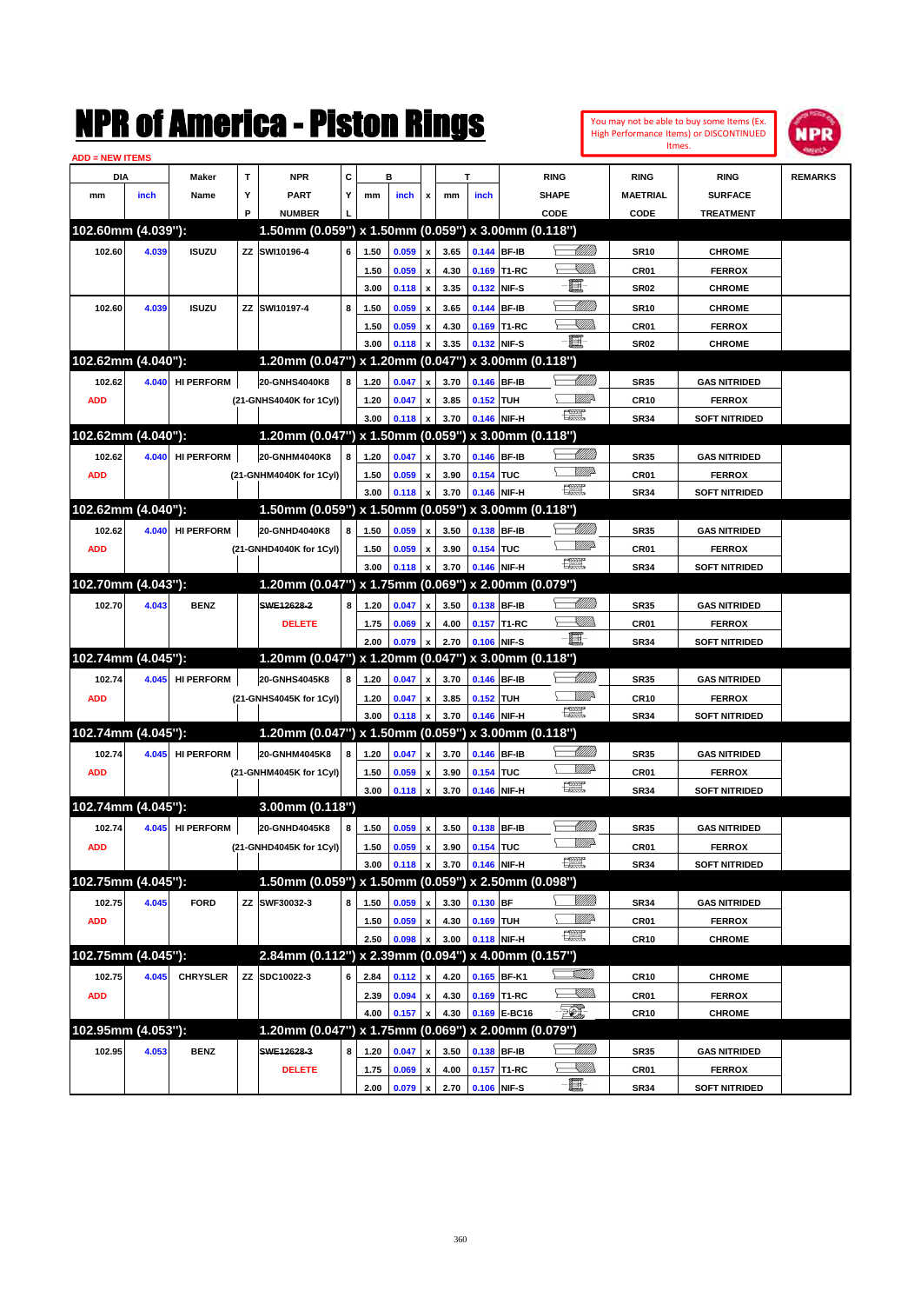You may not be able to buy some Items (Ex. High Performance Items) or DISCONTINUED Itmes.



| <b>ADD = NEW ITEMS</b> |       |                   |    |                                                     |   |              |       |                           |      |             |              |                               |                  |                      |                |
|------------------------|-------|-------------------|----|-----------------------------------------------------|---|--------------|-------|---------------------------|------|-------------|--------------|-------------------------------|------------------|----------------------|----------------|
| DIA                    |       | <b>Maker</b>      | Т  | <b>NPR</b>                                          | С |              | в     |                           |      | т           |              | <b>RING</b>                   | <b>RING</b>      | <b>RING</b>          | <b>REMARKS</b> |
| mm                     | inch  | Name              | Y  | <b>PART</b>                                         | Y | mm           | inch  | x                         | mm   | inch        |              | <b>SHAPE</b>                  | <b>MAETRIAL</b>  | <b>SURFACE</b>       |                |
|                        |       |                   | P  | <b>NUMBER</b>                                       |   |              |       |                           |      |             |              | CODE                          | CODE             | <b>TREATMENT</b>     |                |
| 102.60mm (4.039"):     |       |                   |    | 1.50mm (0.059") x 1.50mm (0.059") x 3.00mm (0.118") |   |              |       |                           |      |             |              |                               |                  |                      |                |
| 102.60                 | 4.039 | <b>ISUZU</b>      | ΖZ | SWI10196-4                                          | 6 | 1.50         | 0.059 | x                         | 3.65 |             | 0.144 BF-IB  | <u> UMM</u>                   | <b>SR10</b>      | <b>CHROME</b>        |                |
|                        |       |                   |    |                                                     |   | 1.50         | 0.059 | x                         | 4.30 |             | 0.169 T1-RC  | <u>Sillin</u>                 | CR01             | <b>FERROX</b>        |                |
|                        |       |                   |    |                                                     |   | 3.00         | 0.118 | $\boldsymbol{\mathsf{x}}$ | 3.35 |             | 0.132 NIF-S  | E                             | <b>SR02</b>      | <b>CHROME</b>        |                |
| 102.60                 | 4.039 | <b>ISUZU</b>      | ΖZ | SWI10197-4                                          | 8 | 1.50         | 0.059 | x                         | 3.65 |             | 0.144 BF-IB  | WMM                           | <b>SR10</b>      | <b>CHROME</b>        |                |
|                        |       |                   |    |                                                     |   | 1.50         | 0.059 | x                         | 4.30 |             | 0.169 T1-RC  | <u>Sillin</u>                 | CR01             | <b>FERROX</b>        |                |
|                        |       |                   |    |                                                     |   | 3.00         | 0.118 | x                         | 3.35 | 0.132 NIF-S |              | E                             | <b>SR02</b>      | <b>CHROME</b>        |                |
| 102.62mm (4.040"):     |       |                   |    | 1.20mm (0.047") x 1.20mm (0.047")                   |   |              |       |                           |      |             |              | x 3.00mm (0.118")             |                  |                      |                |
| 102.62                 | 4.040 |                   |    | 20-GNHS4040K8                                       | 8 |              |       |                           |      |             |              | MMM                           |                  |                      |                |
|                        |       | <b>HI PERFORM</b> |    |                                                     |   | 1.20         | 0.047 | x                         | 3.70 |             | 0.146 BF-IB  | <u>Mille</u>                  | <b>SR35</b>      | <b>GAS NITRIDED</b>  |                |
| <b>ADD</b>             |       |                   |    | (21-GNHS4040K for 1Cyl)                             |   | 1.20         | 0.047 | x                         | 3.85 | 0.152 TUH   |              | 鱱                             | <b>CR10</b>      | <b>FERROX</b>        |                |
| 102.62mm (4.040"):     |       |                   |    | 1.20mm (0.047") x 1.50mm (0.059") x 3.00mm (0.118") |   | 3.00         | 0.118 | x                         | 3.70 |             | 0.146 NIF-H  |                               | <b>SR34</b>      | <b>SOFT NITRIDED</b> |                |
|                        |       |                   |    |                                                     |   |              |       |                           |      |             |              |                               |                  |                      |                |
| 102.62                 | 4.040 | <b>HI PERFORM</b> |    | 20-GNHM4040K8                                       | 8 | 1.20         | 0.047 | x                         | 3.70 | 0.146 BF-IB |              | <u>UMB</u><br><u>MM</u>       | <b>SR35</b>      | <b>GAS NITRIDED</b>  |                |
| <b>ADD</b>             |       |                   |    | (21-GNHM4040K for 1Cyl)                             |   | 1.50         | 0.059 | x                         | 3.90 | 0.154 TUC   |              | $f_{\text{max}}^{\text{max}}$ | CR01             | <b>FERROX</b>        |                |
|                        |       |                   |    |                                                     |   | 3.00         | 0.118 | x                         | 3.70 |             | 0.146 NIF-H  |                               | <b>SR34</b>      | <b>SOFT NITRIDED</b> |                |
| 102.62mm (4.040"):     |       |                   |    | 1.50mm (0.059") x 1.50mm (0.059")                   |   |              |       |                           |      |             |              | x 3.00mm (0.118")             |                  |                      |                |
| 102.62                 | 4.040 | <b>HI PERFORM</b> |    | 20-GNHD4040K8                                       | 8 | 1.50         | 0.059 | x                         | 3.50 | 0.138 BF-IB |              | <u>UMB</u>                    | <b>SR35</b>      | <b>GAS NITRIDED</b>  |                |
| <b>ADD</b>             |       |                   |    | (21-GNHD4040K for 1Cyl)                             |   | 1.50         | 0.059 | x                         | 3.90 | 0.154 TUC   |              | <u>MM</u>                     | CR01             | <b>FERROX</b>        |                |
|                        |       |                   |    |                                                     |   | 3.00         | 0.118 | x                         | 3.70 |             | 0.146 NIF-H  | 鱱                             | <b>SR34</b>      | <b>SOFT NITRIDED</b> |                |
| 102.70mm (4.043"):     |       |                   |    | 1.20mm (0.047") x 1.75mm (0.069")                   |   |              |       |                           |      |             |              | x 2.00mm (0.079")             |                  |                      |                |
| 102.70                 | 4.043 | <b>BENZ</b>       |    | SWE12628-2                                          | 8 | 1.20         | 0.047 | x                         | 3.50 |             | 0.138 BF-IB  | MMB                           | <b>SR35</b>      | <b>GAS NITRIDED</b>  |                |
|                        |       |                   |    | <b>DELETE</b>                                       |   | 1.75         | 0.069 | x                         | 4.00 |             | 0.157 T1-RC  | <u>Sillin</u>                 | CR01             | <b>FERROX</b>        |                |
|                        |       |                   |    |                                                     |   | 2.00         | 0.079 | $\pmb{\mathsf{x}}$        | 2.70 | 0.106 NIF-S |              | E                             | <b>SR34</b>      | <b>SOFT NITRIDED</b> |                |
| 102.74mm (4.045"):     |       |                   |    | 1.20mm (0.047") x 1.20mm (0.047")                   |   |              |       |                           |      |             |              | x 3.00mm (0.118")             |                  |                      |                |
| 102.74                 | 4.045 | <b>HI PERFORM</b> |    | 20-GNHS4045K8                                       | 8 | 1.20         | 0.047 | x                         | 3.70 |             | 0.146 BF-IB  | Millitti                      | <b>SR35</b>      | <b>GAS NITRIDED</b>  |                |
| <b>ADD</b>             |       |                   |    | (21-GNHS4045K for 1Cyl)                             |   | 1.20         | 0.047 | x                         | 3.85 | 0.152 TUH   |              | <u>Mille</u>                  | <b>CR10</b>      | <b>FERROX</b>        |                |
|                        |       |                   |    |                                                     |   | 3.00         | 0.118 | x                         | 3.70 |             | 0.146 NIF-H  | 鱱                             | <b>SR34</b>      | <b>SOFT NITRIDED</b> |                |
| 102.74mm (4.045"):     |       |                   |    | 1.20mm (0.047") x 1.50mm (0.059") x 3.00mm (0.118") |   |              |       |                           |      |             |              |                               |                  |                      |                |
| 102.74                 | 4.045 | <b>HI PERFORM</b> |    | 20-GNHM4045K8                                       | 8 | 1.20         | 0.047 | x                         | 3.70 |             | 0.146 BF-IB  | MMM                           | <b>SR35</b>      | <b>GAS NITRIDED</b>  |                |
| <b>ADD</b>             |       |                   |    | (21-GNHM4045K for 1Cyl)                             |   | 1.50         | 0.059 | x                         | 3.90 | 0.154 TUC   |              | <u>MM</u>                     | CR01             | <b>FERROX</b>        |                |
|                        |       |                   |    |                                                     |   | 3.00         | 0.118 | $\pmb{\mathsf{x}}$        | 3.70 |             | 0.146 NIF-H  | 鱱                             | <b>SR34</b>      | <b>SOFT NITRIDED</b> |                |
| 102.74mm (4.045"):     |       |                   |    | 3.00mm (0.118")                                     |   |              |       |                           |      |             |              |                               |                  |                      |                |
| 102.74                 | 4.045 | <b>HI PERFORM</b> |    | 20-GNHD4045K8                                       | 8 | 1.50         | 0.059 | x                         | 3.50 | 0.138 BF-IB |              | Willia                        | <b>SR35</b>      | <b>GAS NITRIDED</b>  |                |
| <b>ADD</b>             |       |                   |    | (21-GNHD4045K for 1Cyl)                             |   | 1.50         | 0.059 | $\pmb{\mathsf{x}}$        | 3.90 | 0.154 TUC   |              | <u>MM</u>                     | CR01             | <b>FERROX</b>        |                |
|                        |       |                   |    |                                                     |   | 3.00         | 0.118 | $\pmb{\mathsf{x}}$        | 3.70 |             | 0.146 NIF-H  | $f_{\text{max}}^{\text{opp}}$ | SR34             | <b>SOFT NITRIDED</b> |                |
| 102.75mm (4.045"):     |       |                   |    | 1.50mm (0.059") x 1.50mm (0.059") x 2.50mm (0.098") |   |              |       |                           |      |             |              |                               |                  |                      |                |
| 102.75                 | 4.045 | <b>FORD</b>       |    | ZZ SWF30032-3                                       | 8 | 1.50         | 0.059 | $\pmb{\mathsf{x}}$        | 3.30 | $0.130$ BF  |              | <u>Villida</u>                | SR34             | <b>GAS NITRIDED</b>  |                |
| <b>ADD</b>             |       |                   |    |                                                     |   | 1.50         | 0.059 | $\pmb{\mathsf{x}}$        | 4.30 | 0.169 TUH   |              | <u>Willi</u>                  | CR01             | <b>FERROX</b>        |                |
|                        |       |                   |    |                                                     |   | 2.50         | 0.098 | x                         | 3.00 |             | 0.118 NIF-H  | 鱱                             | CR <sub>10</sub> | <b>CHROME</b>        |                |
| 102.75mm (4.045"):     |       |                   |    | 2.84mm (0.112") x 2.39mm (0.094") x 4.00mm (0.157") |   |              |       |                           |      |             |              |                               |                  |                      |                |
| 102.75                 | 4.045 | <b>CHRYSLER</b>   |    | ZZ SDC10022-3                                       | 6 | 2.84         | 0.112 | x                         | 4.20 |             | 0.165 BF-K1  | <u>stillin</u>                | CR <sub>10</sub> | <b>CHROME</b>        |                |
| <b>ADD</b>             |       |                   |    |                                                     |   |              | 0.094 |                           | 4.30 |             | 0.169 T1-RC  | <u>Sillin</u>                 | CR01             | <b>FERROX</b>        |                |
|                        |       |                   |    |                                                     |   | 2.39<br>4.00 | 0.157 | x<br>$\pmb{\mathsf{x}}$   | 4.30 |             | 0.169 E-BC16 | $\mathcal{F}$                 | CR10             | <b>CHROME</b>        |                |
| 102.95mm (4.053"):     |       |                   |    | 1.20mm (0.047") x 1.75mm (0.069") x 2.00mm (0.079") |   |              |       |                           |      |             |              |                               |                  |                      |                |
|                        |       |                   |    |                                                     |   |              |       |                           |      |             |              | <u> MM)</u>                   |                  |                      |                |
| 102.95                 | 4.053 | <b>BENZ</b>       |    | SWE12628-3                                          | 8 | 1.20         | 0.047 | x                         | 3.50 |             | 0.138 BF-IB  |                               | SR35             | <b>GAS NITRIDED</b>  |                |
|                        |       |                   |    | <b>DELETE</b>                                       |   | 1.75         | 0.069 | x                         | 4.00 |             | 0.157 T1-RC  | <u>Killida</u><br>e           | CR01             | <b>FERROX</b>        |                |
|                        |       |                   |    |                                                     |   | 2.00         | 0.079 | $\pmb{\mathsf{x}}$        | 2.70 |             | 0.106 NIF-S  |                               | <b>SR34</b>      | <b>SOFT NITRIDED</b> |                |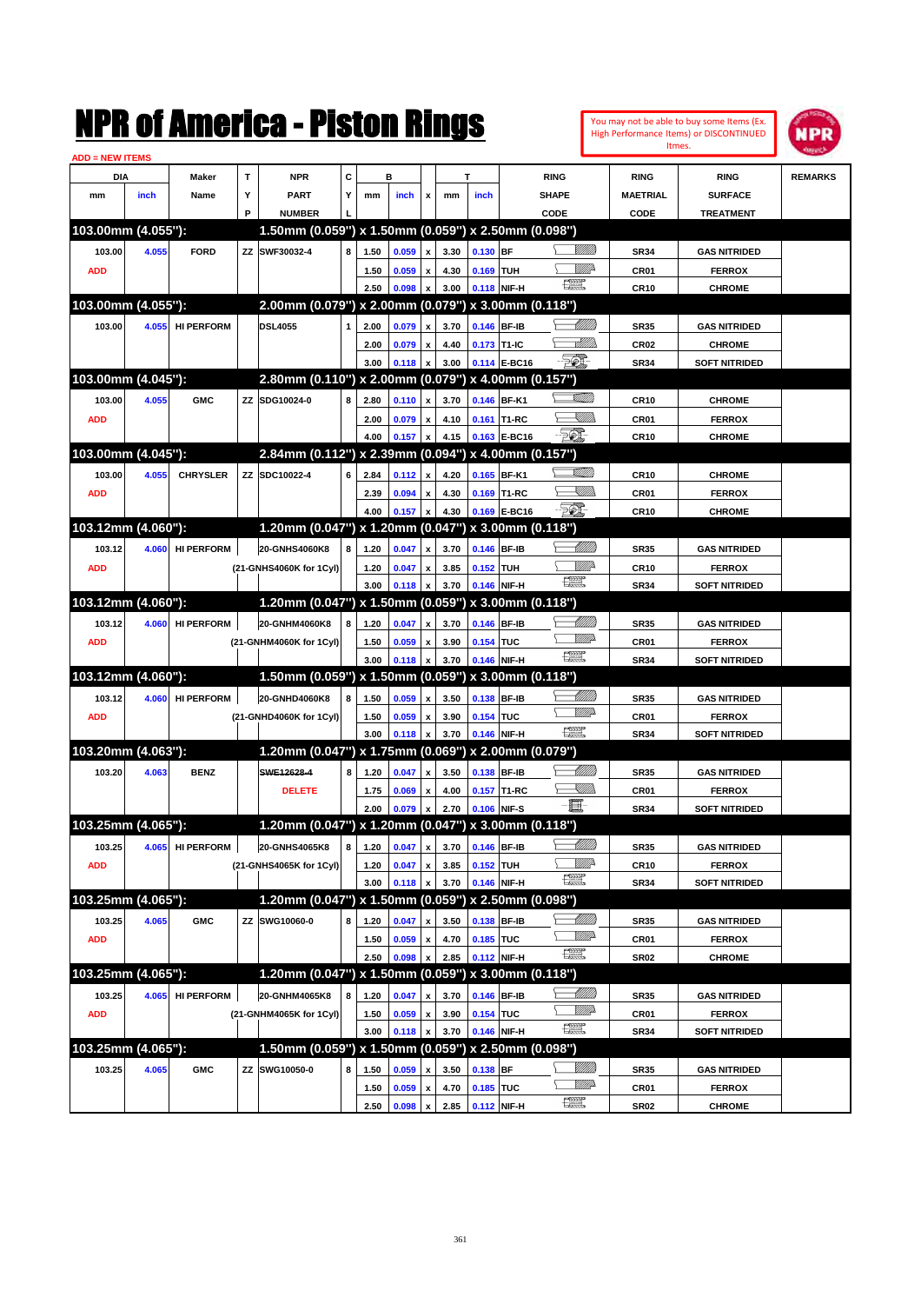|                               |       | NMK OI AINCrica - Miston Kings |   |                                                     |   |      |       |                    |      |             |                                     |                                                                                                                                                                                                                                                                                                                                                                                             | You may not be able to buy some Items (Ex.<br><b>High Performance Items) or DISCONTINUED</b><br>Itmes. | NPR              |                      |                |
|-------------------------------|-------|--------------------------------|---|-----------------------------------------------------|---|------|-------|--------------------|------|-------------|-------------------------------------|---------------------------------------------------------------------------------------------------------------------------------------------------------------------------------------------------------------------------------------------------------------------------------------------------------------------------------------------------------------------------------------------|--------------------------------------------------------------------------------------------------------|------------------|----------------------|----------------|
| <b>ADD = NEW ITEMS</b><br>DIA |       | Maker                          | T | <b>NPR</b>                                          | C |      | в     |                    |      | T           |                                     | <b>RING</b>                                                                                                                                                                                                                                                                                                                                                                                 |                                                                                                        | <b>RING</b>      | <b>RING</b>          | <b>REMARKS</b> |
| mm                            | inch  | Name                           | Υ | <b>PART</b>                                         | Y | mm   | inch  | x                  | mm   | inch        |                                     | <b>SHAPE</b>                                                                                                                                                                                                                                                                                                                                                                                |                                                                                                        | <b>MAETRIAL</b>  | <b>SURFACE</b>       |                |
|                               |       |                                | P | <b>NUMBER</b>                                       |   |      |       |                    |      |             |                                     | CODE                                                                                                                                                                                                                                                                                                                                                                                        |                                                                                                        | CODE             | <b>TREATMENT</b>     |                |
| 103.00mm (4.055"):            |       |                                |   | 1.50mm (0.059") x 1.50mm (0.059") x 2.50mm (0.098") |   |      |       |                    |      |             |                                     |                                                                                                                                                                                                                                                                                                                                                                                             |                                                                                                        |                  |                      |                |
| 103.00                        | 4.055 | <b>FORD</b>                    |   | ZZ SWF30032-4                                       | 8 | 1.50 | 0.059 | x                  | 3.30 | 0.130 BF    |                                     |                                                                                                                                                                                                                                                                                                                                                                                             |                                                                                                        | <b>SR34</b>      | <b>GAS NITRIDED</b>  |                |
| <b>ADD</b>                    |       |                                |   |                                                     |   | 1.50 | 0.059 | $\pmb{\mathsf{x}}$ | 4.30 | 0.169       | <b>TUH</b>                          |                                                                                                                                                                                                                                                                                                                                                                                             | <u>Mille</u>                                                                                           | CR01             | <b>FERROX</b>        |                |
|                               |       |                                |   |                                                     |   | 2.50 | 0.098 | x                  | 3.00 | 0.118       | NIF-H                               | 讓                                                                                                                                                                                                                                                                                                                                                                                           |                                                                                                        | <b>CR10</b>      | <b>CHROME</b>        |                |
| 103.00mm (4.055"):            |       |                                |   | 2.00mm (0.079") x 2.00mm (0.079") x 3.00mm (0.118") |   |      |       |                    |      |             |                                     |                                                                                                                                                                                                                                                                                                                                                                                             |                                                                                                        |                  |                      |                |
| 103.00                        | 4.055 | <b>HI PERFORM</b>              |   | <b>DSL4055</b>                                      | 1 | 2.00 | 0.079 | x                  | 3.70 | 0.146       | <b>BF-IB</b>                        |                                                                                                                                                                                                                                                                                                                                                                                             | <u> UMM</u>                                                                                            | SR35             | <b>GAS NITRIDED</b>  |                |
|                               |       |                                |   |                                                     |   | 2.00 | 0.079 | $\pmb{\mathsf{x}}$ | 4.40 | 0.173 T1-IC |                                     |                                                                                                                                                                                                                                                                                                                                                                                             | <u>Allin</u>                                                                                           | CR <sub>02</sub> | <b>CHROME</b>        |                |
|                               |       |                                |   |                                                     |   | 3.00 | 0.118 | $\mathbf{x}$       | 3.00 |             | 0.114 E-BC16                        | EO)                                                                                                                                                                                                                                                                                                                                                                                         |                                                                                                        | <b>SR34</b>      | <b>SOFT NITRIDED</b> |                |
| 103.00mm (4.045"):            |       |                                |   | 2.80mm (0.110") x 2.00mm (0.079") x 4.00mm (0.157") |   |      |       |                    |      |             |                                     |                                                                                                                                                                                                                                                                                                                                                                                             |                                                                                                        |                  |                      |                |
| 103.00                        | 4.055 | <b>GMC</b>                     |   | ZZ SDG10024-0                                       | 8 | 2.80 | 0.110 | X                  | 3.70 | 0.146       | BF-K1                               |                                                                                                                                                                                                                                                                                                                                                                                             | <u>MM/</u>                                                                                             | <b>CR10</b>      | <b>CHROME</b>        |                |
| <b>ADD</b>                    |       |                                |   |                                                     |   | 2.00 | 0.079 | x                  | 4.10 | 0.161       | T1-RC                               |                                                                                                                                                                                                                                                                                                                                                                                             | <u>UM)</u>                                                                                             | CR01             | <b>FERROX</b>        |                |
|                               |       |                                |   |                                                     |   | 4.00 | 0.157 | x                  | 4.15 | 0.163       | E-BC16                              | 50 <sup>o</sup>                                                                                                                                                                                                                                                                                                                                                                             |                                                                                                        | <b>CR10</b>      | <b>CHROME</b>        |                |
| 103.00mm (4.045"):            |       |                                |   | 2.84mm (0.112") x 2.39mm (0.094") x 4.00mm (0.157") |   |      |       |                    |      |             |                                     |                                                                                                                                                                                                                                                                                                                                                                                             |                                                                                                        |                  |                      |                |
| 103.00                        | 4.055 | <b>CHRYSLER</b>                |   | ZZ SDC10022-4                                       | 6 | 2.84 | 0.112 | x                  | 4.20 |             | 0.165 BF-K1                         |                                                                                                                                                                                                                                                                                                                                                                                             | <u> UMM</u>                                                                                            | <b>CR10</b>      | <b>CHROME</b>        |                |
| <b>ADD</b>                    |       |                                |   |                                                     |   | 2.39 | 0.094 | x                  | 4.30 | 0.169       | T1-RC                               |                                                                                                                                                                                                                                                                                                                                                                                             | <u>UM)</u>                                                                                             | CR01             | <b>FERROX</b>        |                |
|                               |       |                                |   |                                                     |   | 4.00 | 0.157 | x                  | 4.30 | 0.169       | <b>E-BC16</b>                       | <b>FOX</b>                                                                                                                                                                                                                                                                                                                                                                                  |                                                                                                        | <b>CR10</b>      | <b>CHROME</b>        |                |
| 103.12mm (4.060"):            |       |                                |   | 1.20mm (0.047") x 1.20mm (0.047")                   |   |      |       |                    |      |             | x 3.00mm (0.118")                   |                                                                                                                                                                                                                                                                                                                                                                                             |                                                                                                        |                  |                      |                |
| 103.12                        | 4.060 | <b>HI PERFORM</b>              |   | 20-GNHS4060K8                                       | 8 | 1.20 | 0.047 | x                  | 3.70 | 0.146       | <b>BF-IB</b>                        |                                                                                                                                                                                                                                                                                                                                                                                             | <u>UMB</u>                                                                                             | SR35             | <b>GAS NITRIDED</b>  |                |
| <b>ADD</b>                    |       |                                |   | (21-GNHS4060K for 1Cyl)                             |   | 1.20 | 0.047 | $\pmb{\mathsf{x}}$ | 3.85 | 0.152       | <b>TUH</b>                          |                                                                                                                                                                                                                                                                                                                                                                                             | <u>Mille</u>                                                                                           | <b>CR10</b>      | <b>FERROX</b>        |                |
|                               |       |                                |   |                                                     |   | 3.00 | 0.118 | x                  | 3.70 | 0.146       | NIF-H                               | $f_{\text{max}}^{\text{exp}}$                                                                                                                                                                                                                                                                                                                                                               |                                                                                                        | <b>SR34</b>      | <b>SOFT NITRIDED</b> |                |
| 103.12mm (4.060"):            |       |                                |   | 1.20mm (0.047")                                     |   |      |       |                    |      |             | x 1.50mm (0.059") x 3.00mm (0.118") |                                                                                                                                                                                                                                                                                                                                                                                             |                                                                                                        |                  |                      |                |
| 103.12                        | 4.060 | <b>HI PERFORM</b>              |   | 20-GNHM4060K8                                       | 8 | 1.20 | 0.047 | x                  | 3.70 | 0.146       | <b>BF-IB</b>                        |                                                                                                                                                                                                                                                                                                                                                                                             | Millitt                                                                                                | SR35             | <b>GAS NITRIDED</b>  |                |
| <b>ADD</b>                    |       |                                |   | (21-GNHM4060K for 1Cyl)                             |   | 1.50 | 0.059 | $\pmb{\mathsf{x}}$ | 3.90 | 0.154 TUC   |                                     |                                                                                                                                                                                                                                                                                                                                                                                             | <u>VMD</u>                                                                                             | CR01             | <b>FERROX</b>        |                |
|                               |       |                                |   |                                                     |   | 3.00 | 0.118 | x                  | 3.70 |             | 0.146 NIF-H                         | <b>The Second</b>                                                                                                                                                                                                                                                                                                                                                                           |                                                                                                        | <b>SR34</b>      | <b>SOFT NITRIDED</b> |                |
| 103.12mm (4.060"):            |       |                                |   | 1.50mm (0.059") x 1.50mm (0.059") x 3.00mm (0.118") |   |      |       |                    |      |             |                                     |                                                                                                                                                                                                                                                                                                                                                                                             |                                                                                                        |                  |                      |                |
| 103.12                        | 4.060 | <b>HI PERFORM</b>              |   | 20-GNHD4060K8                                       | 8 | 1.50 | 0.059 | x                  | 3.50 | 0.138       | <b>BF-IB</b>                        |                                                                                                                                                                                                                                                                                                                                                                                             | Millitt                                                                                                | SR35             | <b>GAS NITRIDED</b>  |                |
| <b>ADD</b>                    |       |                                |   | (21-GNHD4060K for 1Cyl)                             |   | 1.50 | 0.059 | x                  | 3.90 | 0.154       | <b>TUC</b>                          |                                                                                                                                                                                                                                                                                                                                                                                             |                                                                                                        | CR01             | <b>FERROX</b>        |                |
|                               |       |                                |   |                                                     |   | 3.00 | 0.118 | x                  | 3.70 |             | 0.146 NIF-H                         | <u>reep</u>                                                                                                                                                                                                                                                                                                                                                                                 |                                                                                                        | <b>SR34</b>      | <b>SOFT NITRIDED</b> |                |
| 103.20mm (4.063"):            |       |                                |   | 1.20mm (0.047") x 1.75mm (0.069") x 2.00mm (0.079") |   |      |       |                    |      |             |                                     |                                                                                                                                                                                                                                                                                                                                                                                             |                                                                                                        |                  |                      |                |
| 103.20                        | 4.063 | <b>BENZ</b>                    |   | SWE12628-4                                          | 8 | 1.20 | 0.047 | x                  | 3.50 | 0.138       | <b>BF-IB</b>                        |                                                                                                                                                                                                                                                                                                                                                                                             | <u>UMB</u>                                                                                             | SR35             | <b>GAS NITRIDED</b>  |                |
|                               |       |                                |   | <b>DELETE</b>                                       |   | 1.75 | 0.069 | $\pmb{\mathsf{x}}$ | 4.00 |             | 0.157 T1-RC                         |                                                                                                                                                                                                                                                                                                                                                                                             | <u>IMM</u>                                                                                             | CR01             | <b>FERROX</b>        |                |
|                               |       |                                |   |                                                     |   | 2.00 | 0.079 | $\mathbf{x}$       | 2.70 | 0.106 NIF-S |                                     | E.                                                                                                                                                                                                                                                                                                                                                                                          |                                                                                                        | <b>SR34</b>      | <b>SOFT NITRIDED</b> |                |
| 103.25mm (4.065"):            |       |                                |   | 1.20mm (0.047") x 1.20mm (0.047") x 3.00mm (0.118") |   |      |       |                    |      |             |                                     |                                                                                                                                                                                                                                                                                                                                                                                             |                                                                                                        |                  |                      |                |
| 103.25                        | 4.065 | <b>HI PERFORM</b>              |   | 20-GNHS4065K8                                       | 8 | 1.20 | 0.047 | $\pmb{\mathsf{x}}$ | 3.70 | 0.146 BF-IB |                                     |                                                                                                                                                                                                                                                                                                                                                                                             | <u> UMM</u>                                                                                            | SR35             | <b>GAS NITRIDED</b>  |                |
| <b>ADD</b>                    |       |                                |   | (21-GNHS4065K for 1Cyl)                             |   | 1.20 | 0.047 | $\pmb{\mathsf{x}}$ | 3.85 | 0.152 TUH   |                                     |                                                                                                                                                                                                                                                                                                                                                                                             | <u>Willi</u> r                                                                                         | <b>CR10</b>      | <b>FERROX</b>        |                |
|                               |       |                                |   |                                                     |   | 3.00 | 0.118 | X                  | 3.70 |             | 0.146 NIF-H                         | æ                                                                                                                                                                                                                                                                                                                                                                                           |                                                                                                        | SR34             | <b>SOFT NITRIDED</b> |                |
| 103.25mm (4.065"):            |       |                                |   | 1.20mm (0.047") x 1.50mm (0.059") x 2.50mm (0.098") |   |      |       |                    |      |             |                                     |                                                                                                                                                                                                                                                                                                                                                                                             |                                                                                                        |                  |                      |                |
| 103.25                        | 4.065 | <b>GMC</b>                     |   | ZZ SWG10060-0                                       | 8 | 1.20 | 0.047 | X                  | 3.50 |             | 0.138 BF-IB                         |                                                                                                                                                                                                                                                                                                                                                                                             |                                                                                                        | SR35             | <b>GAS NITRIDED</b>  |                |
| <b>ADD</b>                    |       |                                |   |                                                     |   | 1.50 | 0.059 | $\pmb{\mathsf{x}}$ | 4.70 | 0.185 TUC   |                                     |                                                                                                                                                                                                                                                                                                                                                                                             | <u>WW</u>                                                                                              | CR01             | <b>FERROX</b>        |                |
|                               |       |                                |   |                                                     |   | 2.50 | 0.098 | x                  | 2.85 |             | 0.112 NIF-H                         | $\begin{picture}(20,20) \put(0,0){\dashbox{0.5}(20,0){ }} \put(15,0){\circle{10}} \put(25,0){\circle{10}} \put(25,0){\circle{10}} \put(25,0){\circle{10}} \put(25,0){\circle{10}} \put(25,0){\circle{10}} \put(25,0){\circle{10}} \put(25,0){\circle{10}} \put(25,0){\circle{10}} \put(25,0){\circle{10}} \put(25,0){\circle{10}} \put(25,0){\circle{10}} \put(25,0){\circle{10}} \put(25,$ |                                                                                                        | SR02             | <b>CHROME</b>        |                |
| 103.25mm (4.065"):            |       |                                |   | 1.20mm (0.047") x 1.50mm (0.059") x 3.00mm (0.118") |   |      |       |                    |      |             |                                     |                                                                                                                                                                                                                                                                                                                                                                                             |                                                                                                        |                  |                      |                |
| 103.25                        | 4.065 | <b>HI PERFORM</b>              |   | 20-GNHM4065K8                                       | 8 | 1.20 | 0.047 | x                  | 3.70 | 0.146 BF-IB |                                     |                                                                                                                                                                                                                                                                                                                                                                                             | <u> Millitti</u><br><u>WW</u>                                                                          | SR35             | <b>GAS NITRIDED</b>  |                |
| <b>ADD</b>                    |       |                                |   | (21-GNHM4065K for 1Cyl)                             |   | 1.50 | 0.059 | x                  | 3.90 | 0.154 TUC   |                                     | $\frac{1}{2}$                                                                                                                                                                                                                                                                                                                                                                               |                                                                                                        | CR01             | <b>FERROX</b>        |                |
|                               |       |                                |   |                                                     |   | 3.00 | 0.118 | $\pmb{\mathsf{x}}$ | 3.70 |             | 0.146 NIF-H                         |                                                                                                                                                                                                                                                                                                                                                                                             |                                                                                                        | SR34             | <b>SOFT NITRIDED</b> |                |
| 103.25mm (4.065"):            |       |                                |   | 1.50mm (0.059") x 1.50mm (0.059") x 2.50mm (0.098") |   |      |       |                    |      |             |                                     |                                                                                                                                                                                                                                                                                                                                                                                             |                                                                                                        |                  |                      |                |
| 103.25                        | 4.065 | <b>GMC</b>                     |   | ZZ SWG10050-0                                       | 8 | 1.50 | 0.059 | X                  | 3.50 | 0.138 BF    |                                     |                                                                                                                                                                                                                                                                                                                                                                                             | <u>Millit</u><br><u>WW</u>                                                                             | <b>SR35</b>      | <b>GAS NITRIDED</b>  |                |
|                               |       |                                |   |                                                     |   | 1.50 | 0.059 | $\pmb{\mathsf{x}}$ | 4.70 | 0.185 TUC   |                                     | $f_{\text{max}}^{\text{exp}}$                                                                                                                                                                                                                                                                                                                                                               |                                                                                                        | CR01             | <b>FERROX</b>        |                |
|                               |       |                                |   |                                                     |   | 2.50 | 0.098 | $\boldsymbol{x}$   | 2.85 | 0.112 NIF-H |                                     |                                                                                                                                                                                                                                                                                                                                                                                             |                                                                                                        | <b>SR02</b>      | <b>CHROME</b>        |                |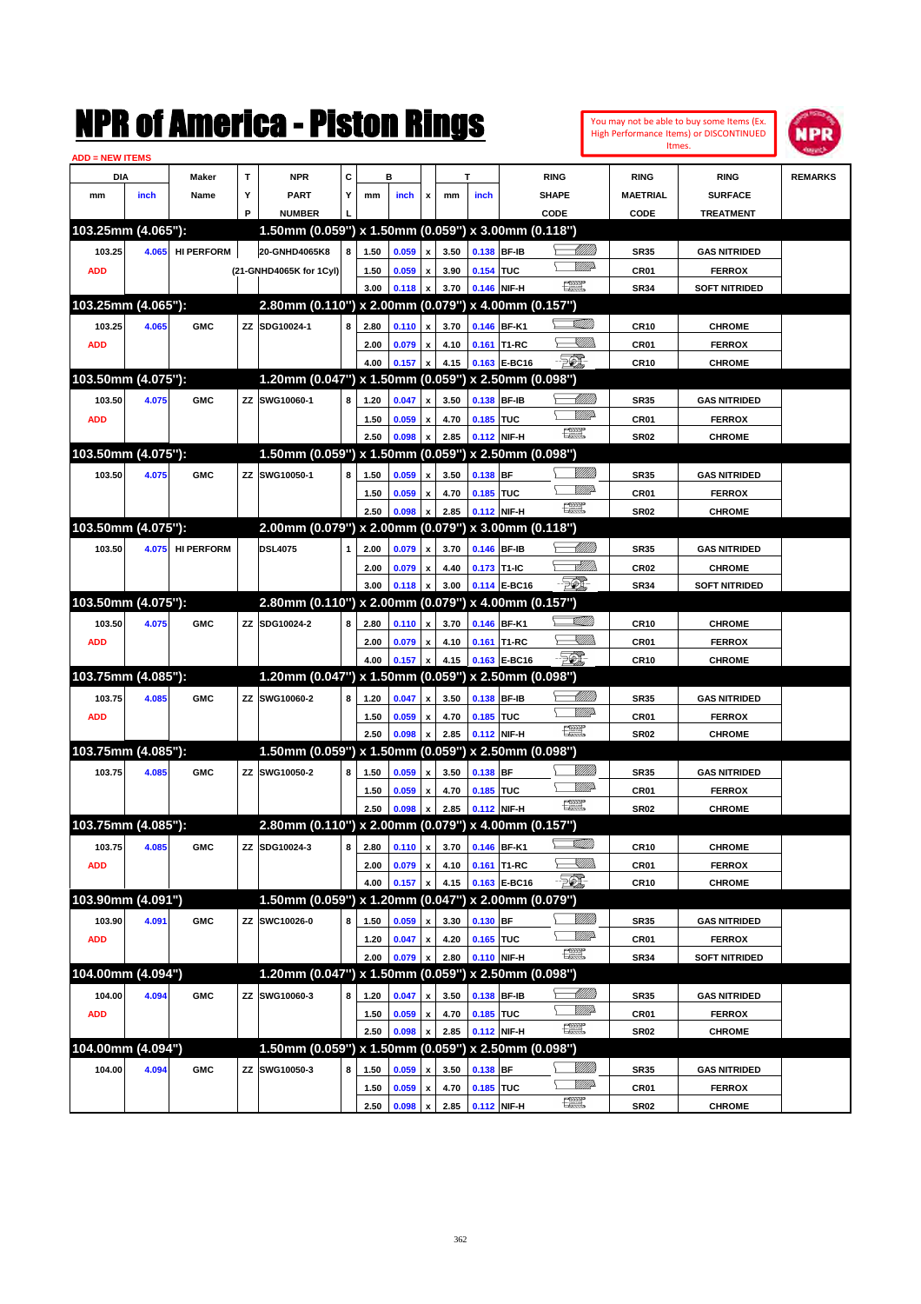| NMK OI AINCrica - Miston Kings<br><b>ADD = NEW ITEMS</b> |       |                   |             |                                                     |   |      |       |                           |      |           |              | You may not be able to buy some Items (Ex.<br>High Performance Items) or DISCONTINUED<br>Itmes. | m              |                  |                      |                |
|----------------------------------------------------------|-------|-------------------|-------------|-----------------------------------------------------|---|------|-------|---------------------------|------|-----------|--------------|-------------------------------------------------------------------------------------------------|----------------|------------------|----------------------|----------------|
| DIA                                                      |       | Maker             | $\mathbf T$ | <b>NPR</b>                                          | C |      | в     |                           |      | T         |              | <b>RING</b>                                                                                     |                | <b>RING</b>      | <b>RING</b>          | <b>REMARKS</b> |
| mm                                                       | inch  | Name              | Υ           | <b>PART</b>                                         | Υ | mm   | inch  | x                         | mm   | inch      |              | <b>SHAPE</b>                                                                                    |                | <b>MAETRIAL</b>  | <b>SURFACE</b>       |                |
|                                                          |       |                   | P           | <b>NUMBER</b>                                       |   |      |       |                           |      |           |              | CODE                                                                                            |                | CODE             | <b>TREATMENT</b>     |                |
| 103.25mm (4.065"):                                       |       |                   |             | 1.50mm (0.059") x 1.50mm (0.059") x 3.00mm (0.118") |   |      |       |                           |      |           |              |                                                                                                 |                |                  |                      |                |
| 103.25                                                   | 4.065 | <b>HI PERFORM</b> |             | 20-GNHD4065K8                                       | 8 | 1.50 | 0.059 | $\pmb{\mathsf{x}}$        | 3.50 |           | 0.138 BF-IB  |                                                                                                 | <u> UMM</u>    | <b>SR35</b>      | <b>GAS NITRIDED</b>  |                |
| <b>ADD</b>                                               |       |                   |             | (21-GNHD4065K for 1Cyl)                             |   | 1.50 | 0.059 | $\pmb{\mathsf{x}}$        | 3.90 | 0.154 TUC |              |                                                                                                 | <u>VIII))</u>  | CR01             | <b>FERROX</b>        |                |
|                                                          |       |                   |             |                                                     |   | 3.00 | 0.118 | x                         | 3.70 |           | 0.146 NIF-H  | $\frac{1}{2}$                                                                                   |                | <b>SR34</b>      | <b>SOFT NITRIDED</b> |                |
| 103.25mm (4.065"):                                       |       |                   |             | 2.80mm (0.110") x 2.00mm (0.079") x 4.00mm (0.157") |   |      |       |                           |      |           |              |                                                                                                 |                |                  |                      |                |
| 103.25                                                   | 4.065 | <b>GMC</b>        |             | ZZ SDG10024-1                                       | 8 | 2.80 | 0.110 | $\pmb{\mathsf{x}}$        | 3.70 |           | 0.146 BF-K1  |                                                                                                 | <u> UMM</u>    | CR10             | <b>CHROME</b>        |                |
| <b>ADD</b>                                               |       |                   |             |                                                     |   | 2.00 | 0.079 | $\pmb{\mathsf{x}}$        | 4.10 |           | 0.161 T1-RC  |                                                                                                 | <u>UMB</u>     | CR01             | <b>FERROX</b>        |                |
|                                                          |       |                   |             |                                                     |   | 4.00 | 0.157 | $\mathbf{x}$              | 4.15 |           | 0.163 E-BC16 | EO)                                                                                             |                | <b>CR10</b>      | <b>CHROME</b>        |                |
| 103.50mm (4.075"):                                       |       |                   |             | 1.20mm (0.047") x 1.50mm (0.059") x 2.50mm (0.098") |   |      |       |                           |      |           |              |                                                                                                 |                |                  |                      |                |
| 103.50                                                   | 4.075 | <b>GMC</b>        |             | ZZ SWG10060-1                                       | 8 | 1.20 | 0.047 | $\pmb{\mathsf{x}}$        | 3.50 |           | 0.138 BF-IB  |                                                                                                 | <u>UMB</u>     | <b>SR35</b>      | <b>GAS NITRIDED</b>  |                |
| <b>ADD</b>                                               |       |                   |             |                                                     |   | 1.50 | 0.059 | x                         | 4.70 | 0.185 TUC |              |                                                                                                 | <u>VMD</u>     | CR01             | <b>FERROX</b>        |                |
|                                                          |       |                   |             |                                                     |   | 2.50 | 0.098 | X                         | 2.85 |           | 0.112 NIF-H  | 讓                                                                                               |                | <b>SR02</b>      | <b>CHROME</b>        |                |
| 103.50mm (4.075"):                                       |       |                   |             | 1.50mm (0.059") x 1.50mm (0.059") x 2.50mm (0.098") |   |      |       |                           |      |           |              |                                                                                                 |                |                  |                      |                |
| 103.50                                                   | 4.075 | <b>GMC</b>        |             | ZZ SWG10050-1                                       | 8 | 1.50 | 0.059 | $\pmb{\mathsf{x}}$        | 3.50 | 0.138 BF  |              |                                                                                                 | <u>Milli</u> k | <b>SR35</b>      | <b>GAS NITRIDED</b>  |                |
|                                                          |       |                   |             |                                                     |   | 1.50 | 0.059 | x                         | 4.70 | 0.185 TUC |              |                                                                                                 | <br>William    | CR01             | <b>FERROX</b>        |                |
|                                                          |       |                   |             |                                                     |   | 2.50 | 0.098 | X                         | 2.85 |           | 0.112 NIF-H  | $f_{\text{max}}^{\text{max}}$                                                                   |                | <b>SR02</b>      | <b>CHROME</b>        |                |
| 103.50mm (4.075"):                                       |       |                   |             | 2.00mm (0.079") x 2.00mm (0.079") x 3.00mm (0.118") |   |      |       |                           |      |           |              |                                                                                                 |                |                  |                      |                |
| 103.50                                                   | 4.075 | <b>HI PERFORM</b> |             | <b>DSL4075</b>                                      |   | 2.00 | 0.079 | $\pmb{\mathsf{x}}$        | 3.70 |           | 0.146 BF-IB  |                                                                                                 | <u> MMW</u> )  | <b>SR35</b>      | <b>GAS NITRIDED</b>  |                |
|                                                          |       |                   |             |                                                     |   | 2.00 | 0.079 | $\pmb{\mathsf{x}}$        | 4.40 |           | 0.173 T1-IC  |                                                                                                 | <u>Allin</u>   | CR <sub>02</sub> | <b>CHROME</b>        |                |
|                                                          |       |                   |             |                                                     |   | 3.00 | 0.118 | X                         | 3.00 |           | 0.114 E-BC16 | EO)                                                                                             |                | <b>SR34</b>      | <b>SOFT NITRIDED</b> |                |
| 103.50mm (4.075"):                                       |       |                   |             | 2.80mm (0.110") x 2.00mm (0.079") x 4.00mm (0.157") |   |      |       |                           |      |           |              |                                                                                                 |                |                  |                      |                |
| 103.50                                                   | 4.075 | <b>GMC</b>        |             | ZZ SDG10024-2                                       | 8 | 2.80 | 0.110 | $\pmb{\mathsf{x}}$        | 3.70 |           | 0.146 BF-K1  |                                                                                                 | <u> UMM</u>    | <b>CR10</b>      | <b>CHROME</b>        |                |
| <b>ADD</b>                                               |       |                   |             |                                                     |   | 2.00 | 0.079 | $\pmb{\mathsf{x}}$        | 4.10 |           | 0.161 T1-RC  |                                                                                                 | <u>UMB</u>     | CR01             | <b>FERROX</b>        |                |
|                                                          |       |                   |             |                                                     |   | 4.00 | 0.157 | X                         | 4.15 |           | 0.163 E-BC16 | EQ)                                                                                             |                | <b>CR10</b>      | <b>CHROME</b>        |                |
| 103.75mm (4.085"):                                       |       |                   |             | 1.20mm (0.047") x 1.50mm (0.059") x 2.50mm (0.098") |   |      |       |                           |      |           |              |                                                                                                 |                |                  |                      |                |
| 103.75                                                   | 4.085 | <b>GMC</b>        |             | ZZ SWG10060-2                                       | 8 | 1.20 | 0.047 | $\pmb{\mathsf{x}}$        | 3.50 |           | 0.138 BF-IB  |                                                                                                 | MMB            | SR35             | <b>GAS NITRIDED</b>  |                |
| <b>ADD</b>                                               |       |                   |             |                                                     |   | 1.50 | 0.059 | x                         | 4.70 | 0.185 TUC |              |                                                                                                 | <u>VMD</u>     | CR01             | <b>FERROX</b>        |                |
|                                                          |       |                   |             |                                                     |   | 2.50 | 0.098 | X                         | 2.85 |           | 0.112 NIF-H  | $f_{\text{max}}^{\text{max}}$                                                                   |                | <b>SR02</b>      | <b>CHROME</b>        |                |
| 103.75mm (4.085"):                                       |       |                   |             | 1.50mm (0.059") x 1.50mm (0.059") x 2.50mm (0.098") |   |      |       |                           |      |           |              |                                                                                                 |                |                  |                      |                |
| 103.75                                                   | 4.085 | <b>GMC</b>        |             | ZZ SWG10050-2                                       | 8 | 1.50 | 0.059 | $\pmb{\mathsf{x}}$        | 3.50 | 0.138 BF  |              |                                                                                                 | <u>Milli</u> k | SR35             | <b>GAS NITRIDED</b>  |                |
|                                                          |       |                   |             |                                                     |   | 1.50 | 0.059 | $\pmb{\mathsf{x}}$        | 4.70 | 0.185 TUC |              |                                                                                                 |                | CR01             | <b>FERROX</b>        |                |
|                                                          |       |                   |             |                                                     |   | 2.50 | 0.098 | $\boldsymbol{\mathsf{x}}$ | 2.85 |           | 0.112 NIF-H  | $f_{\text{max}}^{\text{max}}$                                                                   |                | <b>SR02</b>      | <b>CHROME</b>        |                |
| 103.75mm (4.085"):                                       |       |                   |             | 2.80mm (0.110") x 2.00mm (0.079") x 4.00mm (0.157") |   |      |       |                           |      |           |              |                                                                                                 |                |                  |                      |                |
| 103.75                                                   | 4.085 | <b>GMC</b>        |             | ZZ SDG10024-3                                       | 8 | 2.80 | 0.110 | $\pmb{\mathsf{x}}$        | 3.70 |           | 0.146 BF-K1  |                                                                                                 | <u>VMM</u>     | <b>CR10</b>      | <b>CHROME</b>        |                |
| <b>ADD</b>                                               |       |                   |             |                                                     |   | 2.00 | 0.079 | $\pmb{\mathsf{x}}$        | 4.10 |           | 0.161 T1-RC  |                                                                                                 | <u>Sillin</u>  | CR01             | <b>FERROX</b>        |                |
|                                                          |       |                   |             |                                                     |   | 4.00 | 0.157 |                           | 4.15 |           | 0.163 E-BC16 | EQ,                                                                                             |                | CR10             | <b>CHROME</b>        |                |
| 103.90mm (4.091")                                        |       |                   |             | 1.50mm (0.059") x 1.20mm (0.047") x 2.00mm (0.079") |   |      |       |                           |      |           |              |                                                                                                 |                |                  |                      |                |
| 103.90                                                   | 4.091 | <b>GMC</b>        |             | ZZ SWC10026-0                                       | 8 | 1.50 | 0.059 | x                         | 3.30 | 0.130 BF  |              |                                                                                                 | <u>Milli</u> h | SR35             | <b>GAS NITRIDED</b>  |                |
| <b>ADD</b>                                               |       |                   |             |                                                     |   | 1.20 | 0.047 | $\pmb{\mathsf{x}}$        | 4.20 | 0.165 TUC |              |                                                                                                 | <u>WW</u>      | CR01             | <b>FERROX</b>        |                |
|                                                          |       |                   |             |                                                     |   | 2.00 | 0.079 | x                         | 2.80 |           | 0.110 NIF-H  | $f_{\rm max}^{\rm exp}$                                                                         |                | SR34             | <b>SOFT NITRIDED</b> |                |
| 104.00mm (4.094")                                        |       |                   |             | 1.20mm (0.047") x 1.50mm (0.059") x 2.50mm (0.098") |   |      |       |                           |      |           |              |                                                                                                 |                |                  |                      |                |
| 104.00                                                   | 4.094 | <b>GMC</b>        |             | ZZ SWG10060-3                                       | 8 | 1.20 | 0.047 | X                         | 3.50 |           | 0.138 BF-IB  |                                                                                                 |                | <b>SR35</b>      | <b>GAS NITRIDED</b>  |                |
| <b>ADD</b>                                               |       |                   |             |                                                     |   | 1.50 | 0.059 | $\pmb{\mathsf{x}}$        | 4.70 | 0.185 TUC |              |                                                                                                 | <u>WW</u> A    | CR01             | <b>FERROX</b>        |                |
|                                                          |       |                   |             |                                                     |   | 2.50 | 0.098 | X                         | 2.85 |           | 0.112 NIF-H  | $f_{\rm max}^{\rm exp}$                                                                         |                | <b>SR02</b>      | <b>CHROME</b>        |                |
| 104.00mm (4.094")                                        |       |                   |             | 1.50mm (0.059") x 1.50mm (0.059") x 2.50mm (0.098") |   |      |       |                           |      |           |              |                                                                                                 |                |                  |                      |                |
| 104.00                                                   | 4.094 | <b>GMC</b>        |             | ZZ SWG10050-3                                       | 8 | 1.50 | 0.059 | x                         | 3.50 | 0.138 BF  |              |                                                                                                 | <u>MMS</u>     | <b>SR35</b>      | <b>GAS NITRIDED</b>  |                |
|                                                          |       |                   |             |                                                     |   | 1.50 | 0.059 | x                         | 4.70 | 0.185 TUC |              |                                                                                                 | <u>WW</u> A    | CR01             | <b>FERROX</b>        |                |
|                                                          |       |                   |             |                                                     |   | 2.50 | 0.098 | $\pmb{\mathsf{x}}$        | 2.85 |           | 0.112 NIF-H  | $f_{\text{max}}^{\text{max}}$                                                                   |                | <b>SR02</b>      | <b>CHROME</b>        |                |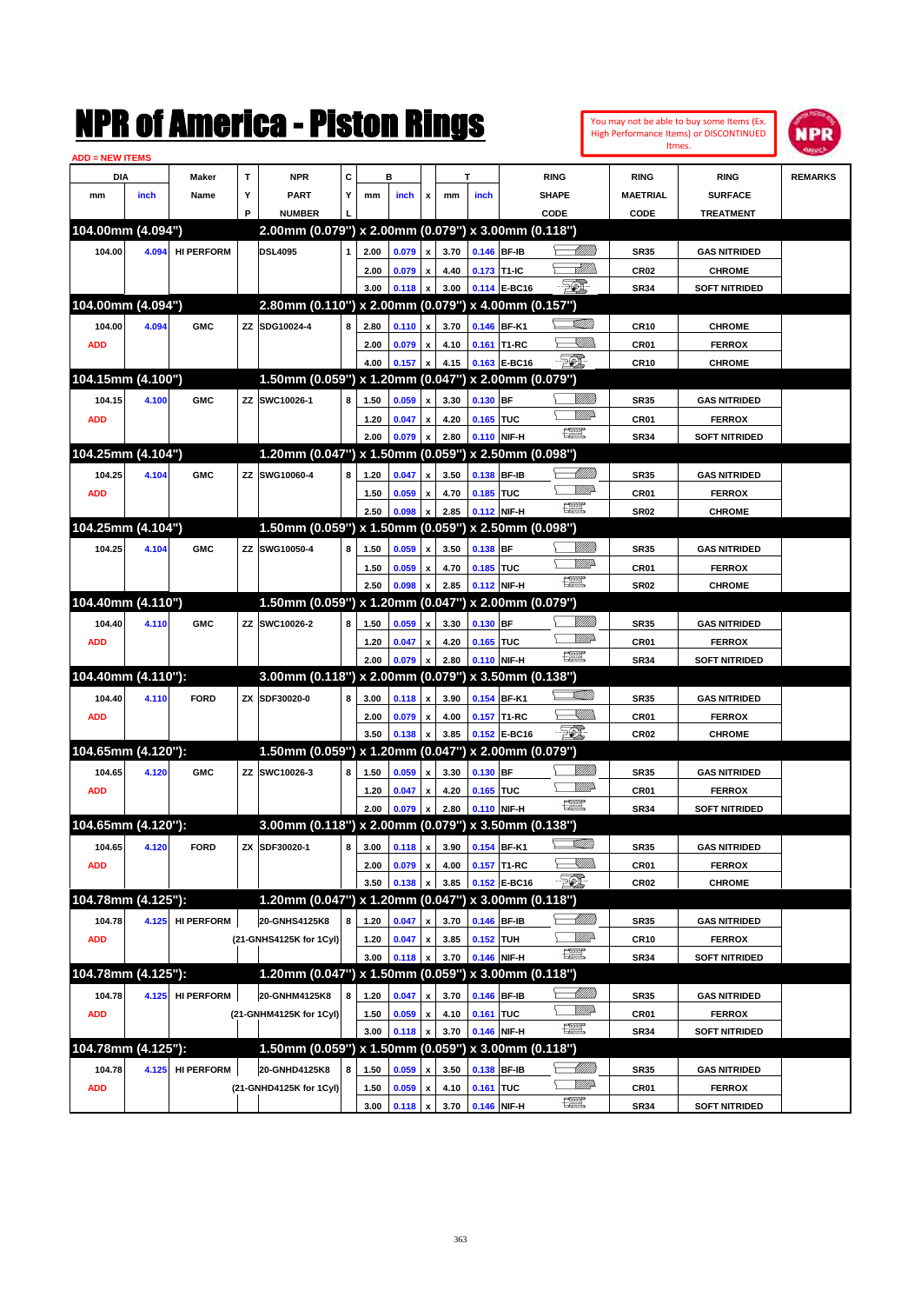| NMK OI AINCrica - Miston Kings<br><b>ADD = NEW ITEMS</b> |       |                   |   |                                                     |   |      |       |                    |      |            |                   |                               | You may not be able to buy some Items (Ex.<br>High Performance Items) or DISCONTINUED<br>Itmes. | MPR              |                      |                |
|----------------------------------------------------------|-------|-------------------|---|-----------------------------------------------------|---|------|-------|--------------------|------|------------|-------------------|-------------------------------|-------------------------------------------------------------------------------------------------|------------------|----------------------|----------------|
| DIA                                                      |       | Maker             | T | <b>NPR</b>                                          | C |      | в     |                    |      | T          |                   | <b>RING</b>                   |                                                                                                 | <b>RING</b>      | <b>RING</b>          | <b>REMARKS</b> |
| mm                                                       | inch  | Name              | Υ | <b>PART</b>                                         | Υ | mm   | inch  | x                  | mm   | inch       |                   | <b>SHAPE</b>                  |                                                                                                 | <b>MAETRIAL</b>  | <b>SURFACE</b>       |                |
|                                                          |       |                   | P | <b>NUMBER</b>                                       |   |      |       |                    |      |            |                   | CODE                          |                                                                                                 | CODE             | <b>TREATMENT</b>     |                |
| 104.00mm (4.094")                                        |       |                   |   | 2.00mm (0.079") x 2.00mm (0.079") x 3.00mm (0.118") |   |      |       |                    |      |            |                   |                               |                                                                                                 |                  |                      |                |
| 104.00                                                   | 4.094 | <b>HI PERFORM</b> |   | <b>DSL4095</b>                                      |   | 2.00 | 0.079 | $\pmb{\mathsf{x}}$ | 3.70 |            | 0.146 BF-IB       |                               | <u>UMB</u>                                                                                      | <b>SR35</b>      | <b>GAS NITRIDED</b>  |                |
|                                                          |       |                   |   |                                                     |   | 2.00 | 0.079 | $\pmb{\mathsf{x}}$ | 4.40 |            | 0.173 T1-IC       |                               | <u> MMW</u>                                                                                     | CR <sub>02</sub> | <b>CHROME</b>        |                |
|                                                          |       |                   |   |                                                     |   | 3.00 | 0.118 | x                  | 3.00 |            | 0.114 E-BC16      | FØI.                          |                                                                                                 | <b>SR34</b>      | <b>SOFT NITRIDED</b> |                |
| 104.00mm (4.094")                                        |       |                   |   | 2.80mm (0.110") x 2.00mm (0.079") x 4.00mm (0.157") |   |      |       |                    |      |            |                   |                               |                                                                                                 |                  |                      |                |
| 104.00                                                   | 4.094 | <b>GMC</b>        |   | ZZ SDG10024-4                                       | 8 | 2.80 | 0.110 | $\pmb{\mathsf{x}}$ | 3.70 |            | 0.146 BF-K1       |                               | <u> UMM</u>                                                                                     | CR10             | <b>CHROME</b>        |                |
| <b>ADD</b>                                               |       |                   |   |                                                     |   | 2.00 | 0.079 | $\pmb{\mathsf{x}}$ | 4.10 |            | 0.161 T1-RC       |                               | <u>simm</u>                                                                                     | CR01             | <b>FERROX</b>        |                |
|                                                          |       |                   |   |                                                     |   | 4.00 | 0.157 | x                  | 4.15 |            | 0.163 E-BC16      | <b>FOX</b>                    |                                                                                                 | <b>CR10</b>      | <b>CHROME</b>        |                |
| 104.15mm (4.100")                                        |       |                   |   | 1.50mm (0.059") x 1.20mm (0.047") x 2.00mm (0.079") |   |      |       |                    |      |            |                   |                               |                                                                                                 |                  |                      |                |
| 104.15                                                   | 4.100 | <b>GMC</b>        |   | ZZ SWC10026-1                                       | 8 | 1.50 | 0.059 | $\pmb{\mathsf{x}}$ | 3.30 | 0.130 BF   |                   |                               | <u>Milli</u> k                                                                                  | <b>SR35</b>      | <b>GAS NITRIDED</b>  |                |
| <b>ADD</b>                                               |       |                   |   |                                                     |   | 1.20 | 0.047 | $\pmb{\mathsf{x}}$ | 4.20 | 0.165 TUC  |                   |                               | <u>VMD</u>                                                                                      | CR01             | <b>FERROX</b>        |                |
|                                                          |       |                   |   |                                                     |   | 2.00 | 0.079 | X                  | 2.80 |            | 0.110 NIF-H       | 讓                             |                                                                                                 | <b>SR34</b>      | <b>SOFT NITRIDED</b> |                |
| 104.25mm (4.104")                                        |       |                   |   | 1.20mm (0.047") x 1.50mm (0.059") x 2.50mm (0.098") |   |      |       |                    |      |            |                   |                               |                                                                                                 |                  |                      |                |
| 104.25                                                   | 4.104 | <b>GMC</b>        |   | ZZ SWG10060-4                                       | 8 | 1.20 | 0.047 | $\pmb{\mathsf{x}}$ | 3.50 |            | 0.138 BF-IB       |                               | <u>UMB</u>                                                                                      | <b>SR35</b>      | <b>GAS NITRIDED</b>  |                |
| <b>ADD</b>                                               |       |                   |   |                                                     |   | 1.50 | 0.059 | x                  | 4.70 | 0.185 TUC  |                   |                               | <u>VMD</u>                                                                                      | CR01             | <b>FERROX</b>        |                |
|                                                          |       |                   |   |                                                     |   | 2.50 | 0.098 | X                  | 2.85 |            | 0.112 NIF-H       | $f_{\text{max}}^{\text{max}}$ |                                                                                                 | <b>SR02</b>      | <b>CHROME</b>        |                |
| 104.25mm (4.104")                                        |       |                   |   | 1.50mm (0.059") x 1.50mm (0.059") x 2.50mm (0.098") |   |      |       |                    |      |            |                   |                               |                                                                                                 |                  |                      |                |
| 104.25                                                   | 4.104 | <b>GMC</b>        |   | ZZ SWG10050-4                                       | 8 | 1.50 | 0.059 | $\pmb{\mathsf{x}}$ | 3.50 | $0.138$ BF |                   |                               | <u>Milli</u> k                                                                                  | <b>SR35</b>      | <b>GAS NITRIDED</b>  |                |
|                                                          |       |                   |   |                                                     |   | 1.50 | 0.059 | $\pmb{\mathsf{x}}$ | 4.70 | 0.185 TUC  |                   |                               |                                                                                                 | CR01             | <b>FERROX</b>        |                |
|                                                          |       |                   |   |                                                     |   | 2.50 | 0.098 | X                  | 2.85 |            | 0.112 NIF-H       | $f_{\text{max}}^{\text{max}}$ |                                                                                                 | <b>SR02</b>      | <b>CHROME</b>        |                |
| 104.40mm (4.110")                                        |       |                   |   | 1.50mm (0.059") x 1.20mm (0.047") x 2.00mm (0.079") |   |      |       |                    |      |            |                   |                               |                                                                                                 |                  |                      |                |
| 104.40                                                   | 4.110 | <b>GMC</b>        |   | ZZ SWC10026-2                                       | 8 | 1.50 | 0.059 | $\pmb{\mathsf{x}}$ | 3.30 | 0.130 BF   |                   |                               | <u>Milli</u> k                                                                                  | <b>SR35</b>      | <b>GAS NITRIDED</b>  |                |
| <b>ADD</b>                                               |       |                   |   |                                                     |   | 1.20 | 0.047 | $\pmb{\mathsf{x}}$ | 4.20 | 0.165 TUC  |                   |                               |                                                                                                 | CR01             | <b>FERROX</b>        |                |
|                                                          |       |                   |   |                                                     |   | 2.00 | 0.079 | $\mathbf{x}$       | 2.80 |            | 0.110 NIF-H       | $f_{\text{max}}^{\text{max}}$ |                                                                                                 | <b>SR34</b>      | <b>SOFT NITRIDED</b> |                |
| 104.40mm (4.110"):                                       |       |                   |   | 3.00mm (0.118") x 2.00mm (0.079") x 3.50mm (0.138") |   |      |       |                    |      |            |                   |                               |                                                                                                 |                  |                      |                |
| 104.40                                                   | 4.110 | <b>FORD</b>       |   | ZX SDF30020-0                                       | 8 | 3.00 | 0.118 | $\pmb{\mathsf{x}}$ | 3.90 |            | 0.154 BF-K1       |                               | <u>SAMM</u>                                                                                     | SR35             | <b>GAS NITRIDED</b>  |                |
| <b>ADD</b>                                               |       |                   |   |                                                     |   | 2.00 | 0.079 | $\pmb{\mathsf{x}}$ | 4.00 |            | 0.157 T1-RC       |                               | <u>IMM</u>                                                                                      | CR01             | <b>FERROX</b>        |                |
|                                                          |       |                   |   |                                                     |   | 3.50 | 0.138 | X                  | 3.85 |            | 0.152 E-BC16      | <b>FOX</b>                    |                                                                                                 | CR <sub>02</sub> | <b>CHROME</b>        |                |
| 104.65mm (4.120"):                                       |       |                   |   | 1.50mm (0.059") x 1.20mm (0.047")                   |   |      |       |                    |      |            | x 2.00mm (0.079") |                               |                                                                                                 |                  |                      |                |
| 104.65                                                   | 4.120 | <b>GMC</b>        |   | ZZ SWC10026-3                                       | 8 | 1.50 | 0.059 | $\pmb{\mathsf{x}}$ | 3.30 | 0.130 BF   |                   |                               | <u>Milli</u> k                                                                                  | SR35             | <b>GAS NITRIDED</b>  |                |
| <b>ADD</b>                                               |       |                   |   |                                                     |   | 1.20 | 0.047 | $\pmb{\mathsf{x}}$ | 4.20 | 0.165 TUC  |                   |                               | <u>MMP</u>                                                                                      | CR01             | <b>FERROX</b>        |                |
|                                                          |       |                   |   |                                                     |   | 2.00 | 0.079 | $\pmb{\mathsf{x}}$ | 2.80 |            | 0.110 NIF-H       | $f_{\text{max}}^{\text{max}}$ |                                                                                                 | <b>SR34</b>      | <b>SOFT NITRIDED</b> |                |
| 104.65mm (4.120"):                                       |       |                   |   | 3.00mm (0.118") x 2.00mm (0.079") x 3.50mm (0.138") |   |      |       |                    |      |            |                   |                               |                                                                                                 |                  |                      |                |
| 104.65                                                   | 4.120 | <b>FORD</b>       |   | ZX SDF30020-1                                       | 8 | 3.00 | 0.118 | $\pmb{\mathsf{x}}$ | 3.90 |            | 0.154 BF-K1       |                               | <u> UMM</u>                                                                                     | SR35             | <b>GAS NITRIDED</b>  |                |
| <b>ADD</b>                                               |       |                   |   |                                                     |   | 2.00 | 0.079 | $\pmb{\mathsf{x}}$ | 4.00 |            | 0.157 T1-RC       |                               | <u>XIII)</u>                                                                                    | CR01             | <b>FERROX</b>        |                |
|                                                          |       |                   |   |                                                     |   | 3.50 | 0.138 |                    | 3.85 |            | 0.152 E-BC16      | EQ,                           |                                                                                                 | CR02             | <b>CHROME</b>        |                |
| 104.78mm (4.125"):                                       |       |                   |   | 1.20mm (0.047") x 1.20mm (0.047") x 3.00mm (0.118") |   |      |       |                    |      |            |                   |                               |                                                                                                 |                  |                      |                |
| 104.78                                                   | 4.125 | <b>HI PERFORM</b> |   | 20-GNHS4125K8                                       | 8 | 1.20 | 0.047 | x                  | 3.70 |            | 0.146 BF-IB       |                               | <u>- Millid</u> d                                                                               | SR35             | <b>GAS NITRIDED</b>  |                |
| <b>ADD</b>                                               |       |                   |   | (21-GNHS4125K for 1Cyl)                             |   | 1.20 | 0.047 | $\pmb{\mathsf{x}}$ | 3.85 | 0.152 TUH  |                   | $f_{\text{max}}^{\text{max}}$ | <u>Willi</u>                                                                                    | <b>CR10</b>      | <b>FERROX</b>        |                |
|                                                          |       |                   |   |                                                     |   | 3.00 | 0.118 | x                  | 3.70 |            | 0.146 NIF-H       |                               |                                                                                                 | SR34             | SOFT NITRIDED        |                |
| 104.78mm (4.125"):                                       |       |                   |   | 1.20mm (0.047") x 1.50mm (0.059") x 3.00mm (0.118") |   |      |       |                    |      |            |                   |                               |                                                                                                 |                  |                      |                |
| 104.78                                                   | 4.125 | <b>HI PERFORM</b> |   | 20-GNHM4125K8                                       | 8 | 1.20 | 0.047 | x                  | 3.70 |            | 0.146 BF-IB       |                               | <u> Millito</u><br><u>WW</u> A                                                                  | SR35             | <b>GAS NITRIDED</b>  |                |
| <b>ADD</b>                                               |       |                   |   | (21-GNHM4125K for 1Cyl)                             |   | 1.50 | 0.059 | $\pmb{\mathsf{x}}$ | 4.10 | 0.161 TUC  |                   | æ                             |                                                                                                 | CR01             | <b>FERROX</b>        |                |
|                                                          |       |                   |   |                                                     |   | 3.00 | 0.118 | x                  | 3.70 |            | 0.146 NIF-H       |                               |                                                                                                 | SR34             | <b>SOFT NITRIDED</b> |                |
| 104.78mm (4.125"):                                       |       |                   |   | 1.50mm (0.059") x 1.50mm (0.059") x 3.00mm (0.118") |   |      |       |                    |      |            |                   |                               |                                                                                                 |                  |                      |                |
| 104.78                                                   | 4.125 | <b>HI PERFORM</b> |   | 20-GNHD4125K8                                       | 8 | 1.50 | 0.059 | x                  | 3.50 |            | 0.138 BF-IB       |                               | <u>Illillid</u><br><u>WW</u>                                                                    | SR35             | <b>GAS NITRIDED</b>  |                |
| <b>ADD</b>                                               |       |                   |   | (21-GNHD4125K for 1Cyl)                             |   | 1.50 | 0.059 | x                  | 4.10 | 0.161 TUC  |                   | $f_{\text{max}}^{\text{max}}$ |                                                                                                 | CR01             | <b>FERROX</b>        |                |
|                                                          |       |                   |   |                                                     |   | 3.00 | 0.118 | $\pmb{\mathsf{x}}$ | 3.70 |            | 0.146 NIF-H       |                               |                                                                                                 | SR34             | <b>SOFT NITRIDED</b> |                |